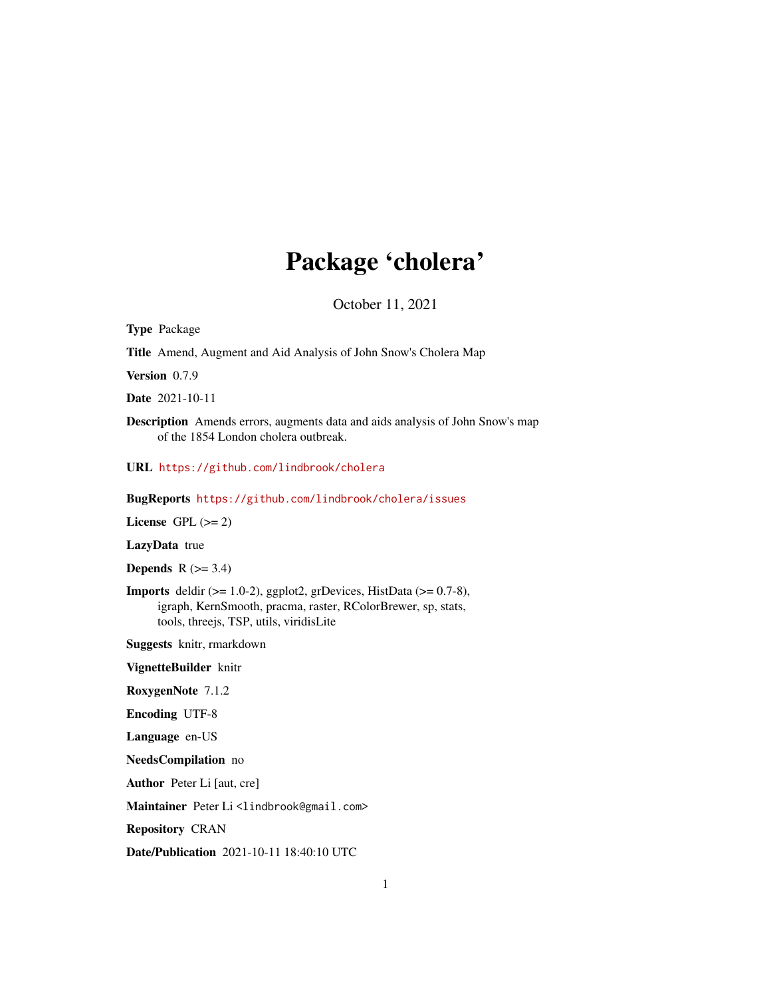# Package 'cholera'

October 11, 2021

Type Package Title Amend, Augment and Aid Analysis of John Snow's Cholera Map Version 0.7.9 Date 2021-10-11 Description Amends errors, augments data and aids analysis of John Snow's map of the 1854 London cholera outbreak. URL <https://github.com/lindbrook/cholera> BugReports <https://github.com/lindbrook/cholera/issues> License GPL  $(>= 2)$ LazyData true Depends  $R$  ( $>= 3.4$ ) Imports deldir (>= 1.0-2), ggplot2, grDevices, HistData (>= 0.7-8), igraph, KernSmooth, pracma, raster, RColorBrewer, sp, stats, tools, threejs, TSP, utils, viridisLite Suggests knitr, rmarkdown VignetteBuilder knitr RoxygenNote 7.1.2 Encoding UTF-8 Language en-US NeedsCompilation no Author Peter Li [aut, cre] Maintainer Peter Li<lindbrook@gmail.com> Repository CRAN Date/Publication 2021-10-11 18:40:10 UTC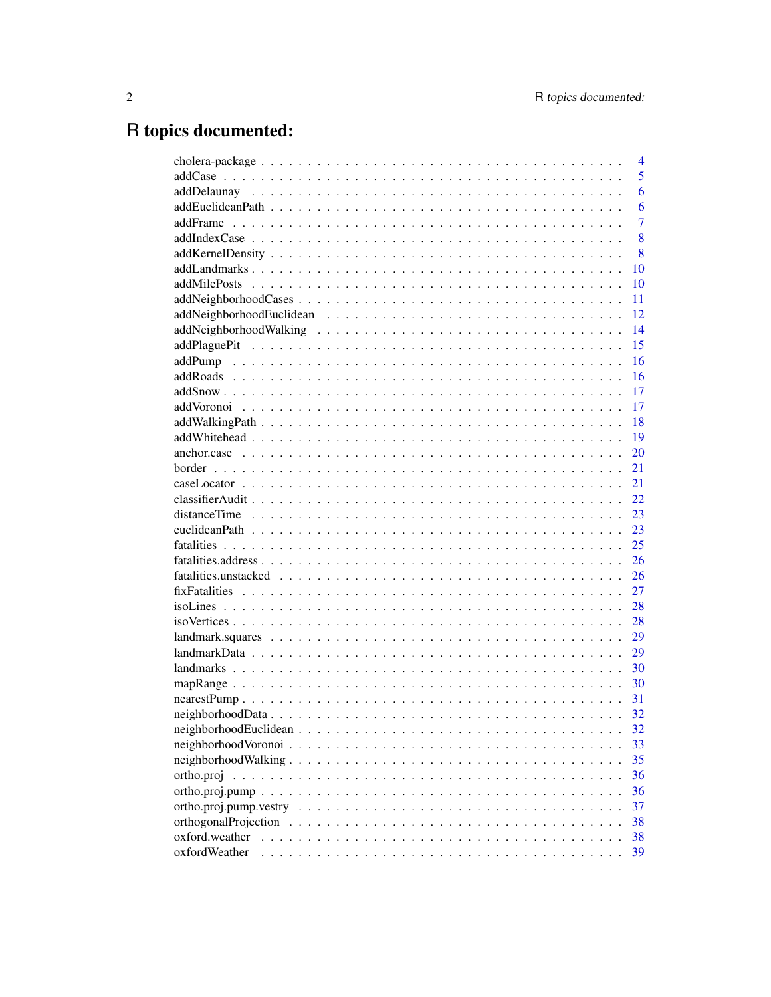# R topics documented:

|                                                                                                                                | 4              |
|--------------------------------------------------------------------------------------------------------------------------------|----------------|
|                                                                                                                                | 5              |
|                                                                                                                                | 6              |
|                                                                                                                                | 6              |
|                                                                                                                                | $\overline{7}$ |
|                                                                                                                                | 8              |
|                                                                                                                                | 8              |
|                                                                                                                                | 10             |
|                                                                                                                                | 10             |
|                                                                                                                                | 11             |
|                                                                                                                                | 12             |
|                                                                                                                                | 14             |
|                                                                                                                                | 15             |
|                                                                                                                                | 16             |
|                                                                                                                                | 16             |
|                                                                                                                                | 17             |
|                                                                                                                                | 17             |
|                                                                                                                                | 18             |
|                                                                                                                                | 19             |
|                                                                                                                                | 20             |
|                                                                                                                                | 21             |
|                                                                                                                                | 21             |
|                                                                                                                                | 22.            |
|                                                                                                                                | 23             |
|                                                                                                                                | 23             |
|                                                                                                                                | 25             |
|                                                                                                                                | 26             |
|                                                                                                                                | 26             |
|                                                                                                                                | 27             |
|                                                                                                                                | 28             |
|                                                                                                                                | 28             |
| $landmark.squares \dots \dots \dots \dots \dots \dots \dots \dots \dots \dots \dots \dots \dots \dots \dots \dots \dots \dots$ | 29             |
|                                                                                                                                | 29             |
|                                                                                                                                | 30             |
|                                                                                                                                | 30             |
|                                                                                                                                | 31             |
|                                                                                                                                | 32             |
|                                                                                                                                | 32             |
|                                                                                                                                | 33             |
|                                                                                                                                | 35             |
| ortho.proj                                                                                                                     | 36             |
|                                                                                                                                | 36             |
| $ortho.popj.pump. vestry \dots \dots \dots \dots \dots \dots \dots \dots \dots \dots \dots \dots \dots \dots \dots \dots$      | 37             |
|                                                                                                                                | 38             |
| oxford.weather                                                                                                                 | 38             |
| oxfordWeather                                                                                                                  | 39             |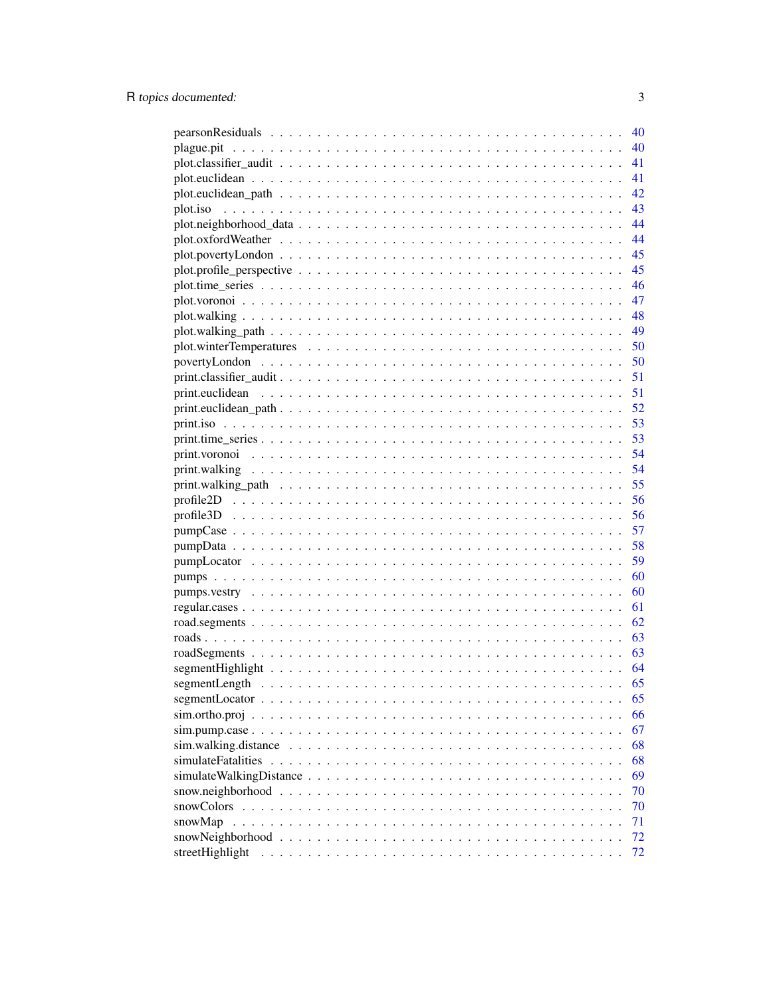|                                                                                              | 40 |
|----------------------------------------------------------------------------------------------|----|
|                                                                                              | 40 |
| 41                                                                                           |    |
| 41                                                                                           |    |
|                                                                                              | 42 |
| 43                                                                                           |    |
| 44                                                                                           |    |
|                                                                                              | 44 |
| 45                                                                                           |    |
| 45                                                                                           |    |
| 46                                                                                           |    |
| 47                                                                                           |    |
|                                                                                              |    |
|                                                                                              |    |
|                                                                                              |    |
|                                                                                              |    |
|                                                                                              |    |
|                                                                                              |    |
|                                                                                              |    |
|                                                                                              |    |
|                                                                                              |    |
| 54                                                                                           |    |
|                                                                                              | 54 |
| 55                                                                                           |    |
| 56                                                                                           |    |
|                                                                                              |    |
| 57                                                                                           |    |
|                                                                                              |    |
|                                                                                              |    |
|                                                                                              |    |
|                                                                                              |    |
|                                                                                              |    |
|                                                                                              |    |
|                                                                                              |    |
|                                                                                              |    |
|                                                                                              |    |
|                                                                                              |    |
|                                                                                              | 65 |
|                                                                                              | 66 |
|                                                                                              | 67 |
| $sim.walking.distance \ldots \ldots \ldots \ldots \ldots \ldots \ldots \ldots \ldots \ldots$ | 68 |
|                                                                                              | 68 |
|                                                                                              | 69 |
|                                                                                              | 70 |
| snowColors                                                                                   | 70 |
| snowMap                                                                                      | 71 |
|                                                                                              | 72 |
| streetHighlight                                                                              | 72 |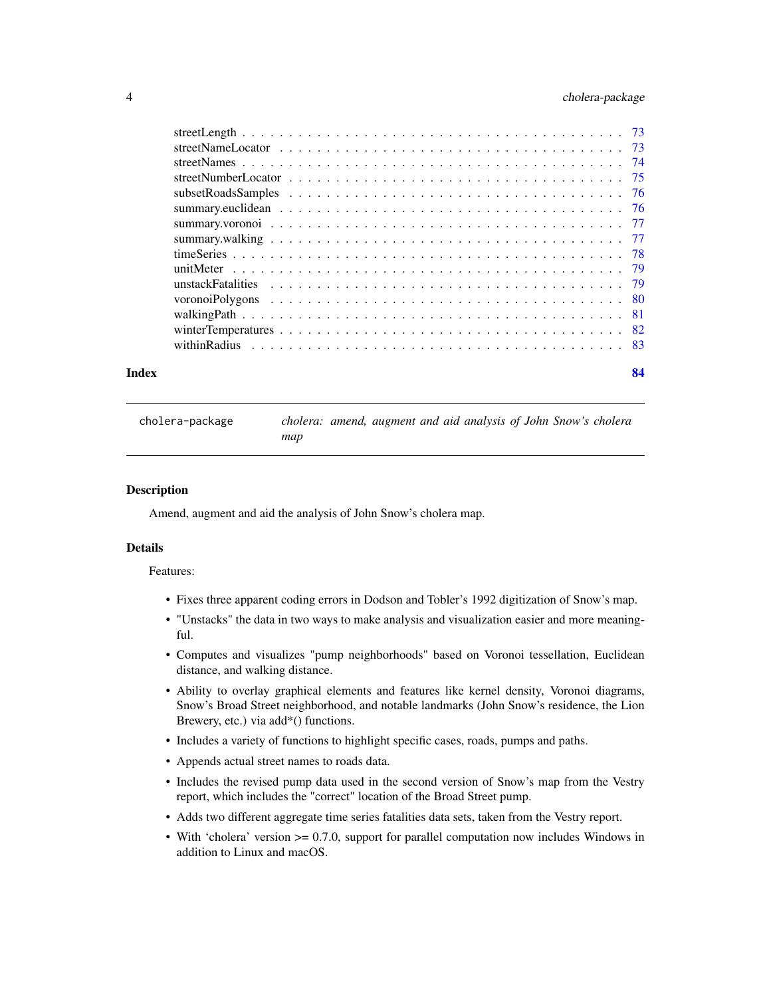# <span id="page-3-0"></span>4 cholera-package

| Index | 84 |
|-------|----|
|       |    |
|       |    |
|       |    |
|       |    |
|       |    |
|       |    |
|       |    |
|       |    |
|       |    |
|       |    |
|       |    |
|       |    |
|       |    |
|       |    |
|       |    |

cholera-package *cholera: amend, augment and aid analysis of John Snow's cholera map*

#### Description

Amend, augment and aid the analysis of John Snow's cholera map.

#### Details

#### Features:

- Fixes three apparent coding errors in Dodson and Tobler's 1992 digitization of Snow's map.
- "Unstacks" the data in two ways to make analysis and visualization easier and more meaningful.
- Computes and visualizes "pump neighborhoods" based on Voronoi tessellation, Euclidean distance, and walking distance.
- Ability to overlay graphical elements and features like kernel density, Voronoi diagrams, Snow's Broad Street neighborhood, and notable landmarks (John Snow's residence, the Lion Brewery, etc.) via add\*() functions.
- Includes a variety of functions to highlight specific cases, roads, pumps and paths.
- Appends actual street names to roads data.
- Includes the revised pump data used in the second version of Snow's map from the Vestry report, which includes the "correct" location of the Broad Street pump.
- Adds two different aggregate time series fatalities data sets, taken from the Vestry report.
- With 'cholera' version >= 0.7.0, support for parallel computation now includes Windows in addition to Linux and macOS.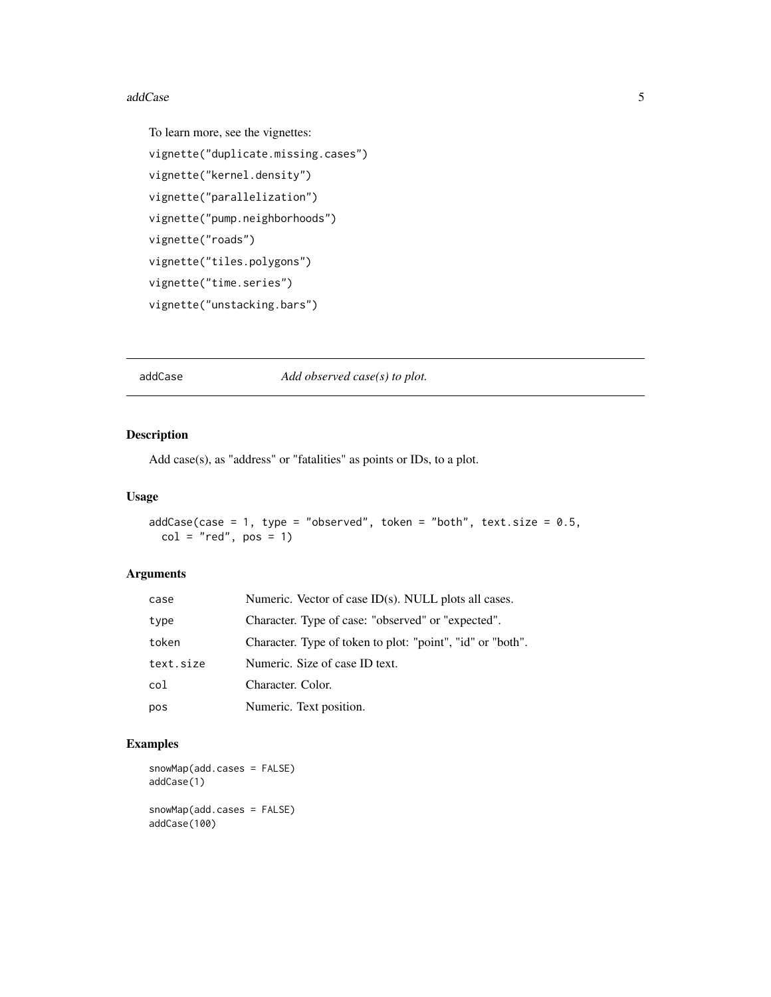#### <span id="page-4-0"></span>addCase 5

```
To learn more, see the vignettes:
vignette("duplicate.missing.cases")
vignette("kernel.density")
vignette("parallelization")
vignette("pump.neighborhoods")
vignette("roads")
vignette("tiles.polygons")
vignette("time.series")
vignette("unstacking.bars")
```
addCase *Add observed case(s) to plot.*

# Description

Add case(s), as "address" or "fatalities" as points or IDs, to a plot.

#### Usage

```
addCase(case = 1, type = "observed", token = "both", text.size = 0.5,
 col = "red", pos = 1)
```
#### Arguments

| case      | Numeric. Vector of case ID(s). NULL plots all cases.       |
|-----------|------------------------------------------------------------|
| type      | Character. Type of case: "observed" or "expected".         |
| token     | Character. Type of token to plot: "point", "id" or "both". |
| text.size | Numeric. Size of case ID text.                             |
| col       | Character. Color.                                          |
| pos       | Numeric. Text position.                                    |

#### Examples

```
snowMap(add.cases = FALSE)
addCase(1)
snowMap(add.cases = FALSE)
addCase(100)
```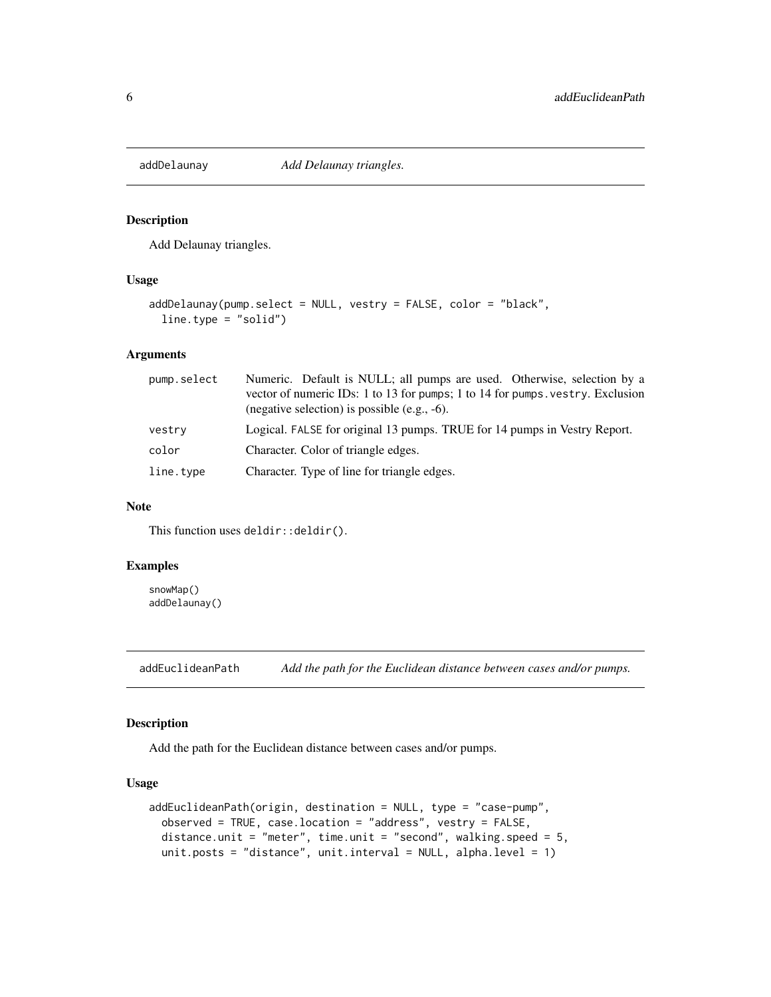<span id="page-5-0"></span>

Add Delaunay triangles.

#### Usage

```
addDelaunay(pump.select = NULL, vestry = FALSE, color = "black",
  line.type = "solid")
```
#### Arguments

| pump.select | Numeric. Default is NULL; all pumps are used. Otherwise, selection by a<br>vector of numeric IDs: 1 to 13 for pumps; 1 to 14 for pumps. vestry. Exclusion<br>(negative selection) is possible (e.g., $-6$ ). |
|-------------|--------------------------------------------------------------------------------------------------------------------------------------------------------------------------------------------------------------|
| vestry      | Logical. FALSE for original 13 pumps. TRUE for 14 pumps in Vestry Report.                                                                                                                                    |
| color       | Character. Color of triangle edges.                                                                                                                                                                          |
| line.type   | Character. Type of line for triangle edges.                                                                                                                                                                  |

#### Note

This function uses deldir:: deldir().

# Examples

snowMap() addDelaunay()

addEuclideanPath *Add the path for the Euclidean distance between cases and/or pumps.*

#### Description

Add the path for the Euclidean distance between cases and/or pumps.

```
addEuclideanPath(origin, destination = NULL, type = "case-pump",
 observed = TRUE, case.location = "address", vestry = FALSE,
 distance.unit = "meter", time.unit = "second", walking.speed = 5,
 unit.posts = "distance", unit.interval = NULL, alpha.level = 1)
```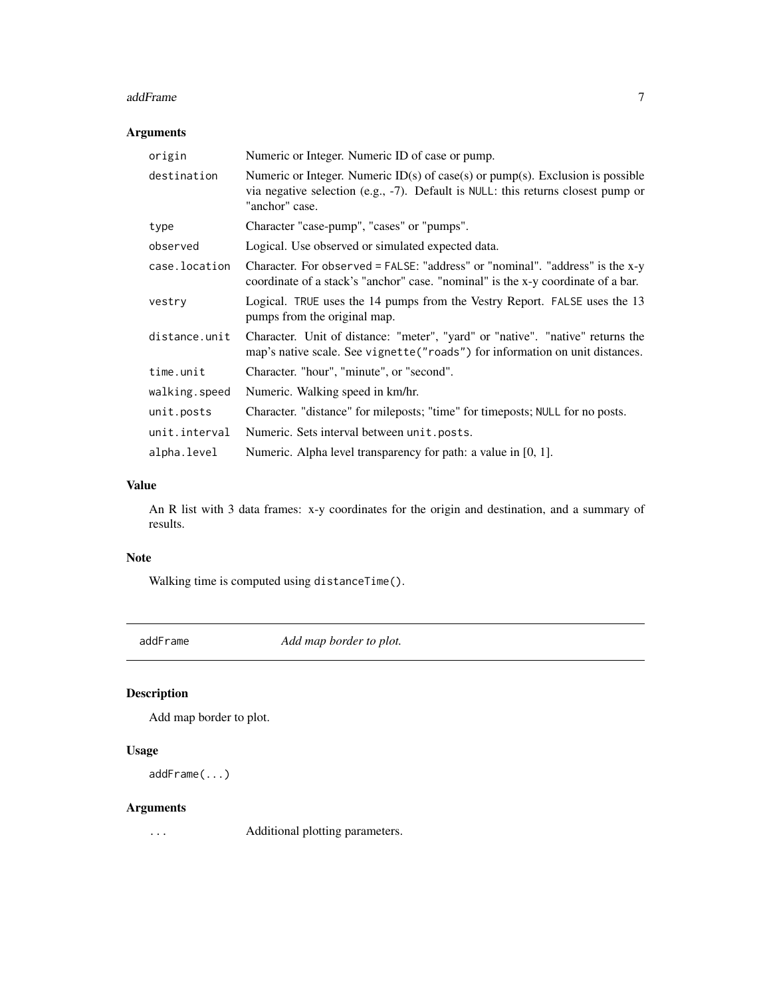#### <span id="page-6-0"></span>addFrame 7 and 7 and 7 and 7 and 7 and 7 and 7 and 7 and 7 and 7 and 7 and 7 and 7 and 7 and 7 and 7 and 7 and 7 and 7 and 7 and 7 and 7 and 7 and 7 and 7 and 7 and 7 and 7 and 7 and 7 and 7 and 7 and 7 and 7 and 7 and 7 a

# Arguments

| origin        | Numeric or Integer. Numeric ID of case or pump.                                                                                                                                        |
|---------------|----------------------------------------------------------------------------------------------------------------------------------------------------------------------------------------|
| destination   | Numeric or Integer. Numeric $ID(s)$ of case(s) or pump(s). Exclusion is possible<br>via negative selection (e.g., -7). Default is NULL: this returns closest pump or<br>"anchor" case. |
| type          | Character "case-pump", "cases" or "pumps".                                                                                                                                             |
| observed      | Logical. Use observed or simulated expected data.                                                                                                                                      |
| case.location | Character. For observed = FALSE: "address" or "nominal". "address" is the x-y<br>coordinate of a stack's "anchor" case. "nominal" is the x-y coordinate of a bar.                      |
| vestry        | Logical. TRUE uses the 14 pumps from the Vestry Report. FALSE uses the 13<br>pumps from the original map.                                                                              |
| distance.unit | Character. Unit of distance: "meter", "yard" or "native". "native" returns the<br>map's native scale. See vignette ("roads") for information on unit distances.                        |
| time.unit     | Character. "hour", "minute", or "second".                                                                                                                                              |
| walking.speed | Numeric. Walking speed in km/hr.                                                                                                                                                       |
| unit.posts    | Character. "distance" for mileposts; "time" for timeposts; NULL for no posts.                                                                                                          |
| unit.interval | Numeric. Sets interval between unit. posts.                                                                                                                                            |
| alpha.level   | Numeric. Alpha level transparency for path: a value in [0, 1].                                                                                                                         |

# Value

An R list with 3 data frames: x-y coordinates for the origin and destination, and a summary of results.

# Note

Walking time is computed using distanceTime().

addFrame *Add map border to plot.*

# Description

Add map border to plot.

# Usage

```
addFrame(...)
```
# Arguments

... Additional plotting parameters.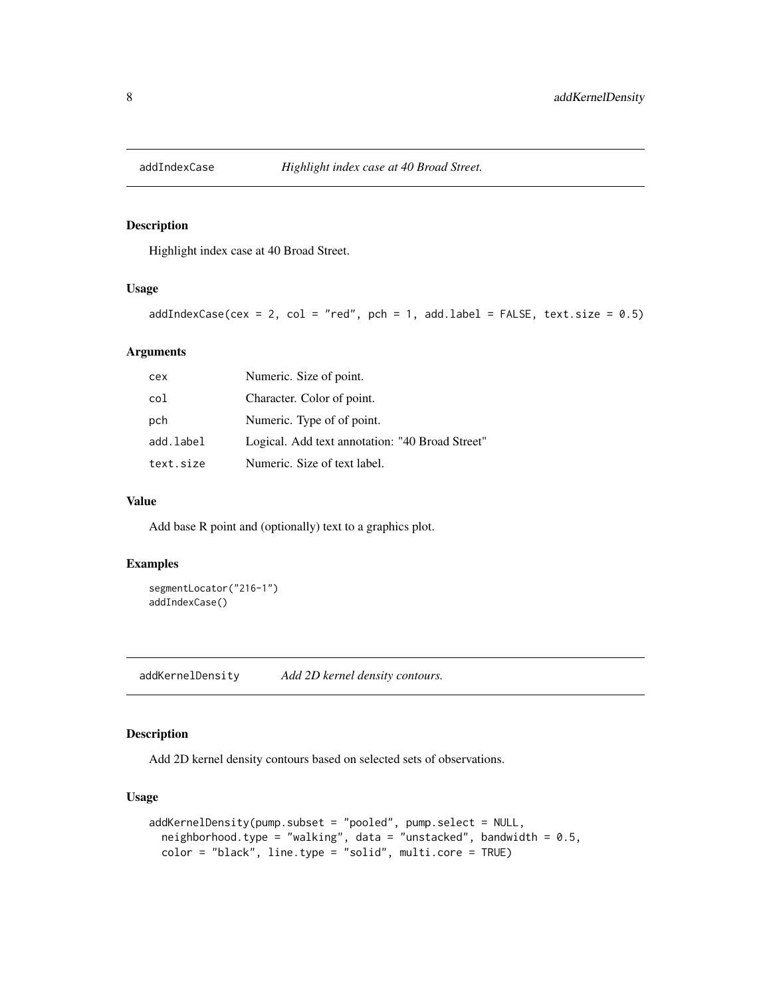<span id="page-7-0"></span>

Highlight index case at 40 Broad Street.

#### Usage

 $addIndexCase(cex = 2, col = "red", pch = 1, add-label = FALSE, text.size = 0.5)$ 

# Arguments

| cex       | Numeric. Size of point.                         |
|-----------|-------------------------------------------------|
| col       | Character. Color of point.                      |
| pch       | Numeric. Type of of point.                      |
| add.label | Logical. Add text annotation: "40 Broad Street" |
| text.size | Numeric. Size of text label.                    |

#### Value

Add base R point and (optionally) text to a graphics plot.

#### Examples

```
segmentLocator("216-1")
addIndexCase()
```
addKernelDensity *Add 2D kernel density contours.*

#### Description

Add 2D kernel density contours based on selected sets of observations.

```
addKernelDensity(pump.subset = "pooled", pump.select = NULL,
 neighborhood.type = "walking", data = "unstacked", bandwidth = 0.5,
 color = "black", line.type = "solid", multi.core = TRUE)
```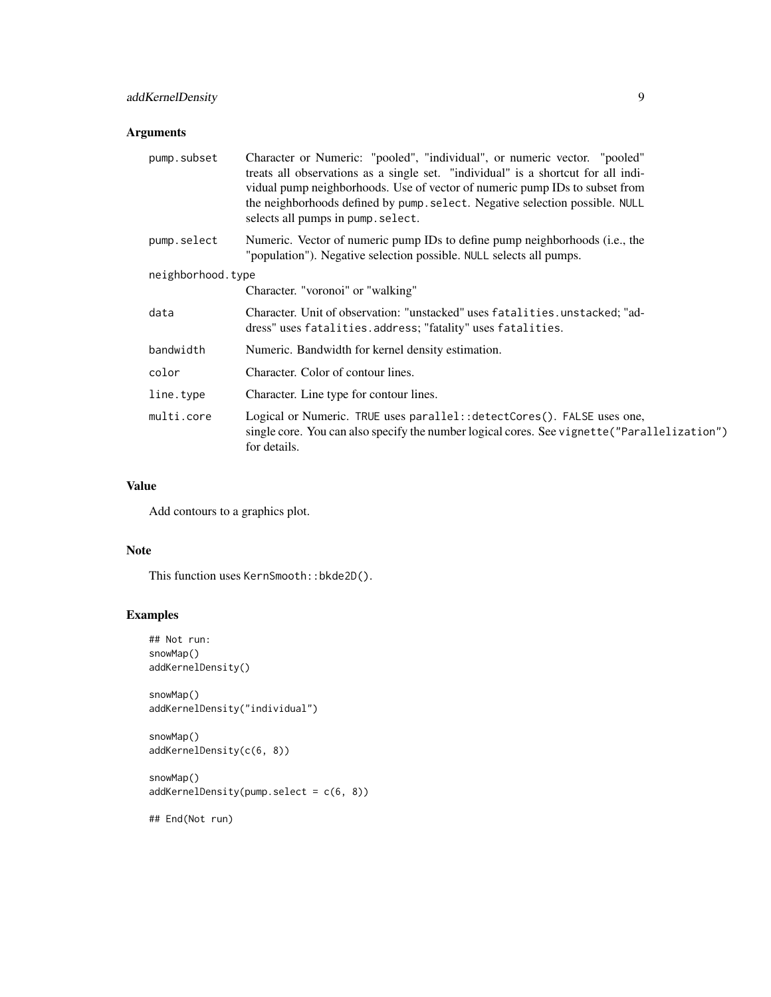| pump.subset       | Character or Numeric: "pooled", "individual", or numeric vector. "pooled"<br>treats all observations as a single set. "individual" is a shortcut for all indi-<br>vidual pump neighborhoods. Use of vector of numeric pump IDs to subset from<br>the neighborhoods defined by pump. select. Negative selection possible. NULL<br>selects all pumps in pump. select. |  |
|-------------------|---------------------------------------------------------------------------------------------------------------------------------------------------------------------------------------------------------------------------------------------------------------------------------------------------------------------------------------------------------------------|--|
| pump.select       | Numeric. Vector of numeric pump IDs to define pump neighborhoods (i.e., the<br>"population"). Negative selection possible. NULL selects all pumps.                                                                                                                                                                                                                  |  |
| neighborhood.type |                                                                                                                                                                                                                                                                                                                                                                     |  |
|                   | Character. "voronoi" or "walking"                                                                                                                                                                                                                                                                                                                                   |  |
| data              | Character. Unit of observation: "unstacked" uses fatalities.unstacked; "ad-<br>dress" uses fatalities.address; "fatality" uses fatalities.                                                                                                                                                                                                                          |  |
| bandwidth         | Numeric. Bandwidth for kernel density estimation.                                                                                                                                                                                                                                                                                                                   |  |
| color             | Character. Color of contour lines.                                                                                                                                                                                                                                                                                                                                  |  |
| line.type         | Character. Line type for contour lines.                                                                                                                                                                                                                                                                                                                             |  |
| multi.core        | Logical or Numeric. TRUE uses parallel:: detectCores(). FALSE uses one,<br>single core. You can also specify the number logical cores. See vignette ("Parallelization")<br>for details.                                                                                                                                                                             |  |

# Value

Add contours to a graphics plot.

# Note

This function uses KernSmooth::bkde2D().

# Examples

```
## Not run:
snowMap()
addKernelDensity()
snowMap()
addKernelDensity("individual")
snowMap()
addKernelDensity(c(6, 8))
snowMap()
addKernelDensity(pump.select = c(6, 8))
```
## End(Not run)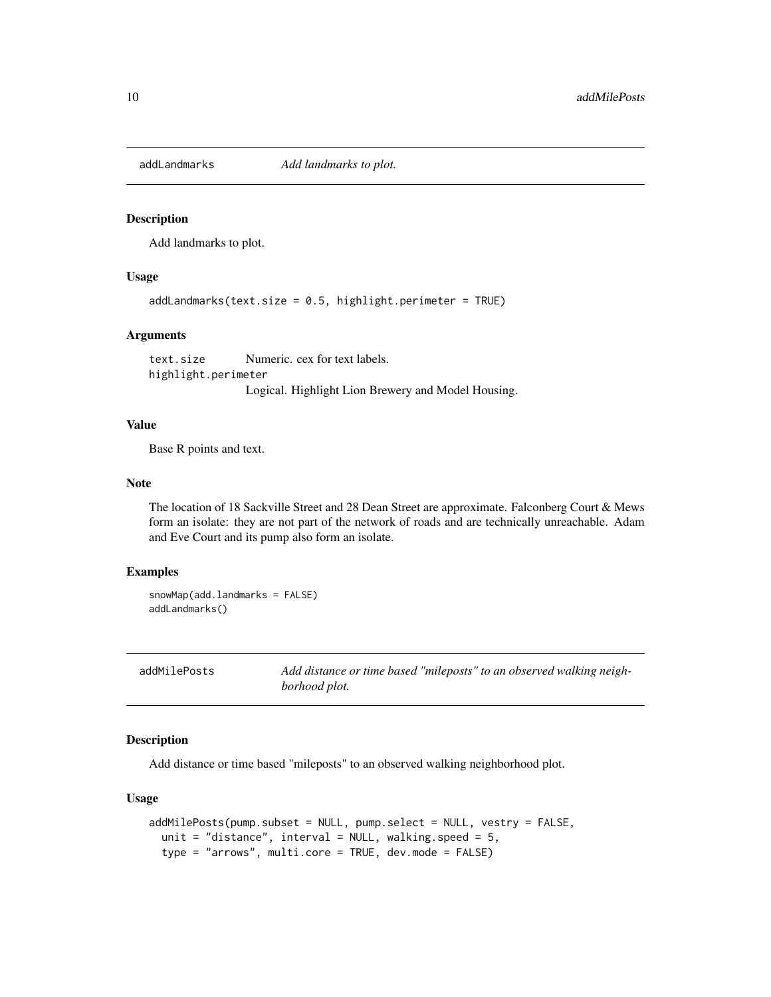<span id="page-9-0"></span>

Add landmarks to plot.

# Usage

addLandmarks(text.size =  $0.5$ , highlight.perimeter = TRUE)

#### Arguments

text.size Numeric. cex for text labels. highlight.perimeter Logical. Highlight Lion Brewery and Model Housing.

#### Value

Base R points and text.

#### **Note**

The location of 18 Sackville Street and 28 Dean Street are approximate. Falconberg Court & Mews form an isolate: they are not part of the network of roads and are technically unreachable. Adam and Eve Court and its pump also form an isolate.

#### Examples

snowMap(add.landmarks = FALSE) addLandmarks()

addMilePosts *Add distance or time based "mileposts" to an observed walking neighborhood plot.*

#### Description

Add distance or time based "mileposts" to an observed walking neighborhood plot.

```
addMilePosts(pump.subset = NULL, pump.select = NULL, vestry = FALSE,
  unit = "distance", interval = NULL, walking.speed = 5,
  type = "arrows", multi.core = TRUE, dev.mode = FALSE)
```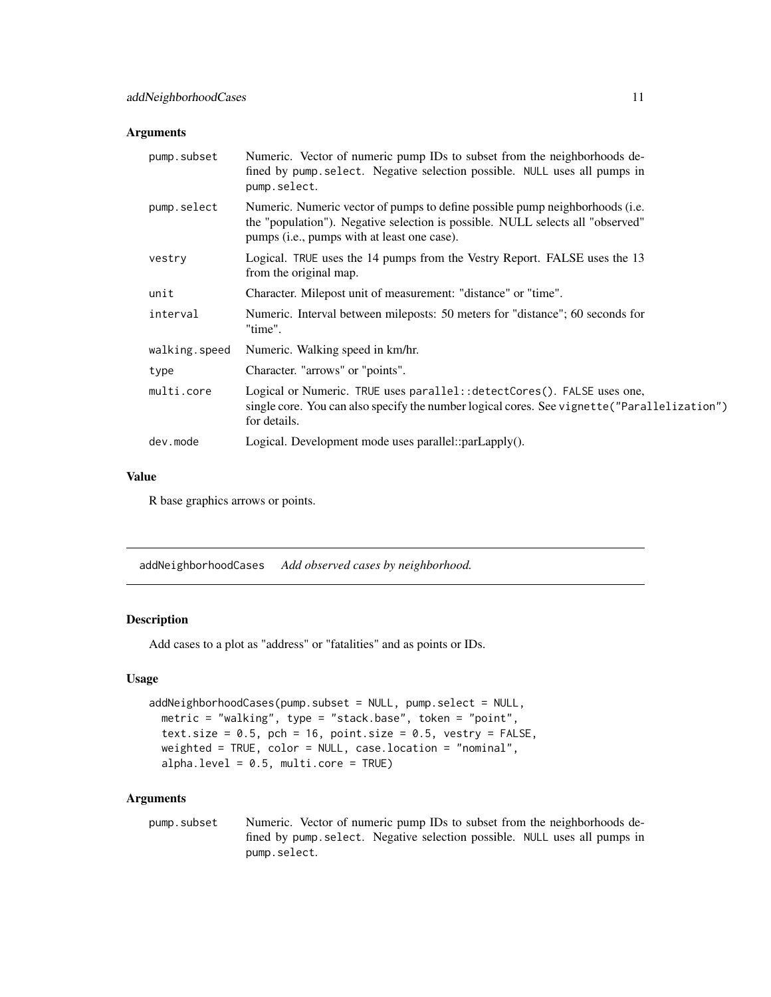<span id="page-10-0"></span>

| pump.subset   | Numeric. Vector of numeric pump IDs to subset from the neighborhoods de-<br>fined by pump select. Negative selection possible. NULL uses all pumps in<br>pump.select.                                         |
|---------------|---------------------------------------------------------------------------------------------------------------------------------------------------------------------------------------------------------------|
| pump.select   | Numeric. Numeric vector of pumps to define possible pump neighborhoods (i.e.<br>the "population"). Negative selection is possible. NULL selects all "observed"<br>pumps (i.e., pumps with at least one case). |
| vestry        | Logical. TRUE uses the 14 pumps from the Vestry Report. FALSE uses the 13<br>from the original map.                                                                                                           |
| unit          | Character. Milepost unit of measurement: "distance" or "time".                                                                                                                                                |
| interval      | Numeric. Interval between mileposts: 50 meters for "distance"; 60 seconds for<br>"time".                                                                                                                      |
| walking.speed | Numeric. Walking speed in km/hr.                                                                                                                                                                              |
| type          | Character. "arrows" or "points".                                                                                                                                                                              |
| multi.core    | Logical or Numeric. TRUE uses parallel: : detectCores(). FALSE uses one,<br>single core. You can also specify the number logical cores. See vignette ("Parallelization")<br>for details.                      |
| dev.mode      | Logical. Development mode uses $parallel::parLapply()$ .                                                                                                                                                      |

#### Value

R base graphics arrows or points.

addNeighborhoodCases *Add observed cases by neighborhood.*

# Description

Add cases to a plot as "address" or "fatalities" and as points or IDs.

#### Usage

```
addNeighborhoodCases(pump.subset = NULL, pump.select = NULL,
 metric = "walking", type = "stack.base", token = "point",
 text.size = 0.5, pch = 16, point.size = 0.5, vestry = FALSE,
 weighted = TRUE, color = NULL, case.location = "nominal",
 alpha.level = 0.5, multi.core = TRUE)
```
#### Arguments

pump.subset Numeric. Vector of numeric pump IDs to subset from the neighborhoods defined by pump.select. Negative selection possible. NULL uses all pumps in pump.select.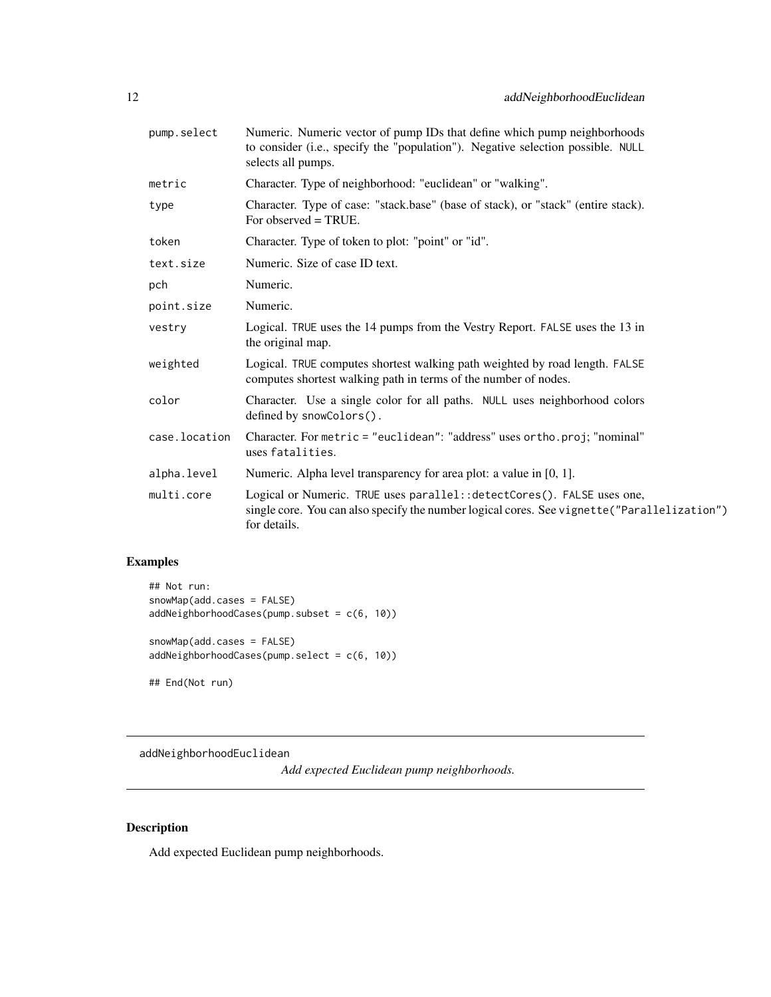<span id="page-11-0"></span>

| pump.select   | Numeric. Numeric vector of pump IDs that define which pump neighborhoods<br>to consider (i.e., specify the "population"). Negative selection possible. NULL<br>selects all pumps.       |
|---------------|-----------------------------------------------------------------------------------------------------------------------------------------------------------------------------------------|
| metric        | Character. Type of neighborhood: "euclidean" or "walking".                                                                                                                              |
| type          | Character. Type of case: "stack.base" (base of stack), or "stack" (entire stack).<br>For observed $= TRUE$ .                                                                            |
| token         | Character. Type of token to plot: "point" or "id".                                                                                                                                      |
| text.size     | Numeric. Size of case ID text.                                                                                                                                                          |
| pch           | Numeric.                                                                                                                                                                                |
| point.size    | Numeric.                                                                                                                                                                                |
| vestry        | Logical. TRUE uses the 14 pumps from the Vestry Report. FALSE uses the 13 in<br>the original map.                                                                                       |
| weighted      | Logical. TRUE computes shortest walking path weighted by road length. FALSE<br>computes shortest walking path in terms of the number of nodes.                                          |
| color         | Character. Use a single color for all paths. NULL uses neighborhood colors<br>defined by snowColors().                                                                                  |
| case.location | Character. For metric = "euclidean": "address" uses ortho.proj; "nominal"<br>uses fatalities.                                                                                           |
| alpha.level   | Numeric. Alpha level transparency for area plot: a value in [0, 1].                                                                                                                     |
| multi.core    | Logical or Numeric. TRUE uses parallel:: detectCores(). FALSE uses one,<br>single core. You can also specify the number logical cores. See vignette ("Parallelization")<br>for details. |

# Examples

## Not run: snowMap(add.cases = FALSE) addNeighborhoodCases(pump.subset = c(6, 10)) snowMap(add.cases = FALSE) addNeighborhoodCases(pump.select = c(6, 10))

## End(Not run)

addNeighborhoodEuclidean

*Add expected Euclidean pump neighborhoods.*

# Description

Add expected Euclidean pump neighborhoods.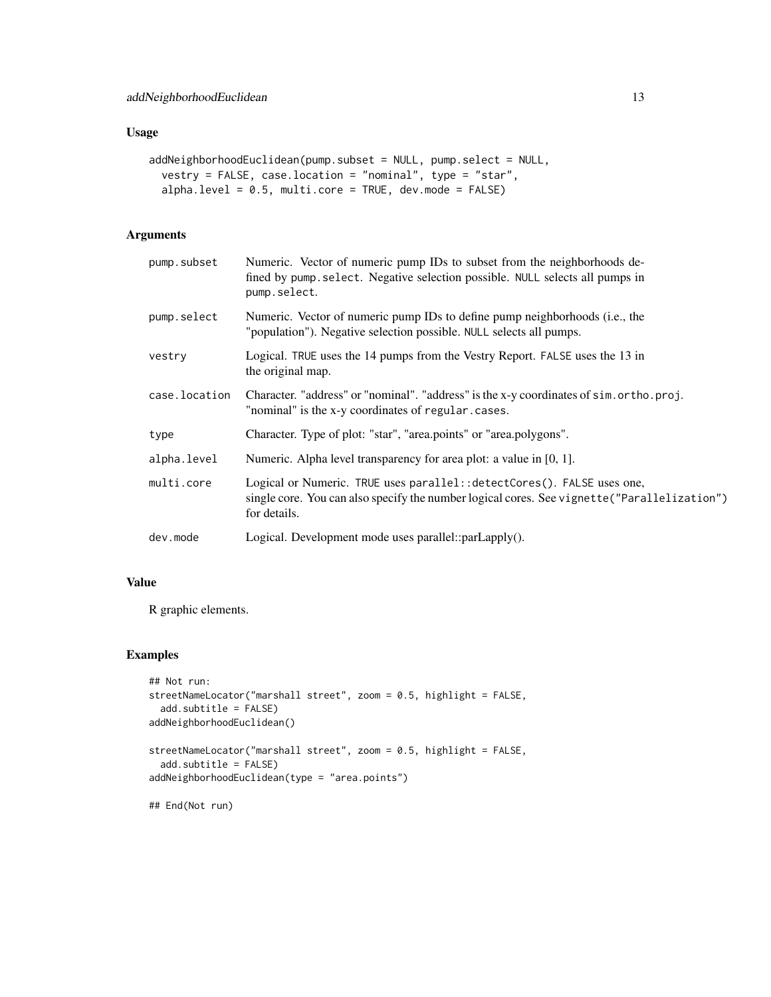#### Usage

```
addNeighborhoodEuclidean(pump.subset = NULL, pump.select = NULL,
  vestry = FALSE, case.location = "nominal", type = "star",
  alpha.level = 0.5, multi.core = TRUE, dev.mode = FALSE)
```
# Arguments

| pump.subset   | Numeric. Vector of numeric pump IDs to subset from the neighborhoods de-<br>fined by pump. select. Negative selection possible. NULL selects all pumps in<br>pump.select.               |
|---------------|-----------------------------------------------------------------------------------------------------------------------------------------------------------------------------------------|
| pump.select   | Numeric. Vector of numeric pump IDs to define pump neighborhoods (i.e., the<br>"population"). Negative selection possible. NULL selects all pumps.                                      |
| vestry        | Logical. TRUE uses the 14 pumps from the Vestry Report. FALSE uses the 13 in<br>the original map.                                                                                       |
| case.location | Character. "address" or "nominal". "address" is the x-y coordinates of sim.ortho.proj.<br>"nominal" is the x-y coordinates of regular.cases.                                            |
| type          | Character. Type of plot: "star", "area.points" or "area.polygons".                                                                                                                      |
| alpha.level   | Numeric. Alpha level transparency for area plot: a value in $[0, 1]$ .                                                                                                                  |
| multi.core    | Logical or Numeric. TRUE uses parallel:: detectCores(). FALSE uses one,<br>single core. You can also specify the number logical cores. See vignette ("Parallelization")<br>for details. |
| dev.mode      | Logical. Development mode uses parallel::parLapply().                                                                                                                                   |

# Value

R graphic elements.

#### Examples

```
## Not run:
streetNameLocator("marshall street", zoom = 0.5, highlight = FALSE,
  add.subtitle = FALSE)
addNeighborhoodEuclidean()
streetNameLocator("marshall street", zoom = 0.5, highlight = FALSE,
  add.subtitle = FALSE)
addNeighborhoodEuclidean(type = "area.points")
## End(Not run)
```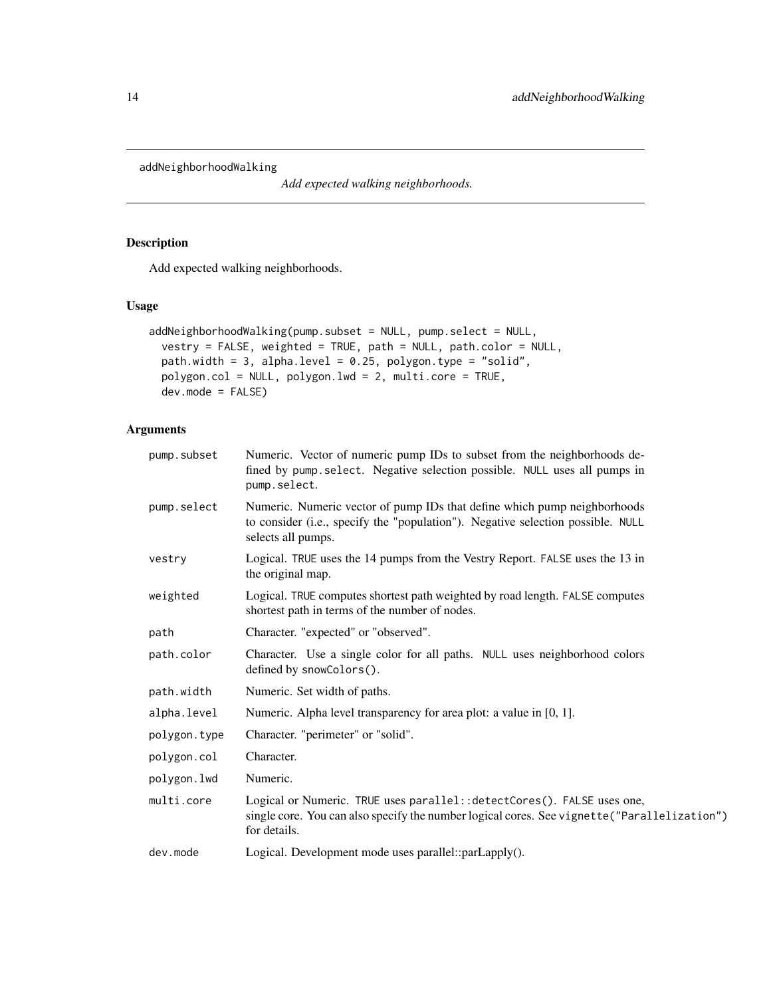<span id="page-13-0"></span>addNeighborhoodWalking

*Add expected walking neighborhoods.*

# Description

Add expected walking neighborhoods.

#### Usage

```
addNeighborhoodWalking(pump.subset = NULL, pump.select = NULL,
 vestry = FALSE, weighted = TRUE, path = NULL, path.color = NULL,
 path.width = 3, alpha.level = 0.25, polygon.type = "solid",
 polygon.col = NULL, polygon.lwd = 2, multi.core = TRUE,
 dev.mode = FALSE)
```
# Arguments

| pump.subset  | Numeric. Vector of numeric pump IDs to subset from the neighborhoods de-<br>fined by pump. select. Negative selection possible. NULL uses all pumps in<br>pump.select.                  |
|--------------|-----------------------------------------------------------------------------------------------------------------------------------------------------------------------------------------|
| pump.select  | Numeric. Numeric vector of pump IDs that define which pump neighborhoods<br>to consider (i.e., specify the "population"). Negative selection possible. NULL<br>selects all pumps.       |
| vestry       | Logical. TRUE uses the 14 pumps from the Vestry Report. FALSE uses the 13 in<br>the original map.                                                                                       |
| weighted     | Logical. TRUE computes shortest path weighted by road length. FALSE computes<br>shortest path in terms of the number of nodes.                                                          |
| path         | Character. "expected" or "observed".                                                                                                                                                    |
| path.color   | Character. Use a single color for all paths. NULL uses neighborhood colors<br>defined by snowColors().                                                                                  |
| path.width   | Numeric. Set width of paths.                                                                                                                                                            |
| alpha.level  | Numeric. Alpha level transparency for area plot: a value in [0, 1].                                                                                                                     |
| polygon.type | Character. "perimeter" or "solid".                                                                                                                                                      |
| polygon.col  | Character.                                                                                                                                                                              |
| polygon.lwd  | Numeric.                                                                                                                                                                                |
| multi.core   | Logical or Numeric. TRUE uses parallel:: detectCores(). FALSE uses one,<br>single core. You can also specify the number logical cores. See vignette ("Parallelization")<br>for details. |
| dev.mode     | Logical. Development mode uses parallel::parLapply().                                                                                                                                   |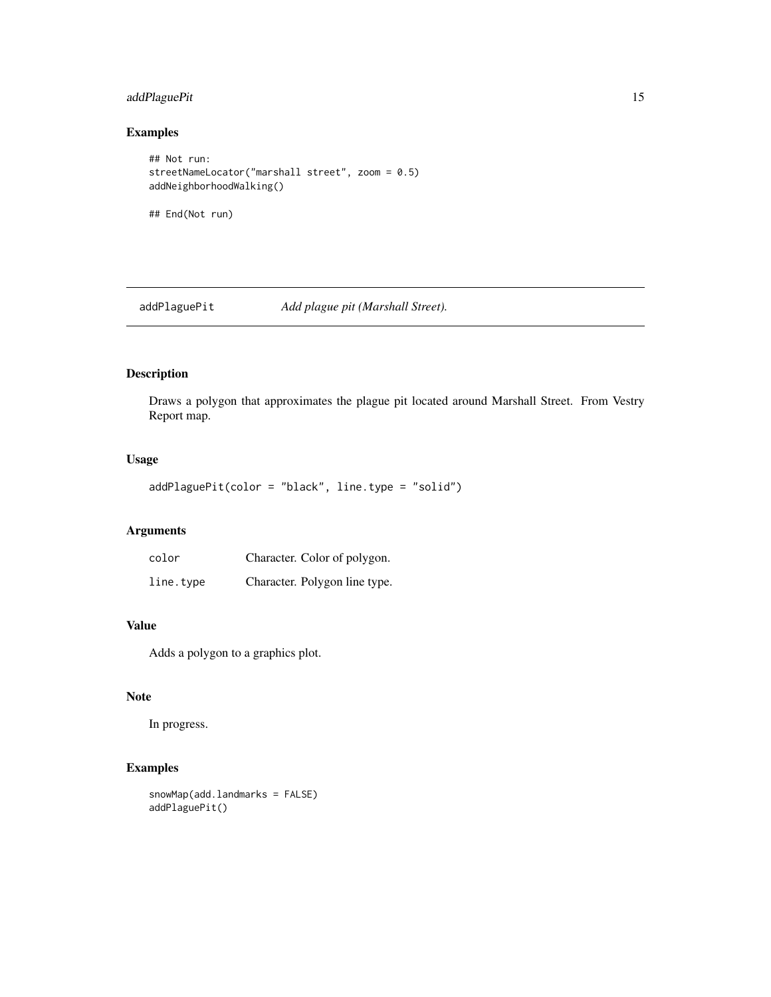# <span id="page-14-0"></span>addPlaguePit 15

# Examples

```
## Not run:
streetNameLocator("marshall street", zoom = 0.5)
addNeighborhoodWalking()
## End(Not run)
```
addPlaguePit *Add plague pit (Marshall Street).*

# Description

Draws a polygon that approximates the plague pit located around Marshall Street. From Vestry Report map.

# Usage

```
addPlaguePit(color = "black", line.type = "solid")
```
# Arguments

| color     | Character. Color of polygon.  |
|-----------|-------------------------------|
| line.type | Character. Polygon line type. |

#### Value

Adds a polygon to a graphics plot.

#### Note

In progress.

# Examples

```
snowMap(add.landmarks = FALSE)
addPlaguePit()
```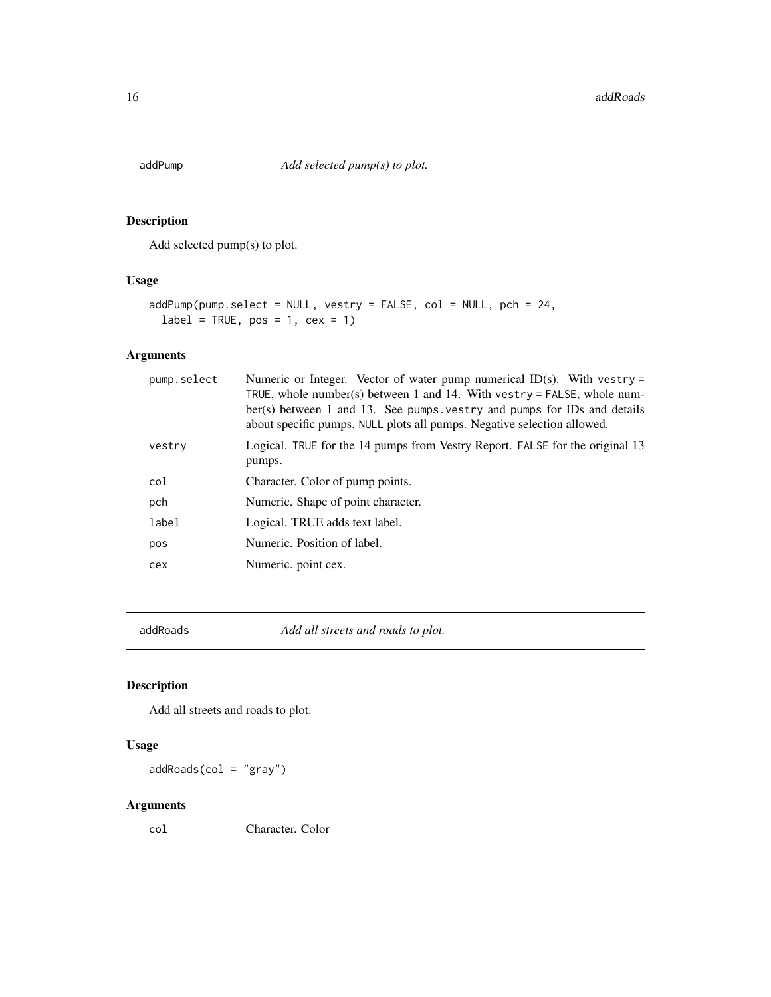<span id="page-15-0"></span>

Add selected pump(s) to plot.

# Usage

```
addPump(pump.select = NULL, vestry = FALSE, col = NULL, pch = 24,
 label = TRUE, pos = 1, cex = 1)
```
# Arguments

| pump.select | Numeric or Integer. Vector of water pump numerical ID(s). With vestry =<br>TRUE, whole number(s) between 1 and 14. With vestry = FALSE, whole num-<br>ber(s) between 1 and 13. See pumps vestry and pumps for IDs and details<br>about specific pumps. NULL plots all pumps. Negative selection allowed. |
|-------------|----------------------------------------------------------------------------------------------------------------------------------------------------------------------------------------------------------------------------------------------------------------------------------------------------------|
| vestry      | Logical. TRUE for the 14 pumps from Vestry Report. FALSE for the original 13<br>pumps.                                                                                                                                                                                                                   |
| col         | Character. Color of pump points.                                                                                                                                                                                                                                                                         |
| pch         | Numeric. Shape of point character.                                                                                                                                                                                                                                                                       |
| label       | Logical. TRUE adds text label.                                                                                                                                                                                                                                                                           |
| pos         | Numeric. Position of label.                                                                                                                                                                                                                                                                              |
| cex         | Numeric. point cex.                                                                                                                                                                                                                                                                                      |
|             |                                                                                                                                                                                                                                                                                                          |

addRoads *Add all streets and roads to plot.*

# Description

Add all streets and roads to plot.

# Usage

 $addRoot(col = "gray")$ 

# Arguments

col Character. Color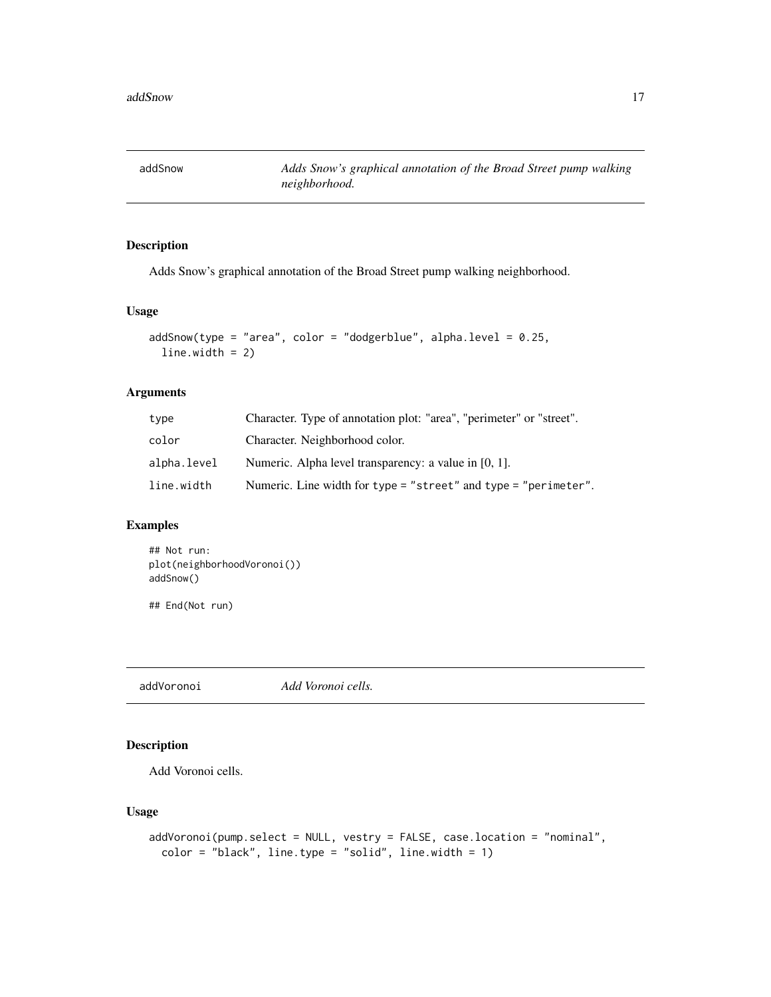<span id="page-16-0"></span>addSnow *Adds Snow's graphical annotation of the Broad Street pump walking neighborhood.*

# Description

Adds Snow's graphical annotation of the Broad Street pump walking neighborhood.

#### Usage

```
addShow(type = "area", color = "dodgerblue", alpha-level = 0.25,line. width = 2)
```
#### Arguments

| type        | Character. Type of annotation plot: "area", "perimeter" or "street". |
|-------------|----------------------------------------------------------------------|
| color       | Character. Neighborhood color.                                       |
| alpha.level | Numeric. Alpha level transparency: a value in [0, 1].                |
| line.width  | Numeric. Line width for type = "street" and type = "perimeter".      |

# Examples

```
## Not run:
plot(neighborhoodVoronoi())
addSnow()
```
## End(Not run)

addVoronoi *Add Voronoi cells.*

# Description

Add Voronoi cells.

```
addVoronoi(pump.select = NULL, vestry = FALSE, case.location = "nominal",
  color = "black", line_type = "solid", line width = 1)
```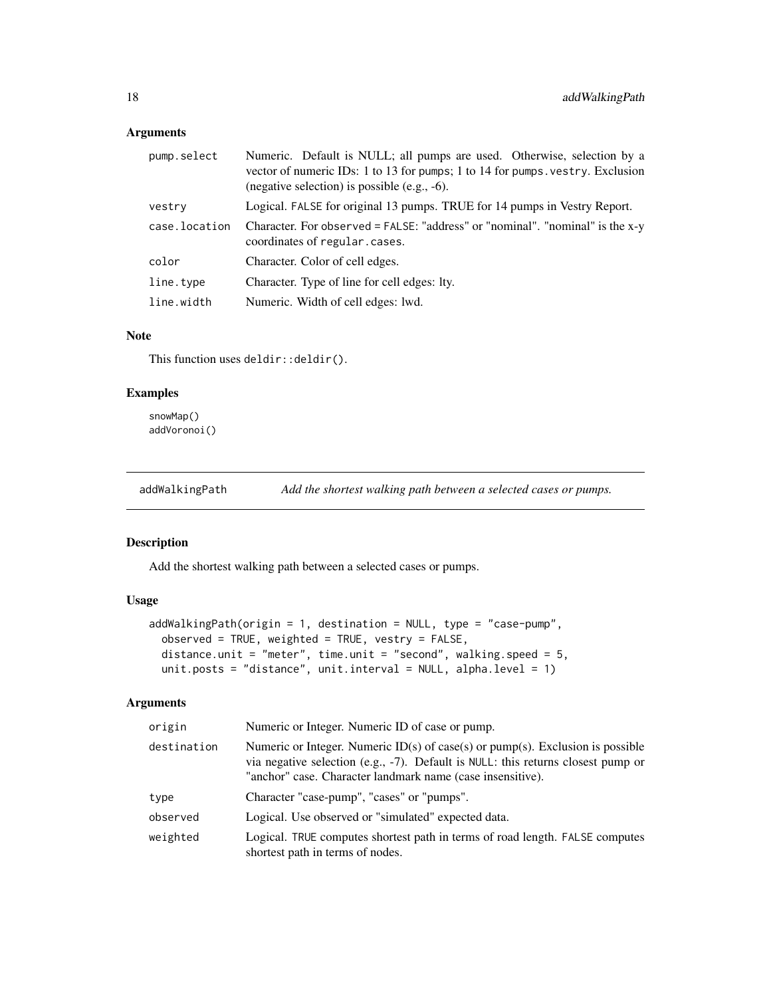<span id="page-17-0"></span>

| pump.select   | Numeric. Default is NULL; all pumps are used. Otherwise, selection by a<br>vector of numeric IDs: 1 to 13 for pumps; 1 to 14 for pumps. vestry. Exclusion<br>(negative selection) is possible (e.g., $-6$ ). |
|---------------|--------------------------------------------------------------------------------------------------------------------------------------------------------------------------------------------------------------|
| vestry        | Logical. FALSE for original 13 pumps. TRUE for 14 pumps in Vestry Report.                                                                                                                                    |
| case.location | Character. For observed = FALSE: "address" or "nominal". "nominal" is the x-y<br>coordinates of regular.cases.                                                                                               |
| color         | Character. Color of cell edges.                                                                                                                                                                              |
| line.type     | Character. Type of line for cell edges: lty.                                                                                                                                                                 |
| line.width    | Numeric. Width of cell edges: 1wd.                                                                                                                                                                           |

#### Note

This function uses deldir:: deldir().

# Examples

snowMap() addVoronoi()

addWalkingPath *Add the shortest walking path between a selected cases or pumps.*

#### Description

Add the shortest walking path between a selected cases or pumps.

# Usage

```
addWalkingPath(origin = 1, destination = NULL, type = "case-pump",
 observed = TRUE, weighted = TRUE, vestry = FALSE,
 distance.unit = "meter", time.unit = "second", walking.speed = 5,
 unit.posts = "distance", unit.interval = NULL, alpha.level = 1)
```
#### Arguments

| origin      | Numeric or Integer. Numeric ID of case or pump.                                                                                                                                                                                    |
|-------------|------------------------------------------------------------------------------------------------------------------------------------------------------------------------------------------------------------------------------------|
| destination | Numeric or Integer. Numeric $ID(s)$ of case(s) or pump(s). Exclusion is possible<br>via negative selection (e.g., -7). Default is NULL: this returns closest pump or<br>"anchor" case. Character landmark name (case insensitive). |
| type        | Character "case-pump", "cases" or "pumps".                                                                                                                                                                                         |
| observed    | Logical. Use observed or "simulated" expected data.                                                                                                                                                                                |
| weighted    | Logical. TRUE computes shortest path in terms of road length. FALSE computes<br>shortest path in terms of nodes.                                                                                                                   |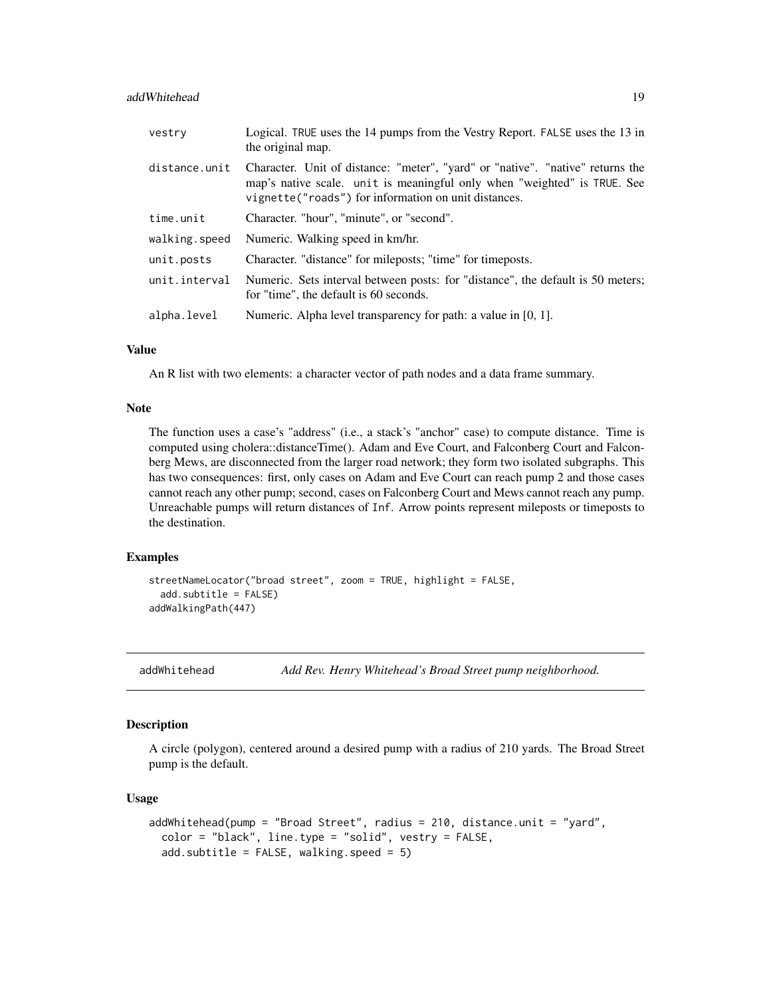#### <span id="page-18-0"></span>addWhitehead 19

| vestry        | Logical. TRUE uses the 14 pumps from the Vestry Report. FALSE uses the 13 in<br>the original map.                                                                                                                  |
|---------------|--------------------------------------------------------------------------------------------------------------------------------------------------------------------------------------------------------------------|
| distance.unit | Character. Unit of distance: "meter", "yard" or "native". "native" returns the<br>map's native scale. unit is meaningful only when "weighted" is TRUE. See<br>vignette("roads") for information on unit distances. |
| time.unit     | Character. "hour", "minute", or "second".                                                                                                                                                                          |
| walking.speed | Numeric. Walking speed in km/hr.                                                                                                                                                                                   |
| unit.posts    | Character. "distance" for mileposts; "time" for timeposts.                                                                                                                                                         |
| unit.interval | Numeric. Sets interval between posts: for "distance", the default is 50 meters;<br>for "time", the default is 60 seconds.                                                                                          |
| alpha.level   | Numeric. Alpha level transparency for path: a value in $[0, 1]$ .                                                                                                                                                  |

#### Value

An R list with two elements: a character vector of path nodes and a data frame summary.

#### Note

The function uses a case's "address" (i.e., a stack's "anchor" case) to compute distance. Time is computed using cholera::distanceTime(). Adam and Eve Court, and Falconberg Court and Falconberg Mews, are disconnected from the larger road network; they form two isolated subgraphs. This has two consequences: first, only cases on Adam and Eve Court can reach pump 2 and those cases cannot reach any other pump; second, cases on Falconberg Court and Mews cannot reach any pump. Unreachable pumps will return distances of Inf. Arrow points represent mileposts or timeposts to the destination.

# Examples

```
streetNameLocator("broad street", zoom = TRUE, highlight = FALSE,
 add.subtitle = FALSE)
addWalkingPath(447)
```
addWhitehead *Add Rev. Henry Whitehead's Broad Street pump neighborhood.*

#### Description

A circle (polygon), centered around a desired pump with a radius of 210 yards. The Broad Street pump is the default.

```
addWhitehead(pump = "Broad Street", radius = 210, distance.unit = "yard",
 color = "black", line.type = "solid", vestry = FALSE,
  add.subtitle = FALSE, walking speed = 5)
```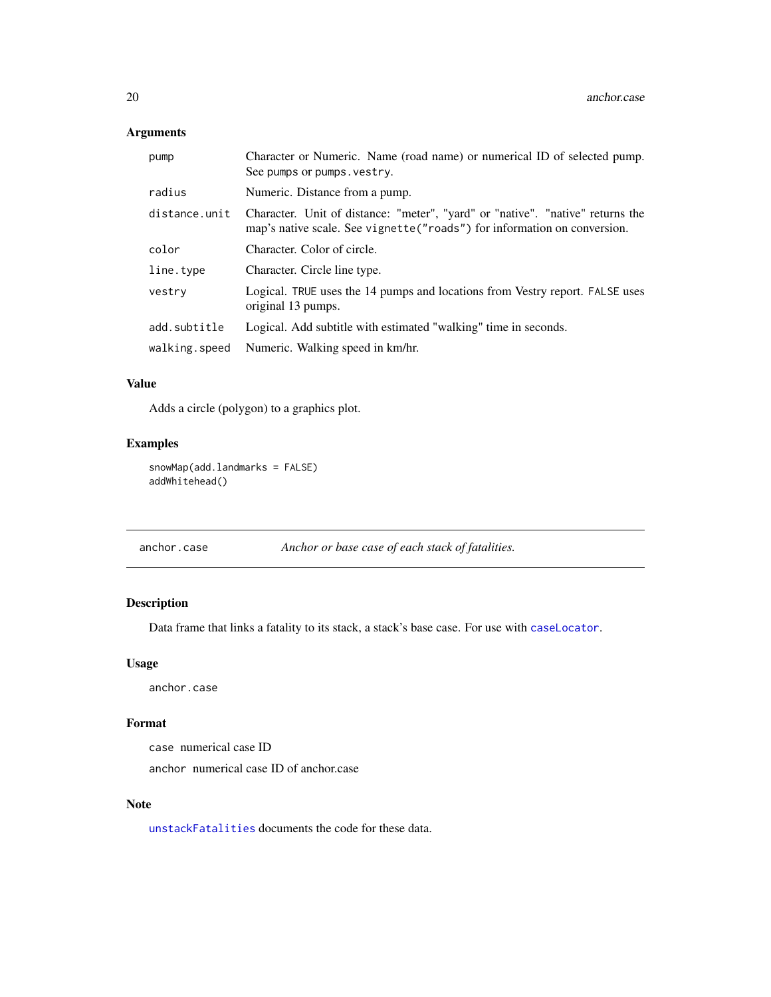<span id="page-19-0"></span>

| pump          | Character or Numeric. Name (road name) or numerical ID of selected pump.<br>See pumps or pumps. vestry.                                                     |
|---------------|-------------------------------------------------------------------------------------------------------------------------------------------------------------|
| radius        | Numeric. Distance from a pump.                                                                                                                              |
| distance.unit | Character. Unit of distance: "meter", "yard" or "native". "native" returns the<br>map's native scale. See vignette ("roads") for information on conversion. |
| color         | Character. Color of circle.                                                                                                                                 |
| line.type     | Character. Circle line type.                                                                                                                                |
| vestry        | Logical. TRUE uses the 14 pumps and locations from Vestry report. FALSE uses<br>original 13 pumps.                                                          |
| add.subtitle  | Logical. Add subtitle with estimated "walking" time in seconds.                                                                                             |
| walking.speed | Numeric. Walking speed in km/hr.                                                                                                                            |

# Value

Adds a circle (polygon) to a graphics plot.

# Examples

snowMap(add.landmarks = FALSE) addWhitehead()

|  | anchor.case | Anchor or base case of each stack of fatalities. |
|--|-------------|--------------------------------------------------|
|--|-------------|--------------------------------------------------|

# Description

Data frame that links a fatality to its stack, a stack's base case. For use with [caseLocator](#page-20-1).

# Usage

anchor.case

# Format

case numerical case ID

anchor numerical case ID of anchor.case

#### Note

[unstackFatalities](#page-78-1) documents the code for these data.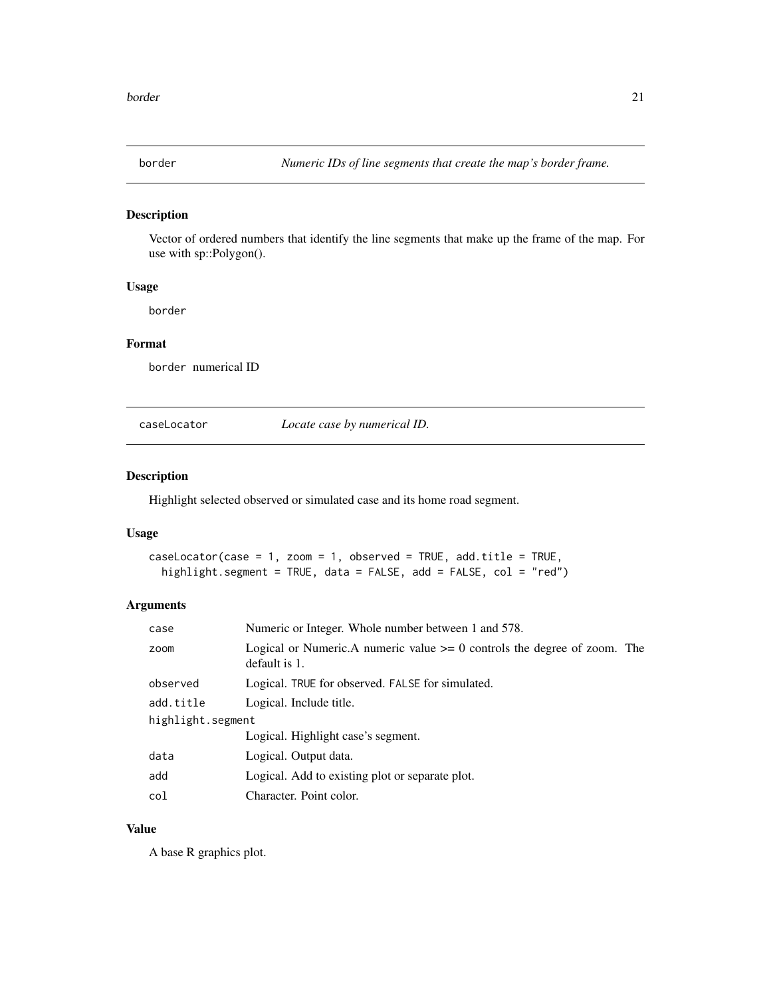<span id="page-20-0"></span>

Vector of ordered numbers that identify the line segments that make up the frame of the map. For use with sp::Polygon().

# Usage

border

#### Format

border numerical ID

<span id="page-20-1"></span>caseLocator *Locate case by numerical ID.*

# Description

Highlight selected observed or simulated case and its home road segment.

# Usage

```
caseLocator(case = 1, zoom = 1, observed = TRUE, add.title = TRUE,
  highlight.segment = TRUE, data = FALSE, add = FALSE, col = "red")
```
# Arguments

| case              | Numeric or Integer. Whole number between 1 and 578.                                            |
|-------------------|------------------------------------------------------------------------------------------------|
| zoom              | Logical or Numeric. A numeric value $\geq 0$ controls the degree of zoom. The<br>default is 1. |
| observed          | Logical. TRUE for observed. FALSE for simulated.                                               |
| add.title         | Logical. Include title.                                                                        |
| highlight.segment |                                                                                                |
|                   | Logical. Highlight case's segment.                                                             |
| data              | Logical. Output data.                                                                          |
| add               | Logical. Add to existing plot or separate plot.                                                |
| col               | Character. Point color.                                                                        |

#### Value

A base R graphics plot.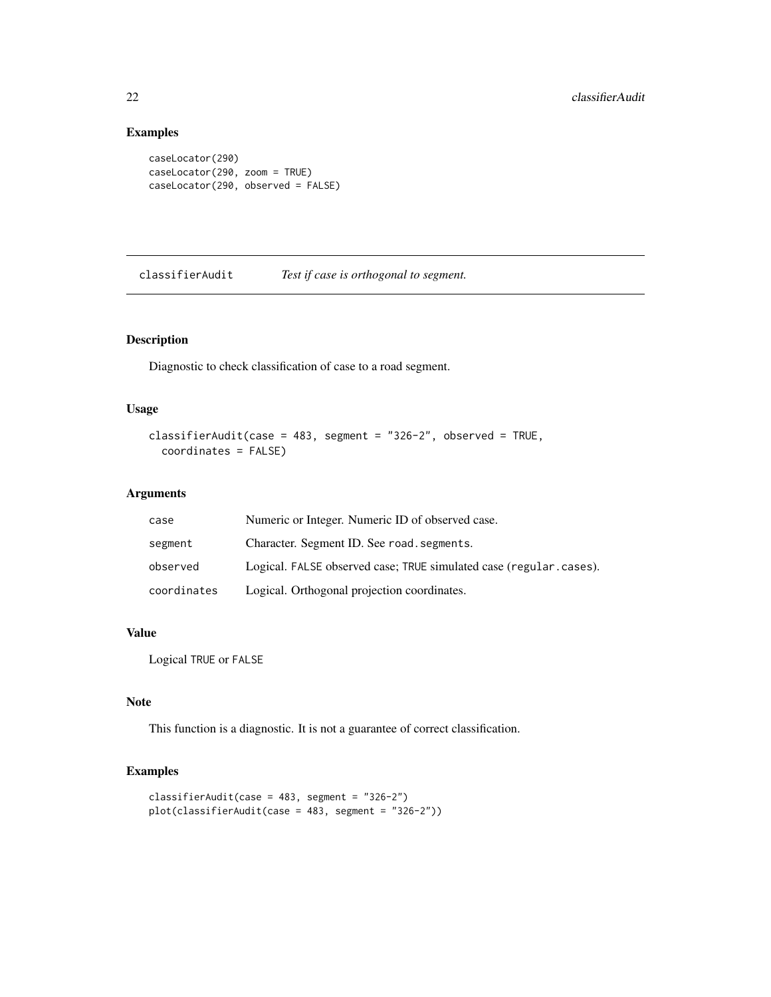# Examples

```
caseLocator(290)
caseLocator(290, zoom = TRUE)
caseLocator(290, observed = FALSE)
```
classifierAudit *Test if case is orthogonal to segment.*

# Description

Diagnostic to check classification of case to a road segment.

# Usage

```
classifierAudit(case = 483, segment = "326-2", observed = TRUE,
  coordinates = FALSE)
```
#### Arguments

| case        | Numeric or Integer. Numeric ID of observed case.                   |
|-------------|--------------------------------------------------------------------|
| segment     | Character. Segment ID. See road. segments.                         |
| observed    | Logical. FALSE observed case: TRUE simulated case (regular.cases). |
| coordinates | Logical. Orthogonal projection coordinates.                        |

#### Value

Logical TRUE or FALSE

#### Note

This function is a diagnostic. It is not a guarantee of correct classification.

# Examples

```
\text{classification}(\text{case} = 483, \text{ segment} = "326-2")plot(classifierAudit(case = 483, segment = "326-2"))
```
<span id="page-21-0"></span>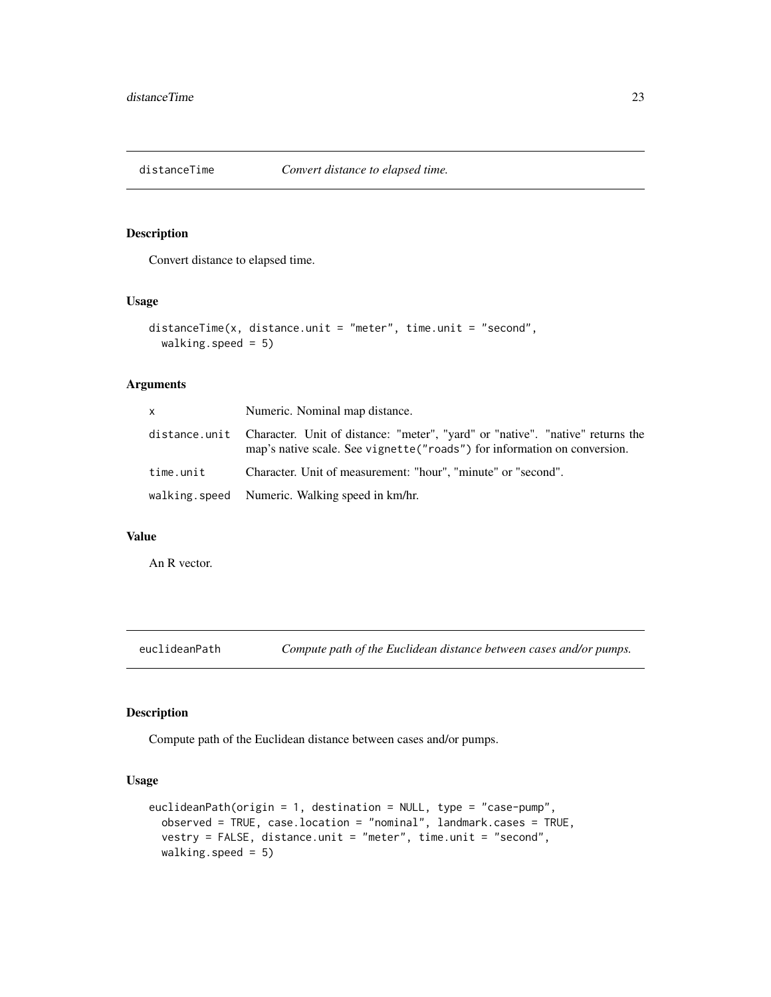<span id="page-22-0"></span>

Convert distance to elapsed time.

#### Usage

```
distanceTime(x, distance.unit = "meter", time.unit = "second",
 walking.speed = 5)
```
#### Arguments

| $\times$  | Numeric. Nominal map distance.                                                                                                                                            |
|-----------|---------------------------------------------------------------------------------------------------------------------------------------------------------------------------|
|           | distance.unit Character. Unit of distance: "meter", "yard" or "native". "native" returns the<br>map's native scale. See vignette ("roads") for information on conversion. |
| time.unit | Character. Unit of measurement: "hour", "minute" or "second".                                                                                                             |
|           | walking speed Numeric. Walking speed in km/hr.                                                                                                                            |

#### Value

An R vector.

euclideanPath *Compute path of the Euclidean distance between cases and/or pumps.*

# Description

Compute path of the Euclidean distance between cases and/or pumps.

```
euclideanPath(origin = 1, destination = NULL, type = "case-pump",
  observed = TRUE, case.location = "nominal", landmark.cases = TRUE,
  vestry = FALSE, distance.unit = "meter", time.unit = "second",
 walking.speed = 5)
```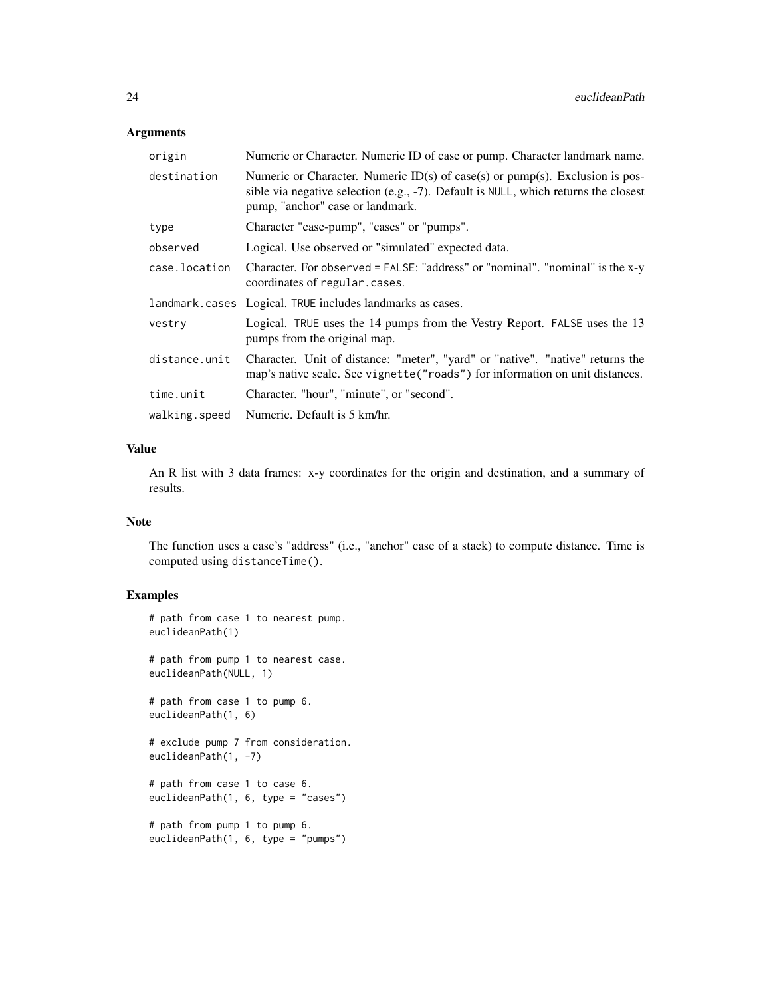| origin        | Numeric or Character. Numeric ID of case or pump. Character landmark name.                                                                                                                                |
|---------------|-----------------------------------------------------------------------------------------------------------------------------------------------------------------------------------------------------------|
| destination   | Numeric or Character. Numeric $ID(s)$ of case(s) or pump(s). Exclusion is pos-<br>sible via negative selection (e.g., -7). Default is NULL, which returns the closest<br>pump, "anchor" case or landmark. |
| type          | Character "case-pump", "cases" or "pumps".                                                                                                                                                                |
| observed      | Logical. Use observed or "simulated" expected data.                                                                                                                                                       |
| case.location | Character. For observed = FALSE: "address" or "nominal". "nominal" is the x-y<br>coordinates of regular.cases.                                                                                            |
|               | landmark.cases Logical. TRUE includes landmarks as cases.                                                                                                                                                 |
| vestry        | Logical. TRUE uses the 14 pumps from the Vestry Report. FALSE uses the 13<br>pumps from the original map.                                                                                                 |
| distance.unit | Character. Unit of distance: "meter", "yard" or "native". "native" returns the<br>map's native scale. See vignette("roads") for information on unit distances.                                            |
| time.unit     | Character. "hour", "minute", or "second".                                                                                                                                                                 |
| walking.speed | Numeric. Default is 5 km/hr.                                                                                                                                                                              |

#### Value

An R list with 3 data frames: x-y coordinates for the origin and destination, and a summary of results.

#### Note

The function uses a case's "address" (i.e., "anchor" case of a stack) to compute distance. Time is computed using distanceTime().

# Examples

```
# path from case 1 to nearest pump.
euclideanPath(1)
# path from pump 1 to nearest case.
euclideanPath(NULL, 1)
# path from case 1 to pump 6.
euclideanPath(1, 6)
# exclude pump 7 from consideration.
euclideanPath(1, -7)
# path from case 1 to case 6.
euclideanPath(1, 6, type = "cases")
# path from pump 1 to pump 6.
euclideanPath(1, 6, type = "pumps")
```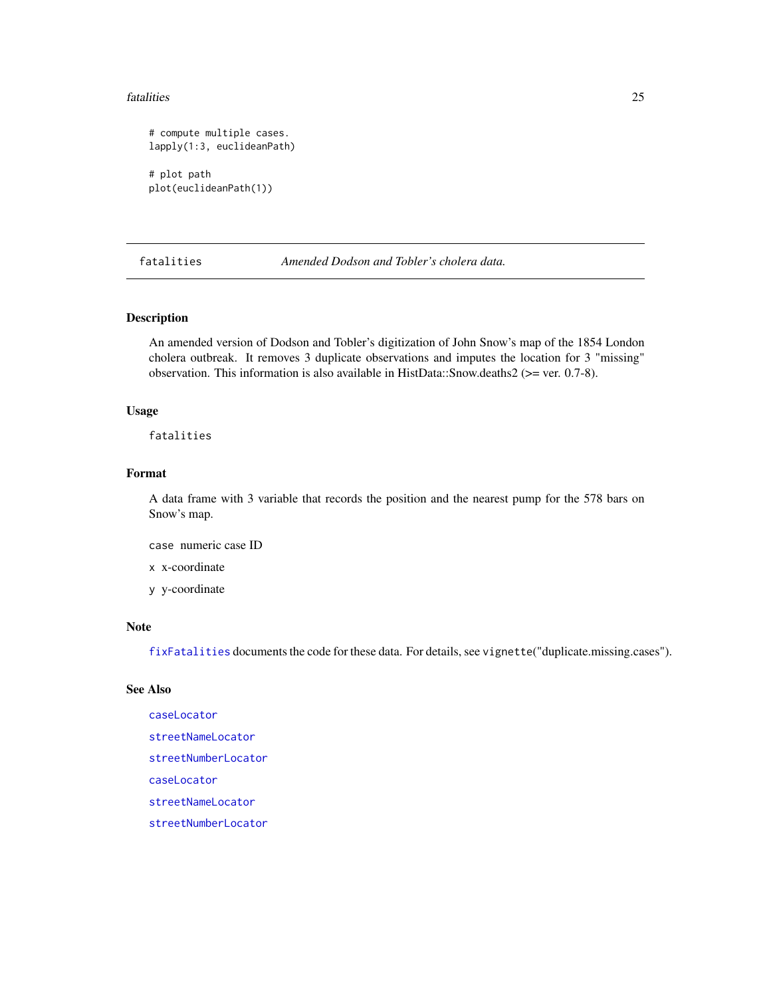#### <span id="page-24-0"></span>fatalities 25

```
# compute multiple cases.
lapply(1:3, euclideanPath)
# plot path
plot(euclideanPath(1))
```
fatalities *Amended Dodson and Tobler's cholera data.*

# Description

An amended version of Dodson and Tobler's digitization of John Snow's map of the 1854 London cholera outbreak. It removes 3 duplicate observations and imputes the location for 3 "missing" observation. This information is also available in HistData::Snow.deaths2 (>= ver. 0.7-8).

#### Usage

fatalities

#### Format

A data frame with 3 variable that records the position and the nearest pump for the 578 bars on Snow's map.

case numeric case ID

x x-coordinate

y y-coordinate

#### Note

[fixFatalities](#page-26-1) documents the code for these data. For details, see vignette("duplicate.missing.cases").

#### See Also

[caseLocator](#page-20-1) [streetNameLocator](#page-72-1) [streetNumberLocator](#page-74-1) [caseLocator](#page-20-1) [streetNameLocator](#page-72-1) [streetNumberLocator](#page-74-1)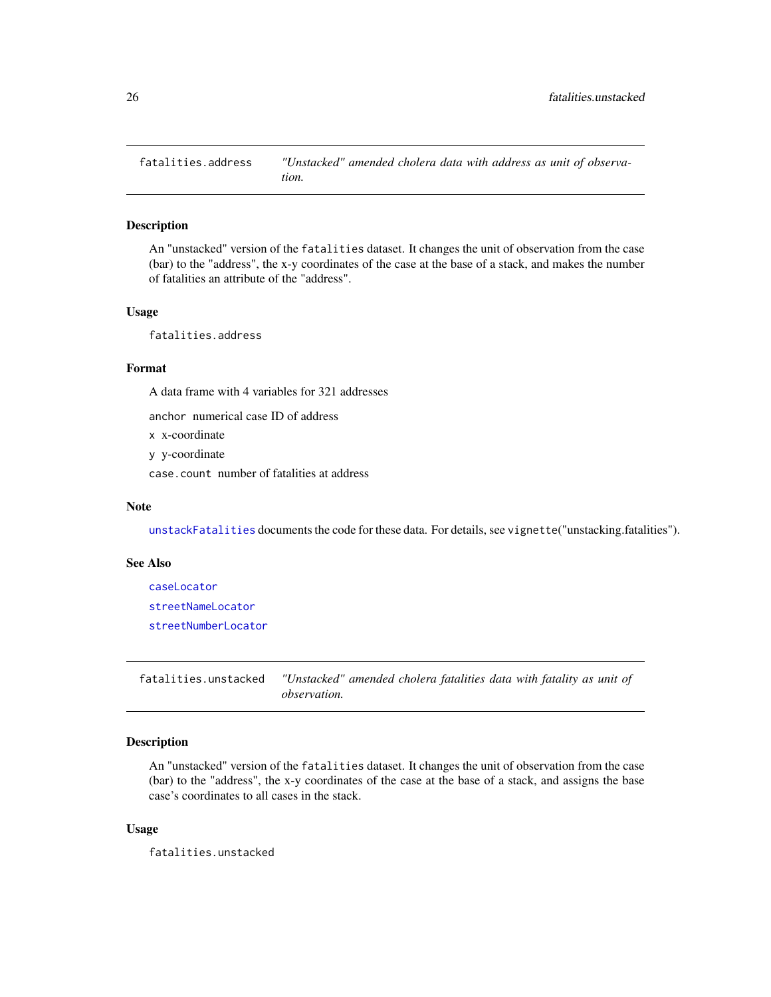<span id="page-25-0"></span>fatalities.address *"Unstacked" amended cholera data with address as unit of observation.*

#### Description

An "unstacked" version of the fatalities dataset. It changes the unit of observation from the case (bar) to the "address", the x-y coordinates of the case at the base of a stack, and makes the number of fatalities an attribute of the "address".

#### Usage

fatalities.address

# Format

A data frame with 4 variables for 321 addresses

anchor numerical case ID of address

x x-coordinate

y y-coordinate

case.count number of fatalities at address

#### Note

[unstackFatalities](#page-78-1) documents the code for these data. For details, see vignette("unstacking.fatalities").

#### See Also

[caseLocator](#page-20-1) [streetNameLocator](#page-72-1) [streetNumberLocator](#page-74-1)

fatalities.unstacked *"Unstacked" amended cholera fatalities data with fatality as unit of observation.*

# Description

An "unstacked" version of the fatalities dataset. It changes the unit of observation from the case (bar) to the "address", the x-y coordinates of the case at the base of a stack, and assigns the base case's coordinates to all cases in the stack.

#### Usage

fatalities.unstacked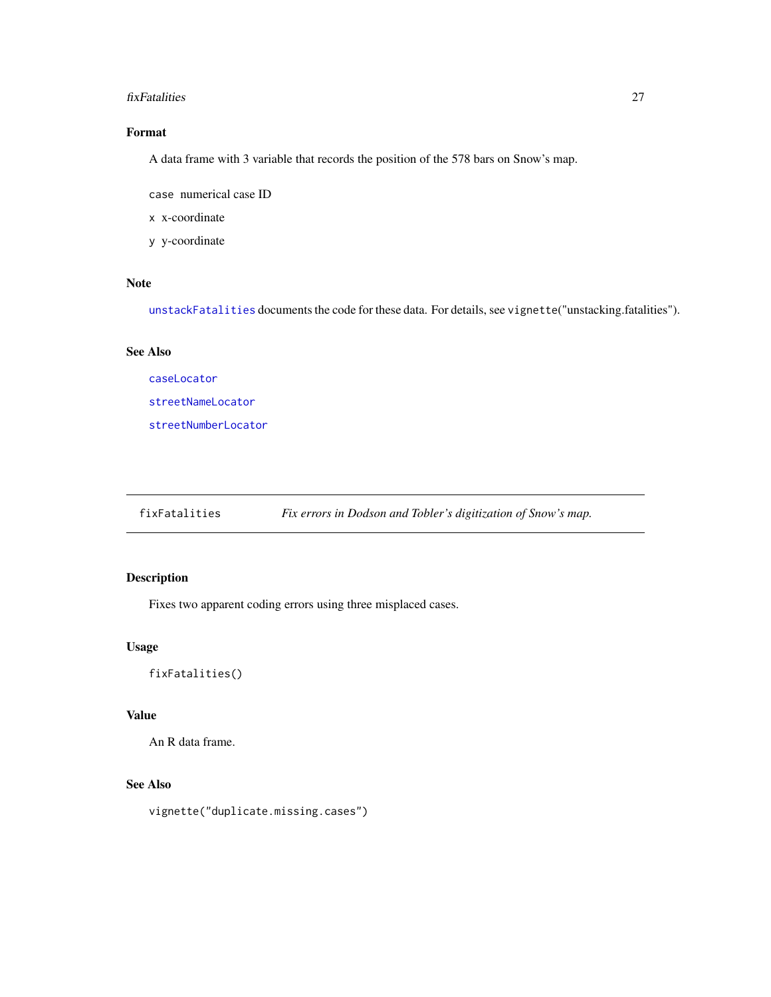#### <span id="page-26-0"></span>fixFatalities 27

# Format

A data frame with 3 variable that records the position of the 578 bars on Snow's map.

case numerical case ID

x x-coordinate

y y-coordinate

#### Note

[unstackFatalities](#page-78-1) documents the code for these data. For details, see vignette("unstacking.fatalities").

#### See Also

[caseLocator](#page-20-1) [streetNameLocator](#page-72-1) [streetNumberLocator](#page-74-1)

<span id="page-26-1"></span>fixFatalities *Fix errors in Dodson and Tobler's digitization of Snow's map.*

# Description

Fixes two apparent coding errors using three misplaced cases.

#### Usage

fixFatalities()

#### Value

An R data frame.

#### See Also

vignette("duplicate.missing.cases")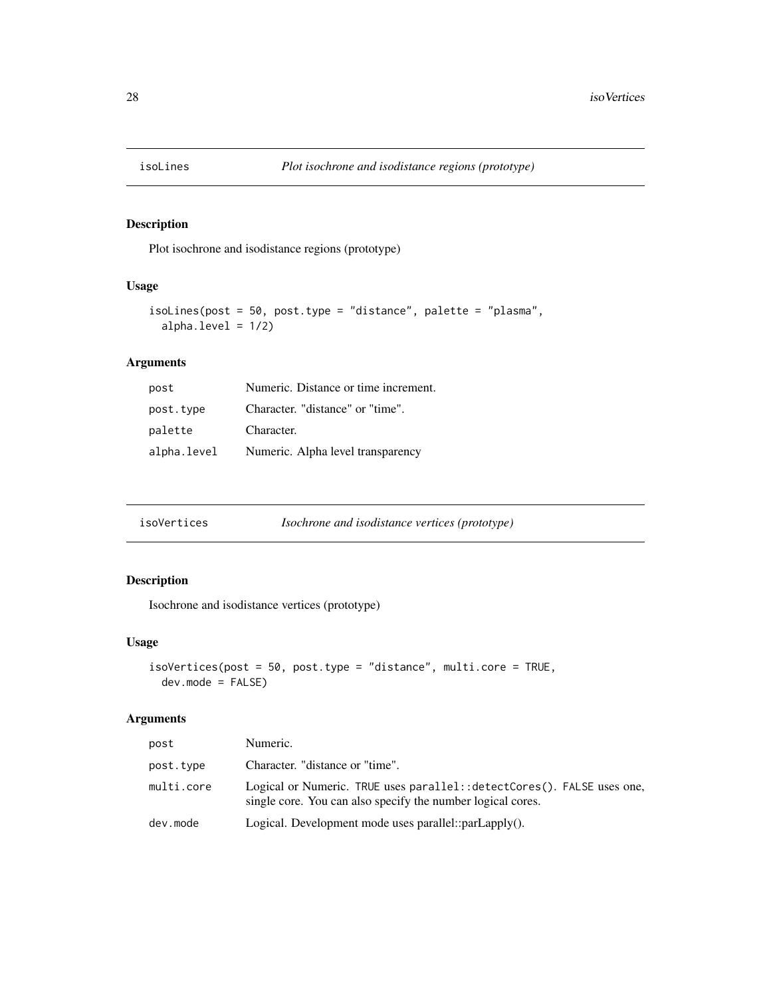<span id="page-27-0"></span>

Plot isochrone and isodistance regions (prototype)

# Usage

```
isoLines(post = 50, post.type = "distance", palette = "plasma",
 alpha.level = 1/2)
```
# Arguments

| post        | Numeric. Distance or time increment. |
|-------------|--------------------------------------|
| post.type   | Character. "distance" or "time".     |
| palette     | Character.                           |
| alpha.level | Numeric. Alpha level transparency    |

| isoVertices | <i>Isochrone and isodistance vertices (prototype)</i> |
|-------------|-------------------------------------------------------|
|-------------|-------------------------------------------------------|

# Description

Isochrone and isodistance vertices (prototype)

# Usage

```
isoVertices(post = 50, post.type = "distance", multi.core = TRUE,
 dev.mode = FALSE)
```
# Arguments

| post       | Numeric.                                                                                                                                |
|------------|-----------------------------------------------------------------------------------------------------------------------------------------|
| post.type  | Character. "distance or "time".                                                                                                         |
| multi.core | Logical or Numeric. TRUE uses parallel: : detectCores(). FALSE uses one,<br>single core. You can also specify the number logical cores. |
| dev.mode   | Logical. Development mode uses parallel::parLapply().                                                                                   |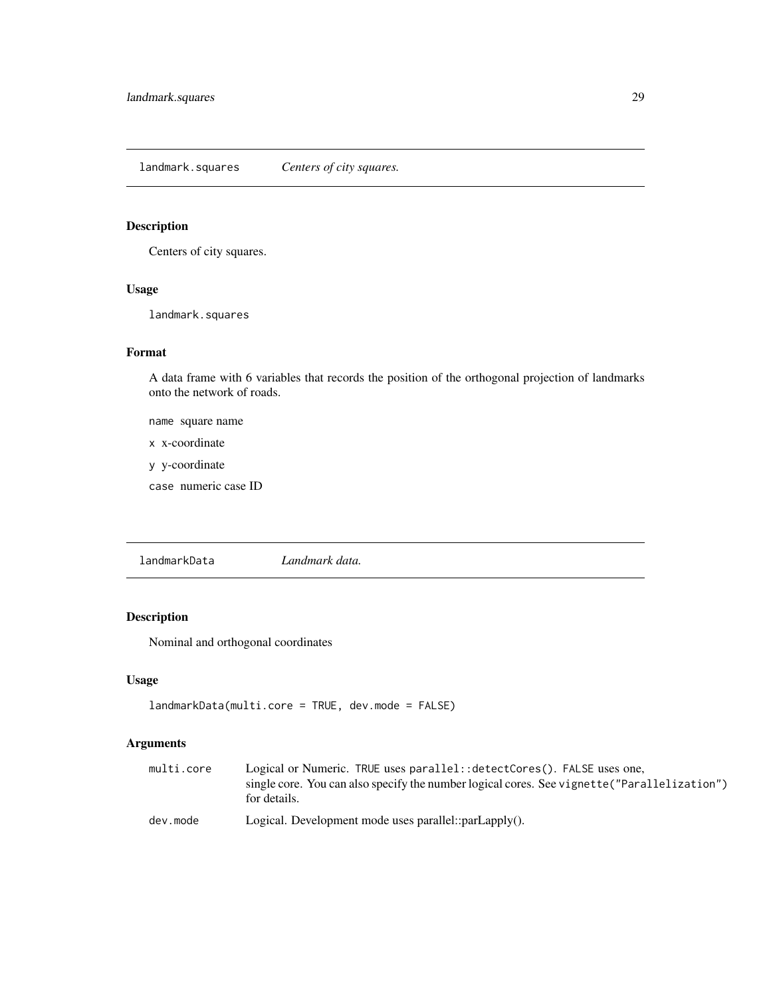<span id="page-28-0"></span>landmark.squares *Centers of city squares.*

# Description

Centers of city squares.

# Usage

landmark.squares

# Format

A data frame with 6 variables that records the position of the orthogonal projection of landmarks onto the network of roads.

name square name

x x-coordinate

y y-coordinate

case numeric case ID

<span id="page-28-1"></span>landmarkData *Landmark data.*

# Description

Nominal and orthogonal coordinates

#### Usage

```
landmarkData(multi.core = TRUE, dev.mode = FALSE)
```
#### Arguments

| multi.core | Logical or Numeric. TRUE uses parallel: : detectCores(). FALSE uses one,                     |
|------------|----------------------------------------------------------------------------------------------|
|            | single core. You can also specify the number logical cores. See vignette ("Parallelization") |
|            | for details.                                                                                 |
| dev.mode   | Logical. Development mode uses parallel::parLapply().                                        |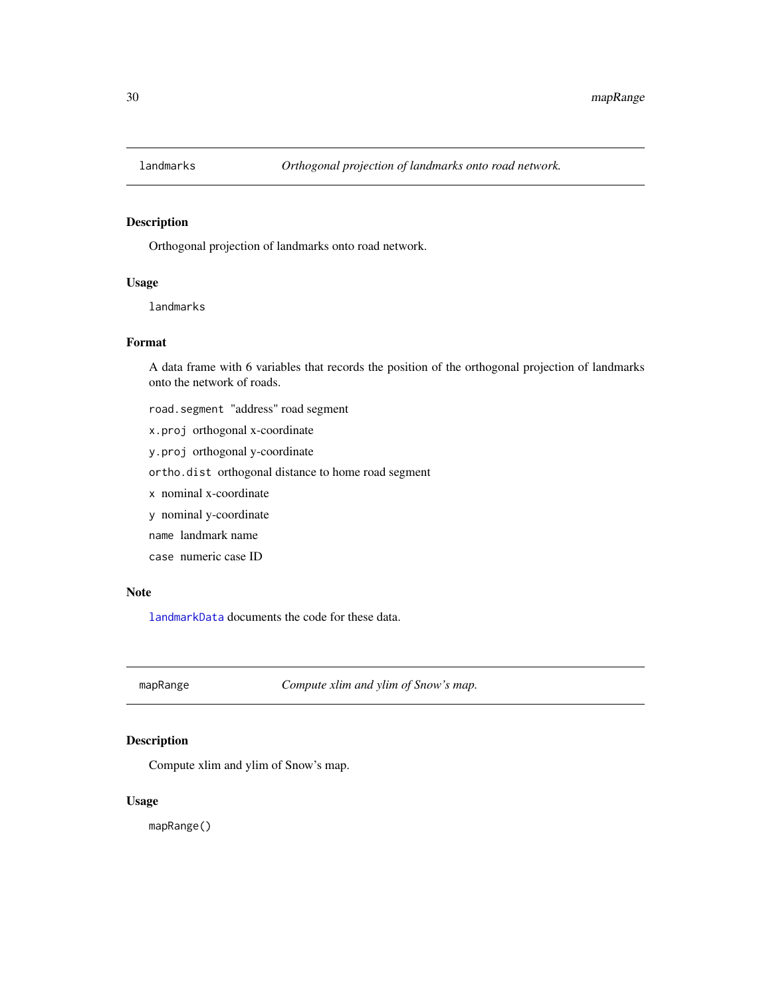<span id="page-29-0"></span>

Orthogonal projection of landmarks onto road network.

#### Usage

landmarks

#### Format

A data frame with 6 variables that records the position of the orthogonal projection of landmarks onto the network of roads.

- road.segment "address" road segment
- x.proj orthogonal x-coordinate
- y.proj orthogonal y-coordinate
- ortho.dist orthogonal distance to home road segment
- x nominal x-coordinate
- y nominal y-coordinate
- name landmark name
- case numeric case ID

#### Note

[landmarkData](#page-28-1) documents the code for these data.

mapRange *Compute xlim and ylim of Snow's map.*

# Description

Compute xlim and ylim of Snow's map.

#### Usage

mapRange()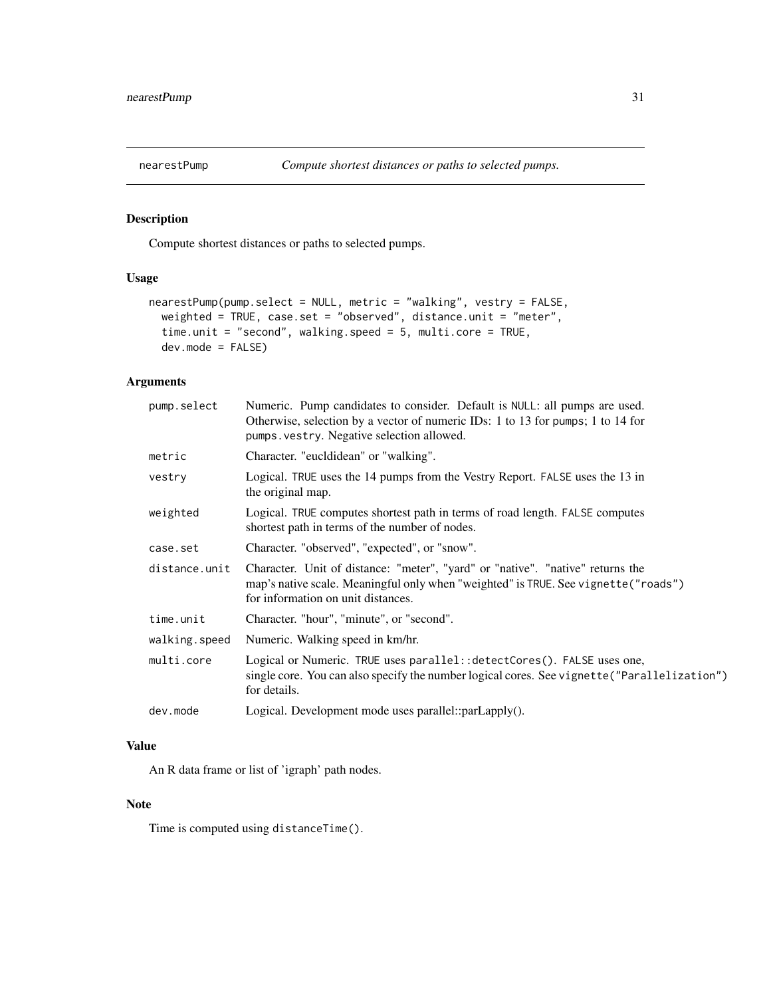<span id="page-30-0"></span>

Compute shortest distances or paths to selected pumps.

# Usage

```
nearestPump(pump.select = NULL, metric = "walking", vestry = FALSE,
 weighted = TRUE, case.set = "observed", distance.unit = "meter",
 time.unit = "second", walking.speed = 5, multi.core = TRUE,
 dev.mode = FALSE)
```
#### Arguments

| pump.select   | Numeric. Pump candidates to consider. Default is NULL: all pumps are used.<br>Otherwise, selection by a vector of numeric IDs: 1 to 13 for pumps; 1 to 14 for<br>pumps. vestry. Negative selection allowed. |
|---------------|-------------------------------------------------------------------------------------------------------------------------------------------------------------------------------------------------------------|
| metric        | Character. "eucldidean" or "walking".                                                                                                                                                                       |
| vestry        | Logical. TRUE uses the 14 pumps from the Vestry Report. FALSE uses the 13 in<br>the original map.                                                                                                           |
| weighted      | Logical. TRUE computes shortest path in terms of road length. FALSE computes<br>shortest path in terms of the number of nodes.                                                                              |
| case.set      | Character. "observed", "expected", or "snow".                                                                                                                                                               |
| distance.unit | Character. Unit of distance: "meter", "yard" or "native". "native" returns the<br>map's native scale. Meaningful only when "weighted" is TRUE. See vignette ("roads")<br>for information on unit distances. |
| time.unit     | Character. "hour", "minute", or "second".                                                                                                                                                                   |
| walking.speed | Numeric. Walking speed in km/hr.                                                                                                                                                                            |
| multi.core    | Logical or Numeric. TRUE uses parallel:: detectCores(). FALSE uses one,<br>single core. You can also specify the number logical cores. See vignette ("Parallelization")<br>for details.                     |
| dev.mode      | Logical. Development mode uses parallel::parLapply().                                                                                                                                                       |

#### Value

An R data frame or list of 'igraph' path nodes.

#### Note

Time is computed using distanceTime().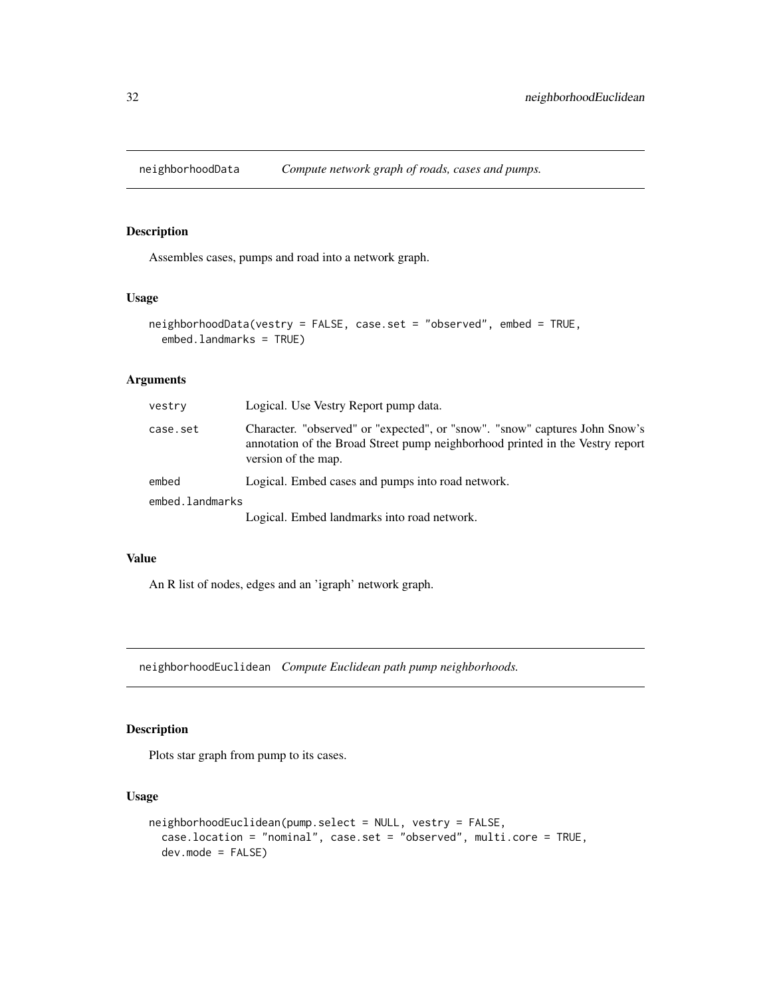<span id="page-31-0"></span>

Assembles cases, pumps and road into a network graph.

#### Usage

```
neighborhoodData(vestry = FALSE, case.set = "observed", embed = TRUE,
  embed.landmarks = TRUE)
```
# Arguments

| vestry          | Logical. Use Vestry Report pump data.                                                                                                                                               |
|-----------------|-------------------------------------------------------------------------------------------------------------------------------------------------------------------------------------|
| case.set        | Character. "observed" or "expected", or "snow". "snow" captures John Snow's<br>annotation of the Broad Street pump neighborhood printed in the Vestry report<br>version of the map. |
| embed           | Logical. Embed cases and pumps into road network.                                                                                                                                   |
| embed.landmarks |                                                                                                                                                                                     |
|                 | Logical. Embed landmarks into road network.                                                                                                                                         |
|                 |                                                                                                                                                                                     |

#### Value

An R list of nodes, edges and an 'igraph' network graph.

neighborhoodEuclidean *Compute Euclidean path pump neighborhoods.*

# Description

Plots star graph from pump to its cases.

```
neighborhoodEuclidean(pump.select = NULL, vestry = FALSE,
 case.location = "nominal", case.set = "observed", multi.core = TRUE,
 dev.mode = FALSE)
```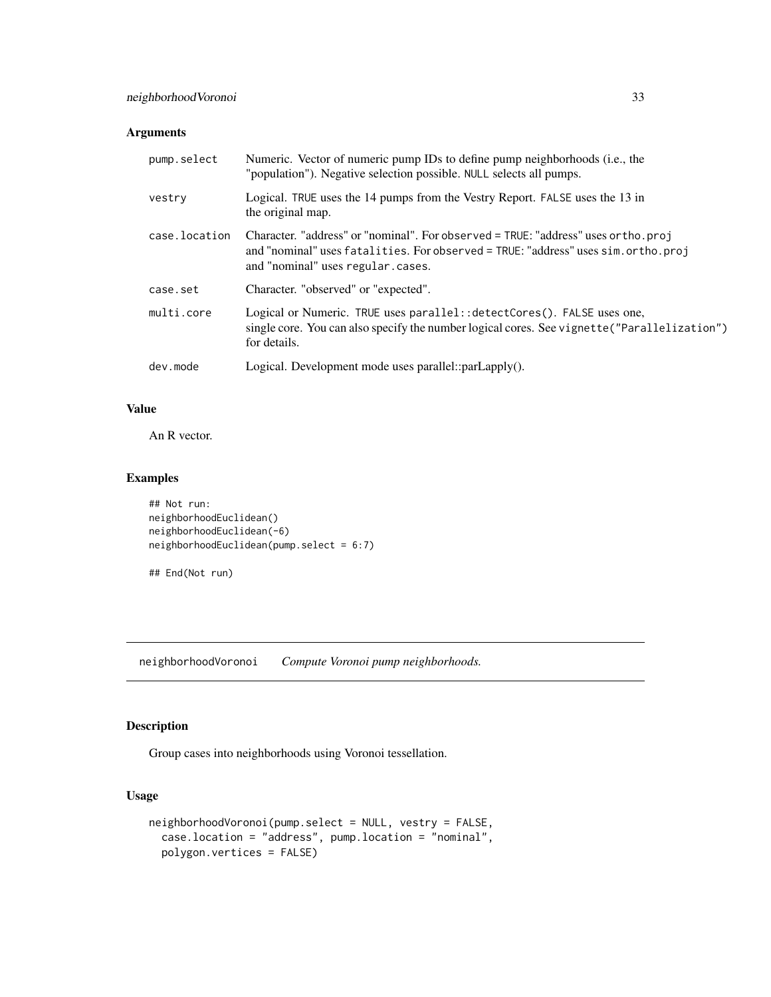<span id="page-32-0"></span>

| pump.select   | Numeric. Vector of numeric pump IDs to define pump neighborhoods (i.e., the<br>"population"). Negative selection possible. NULL selects all pumps.                                                            |
|---------------|---------------------------------------------------------------------------------------------------------------------------------------------------------------------------------------------------------------|
| vestry        | Logical. TRUE uses the 14 pumps from the Vestry Report. FALSE uses the 13 in<br>the original map.                                                                                                             |
| case.location | Character. "address" or "nominal". For observed = TRUE: "address" uses or tho. proj<br>and "nominal" uses fatalities. For observed = TRUE: "address" uses sim.ortho.proj<br>and "nominal" uses regular.cases. |
| case.set      | Character. "observed" or "expected".                                                                                                                                                                          |
| multi.core    | Logical or Numeric. TRUE uses parallel: : detectCores(). FALSE uses one,<br>single core. You can also specify the number logical cores. See vignette ("Parallelization")<br>for details.                      |
| dev.mode      | Logical. Development mode uses parallel:: $parLapply()$ .                                                                                                                                                     |

# Value

An R vector.

# Examples

```
## Not run:
neighborhoodEuclidean()
neighborhoodEuclidean(-6)
neighborhoodEuclidean(pump.select = 6:7)
```

```
## End(Not run)
```
neighborhoodVoronoi *Compute Voronoi pump neighborhoods.*

# Description

Group cases into neighborhoods using Voronoi tessellation.

```
neighborhoodVoronoi(pump.select = NULL, vestry = FALSE,
 case.location = "address", pump.location = "nominal",
 polygon.vertices = FALSE)
```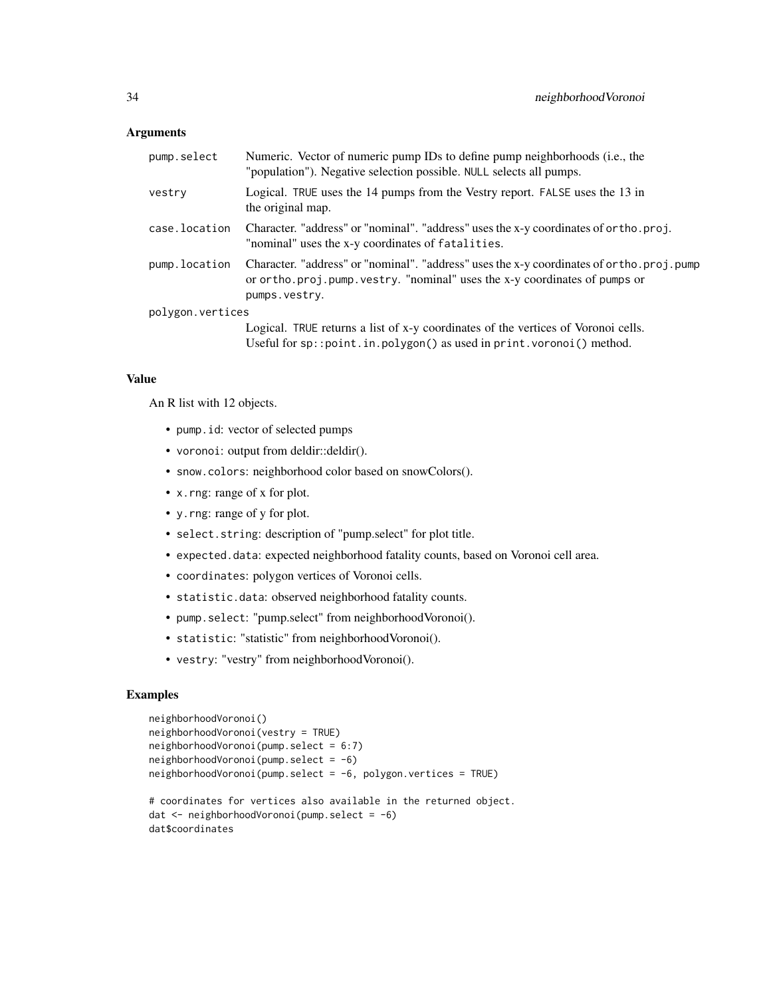| pump.select      | Numeric. Vector of numeric pump IDs to define pump neighborhoods (i.e., the<br>"population"). Negative selection possible. NULL selects all pumps.                                         |
|------------------|--------------------------------------------------------------------------------------------------------------------------------------------------------------------------------------------|
| vestry           | Logical. TRUE uses the 14 pumps from the Vestry report. FALSE uses the 13 in<br>the original map.                                                                                          |
| case.location    | Character. "address" or "nominal". "address" uses the x-y coordinates of ortho.proj.<br>"nominal" uses the x-y coordinates of fatalities.                                                  |
| pump.location    | Character. "address" or "nominal". "address" uses the x-y coordinates of ortho.proj.pump<br>or or tho. proj. pump. vestry. "nominal" uses the x-y coordinates of pumps or<br>pumps.vestry. |
| polygon.vertices |                                                                                                                                                                                            |
|                  | Logical. TRUE returns a list of x-y coordinates of the vertices of Voronoi cells.<br>Useful for sp:: point.in.polygon() as used in print.voronoi() method.                                 |

#### Value

An R list with 12 objects.

- pump.id: vector of selected pumps
- voronoi: output from deldir::deldir().
- snow.colors: neighborhood color based on snowColors().
- x.rng: range of x for plot.
- y.rng: range of y for plot.
- select.string: description of "pump.select" for plot title.
- expected.data: expected neighborhood fatality counts, based on Voronoi cell area.
- coordinates: polygon vertices of Voronoi cells.
- statistic.data: observed neighborhood fatality counts.
- pump.select: "pump.select" from neighborhoodVoronoi().
- statistic: "statistic" from neighborhoodVoronoi().
- vestry: "vestry" from neighborhoodVoronoi().

#### Examples

```
neighborhoodVoronoi()
neighborhoodVoronoi(vestry = TRUE)
neighborhoodVoronoi(pump.select = 6:7)
neighborhoodVoronoi(pump.select = -6)
neighborhoodVoronoi(pump.select = -6, polygon.vertices = TRUE)
# coordinates for vertices also available in the returned object.
dat <- neighborhoodVoronoi(pump.select = -6)
dat$coordinates
```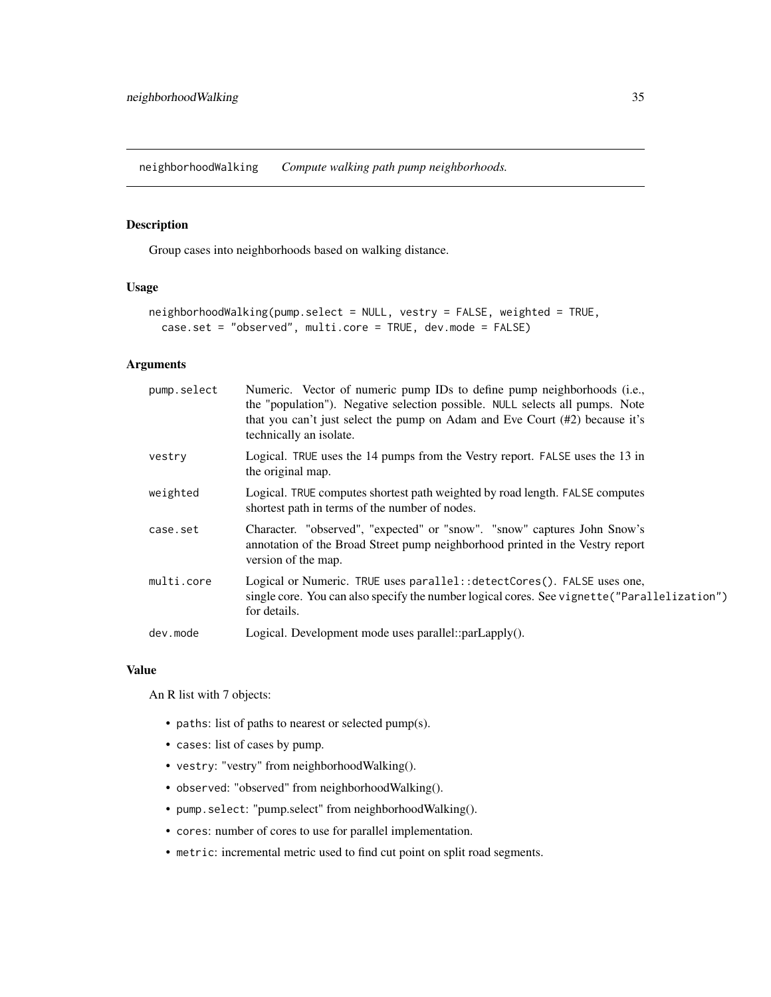<span id="page-34-0"></span>neighborhoodWalking *Compute walking path pump neighborhoods.*

#### Description

Group cases into neighborhoods based on walking distance.

#### Usage

```
neighborhoodWalking(pump.select = NULL, vestry = FALSE, weighted = TRUE,
  case.set = "observed", multi.core = TRUE, dev.mode = FALSE)
```
#### Arguments

| pump.select | Numeric. Vector of numeric pump IDs to define pump neighborhoods (i.e.,<br>the "population"). Negative selection possible. NULL selects all pumps. Note<br>that you can't just select the pump on Adam and Eve Court (#2) because it's<br>technically an isolate. |
|-------------|-------------------------------------------------------------------------------------------------------------------------------------------------------------------------------------------------------------------------------------------------------------------|
| vestry      | Logical. TRUE uses the 14 pumps from the Vestry report. FALSE uses the 13 in<br>the original map.                                                                                                                                                                 |
| weighted    | Logical. TRUE computes shortest path weighted by road length. FALSE computes<br>shortest path in terms of the number of nodes.                                                                                                                                    |
| case.set    | Character. "observed", "expected" or "snow". "snow" captures John Snow's<br>annotation of the Broad Street pump neighborhood printed in the Vestry report<br>version of the map.                                                                                  |
| multi.core  | Logical or Numeric. TRUE uses parallel: : detectCores(). FALSE uses one,<br>single core. You can also specify the number logical cores. See vignette ("Parallelization")<br>for details.                                                                          |
| dev.mode    | Logical. Development mode uses parallel::parLapply().                                                                                                                                                                                                             |
|             |                                                                                                                                                                                                                                                                   |

#### Value

An R list with 7 objects:

- paths: list of paths to nearest or selected pump(s).
- cases: list of cases by pump.
- vestry: "vestry" from neighborhoodWalking().
- observed: "observed" from neighborhoodWalking().
- pump.select: "pump.select" from neighborhoodWalking().
- cores: number of cores to use for parallel implementation.
- metric: incremental metric used to find cut point on split road segments.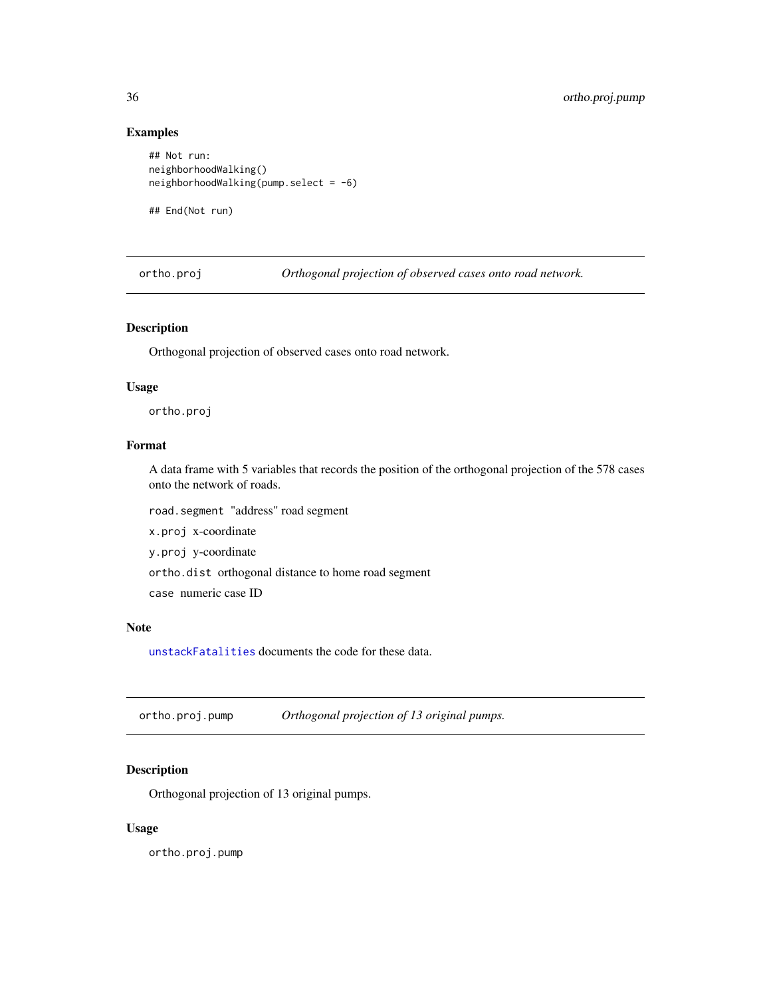#### Examples

```
## Not run:
neighborhoodWalking()
neighborhoodWalking(pump.select = -6)
## End(Not run)
```
ortho.proj *Orthogonal projection of observed cases onto road network.*

#### Description

Orthogonal projection of observed cases onto road network.

#### Usage

ortho.proj

# Format

A data frame with 5 variables that records the position of the orthogonal projection of the 578 cases onto the network of roads.

road.segment "address" road segment x.proj x-coordinate y.proj y-coordinate ortho.dist orthogonal distance to home road segment case numeric case ID

#### Note

[unstackFatalities](#page-78-1) documents the code for these data.

ortho.proj.pump *Orthogonal projection of 13 original pumps.*

# Description

Orthogonal projection of 13 original pumps.

#### Usage

ortho.proj.pump

<span id="page-35-0"></span>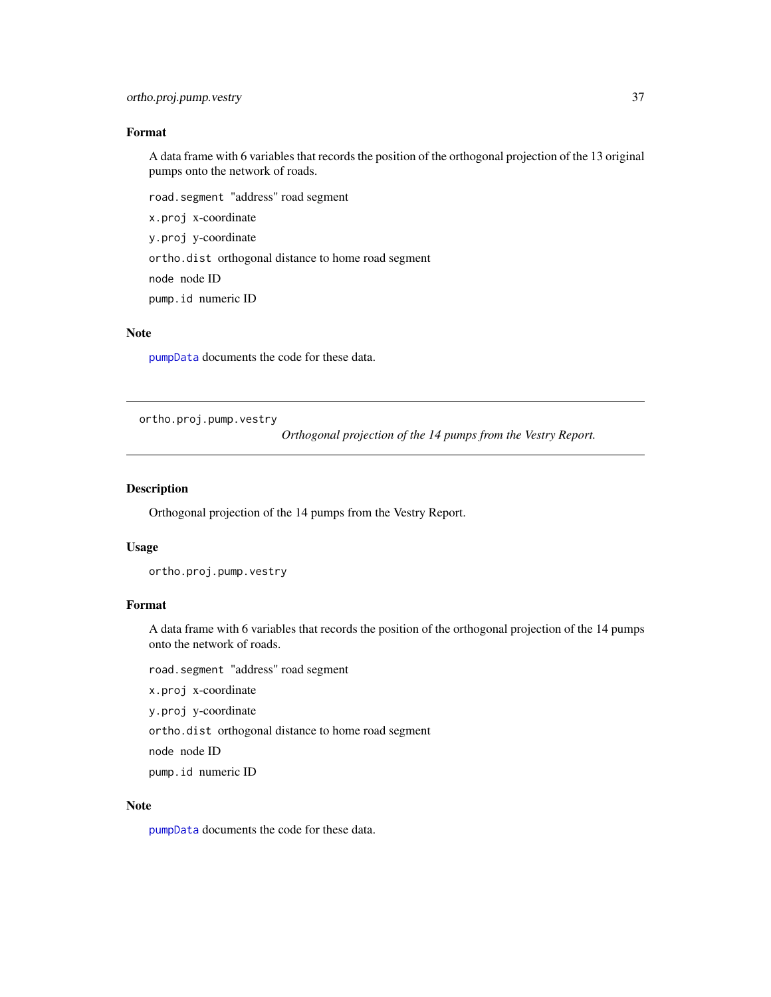#### Format

A data frame with 6 variables that records the position of the orthogonal projection of the 13 original pumps onto the network of roads.

road.segment "address" road segment

x.proj x-coordinate

y.proj y-coordinate

ortho.dist orthogonal distance to home road segment

node node ID

pump.id numeric ID

### Note

[pumpData](#page-57-0) documents the code for these data.

<span id="page-36-0"></span>ortho.proj.pump.vestry

*Orthogonal projection of the 14 pumps from the Vestry Report.*

#### Description

Orthogonal projection of the 14 pumps from the Vestry Report.

#### Usage

ortho.proj.pump.vestry

#### Format

A data frame with 6 variables that records the position of the orthogonal projection of the 14 pumps onto the network of roads.

road.segment "address" road segment

x.proj x-coordinate

y.proj y-coordinate

ortho.dist orthogonal distance to home road segment

node node ID

pump.id numeric ID

#### Note

[pumpData](#page-57-0) documents the code for these data.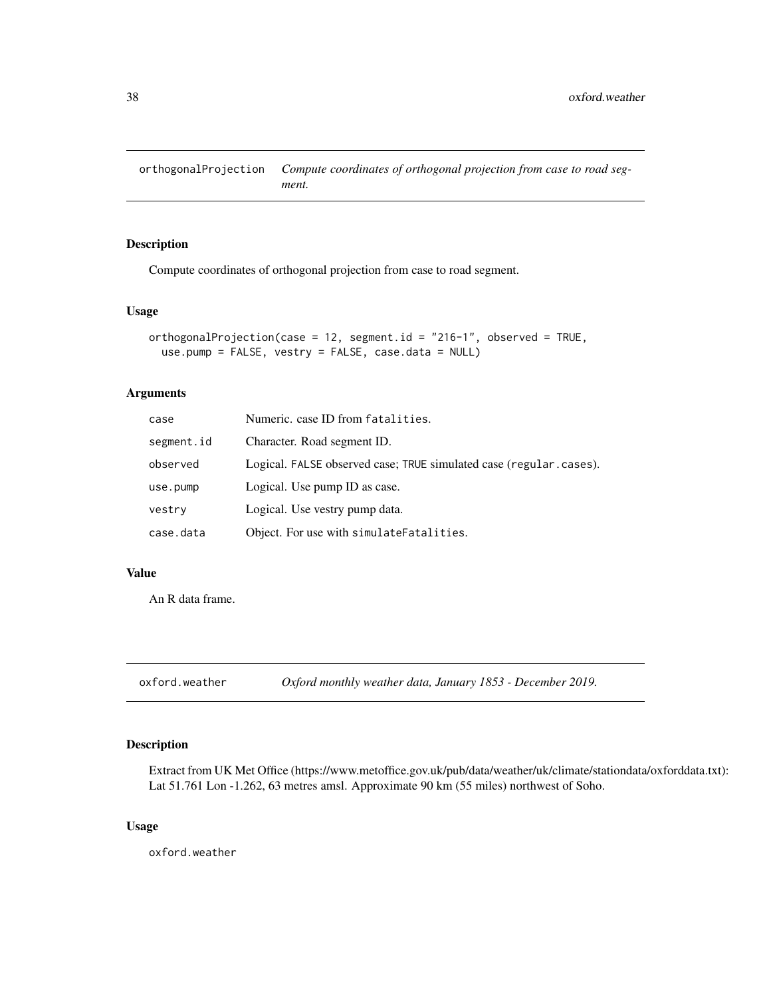orthogonalProjection *Compute coordinates of orthogonal projection from case to road segment.*

#### Description

Compute coordinates of orthogonal projection from case to road segment.

#### Usage

```
orthogonalProjection(case = 12, segment.id = "216-1", observed = TRUE,
  use.pump = FALSE, vestry = FALSE, case.data = NULL)
```
#### Arguments

| case       | Numeric. case ID from fatalities.                                  |
|------------|--------------------------------------------------------------------|
| segment.id | Character. Road segment ID.                                        |
| observed   | Logical. FALSE observed case; TRUE simulated case (regular.cases). |
| use.pump   | Logical. Use pump ID as case.                                      |
| vestry     | Logical. Use vestry pump data.                                     |
| case.data  | Object. For use with simulate Fatalities.                          |

### Value

An R data frame.

oxford.weather *Oxford monthly weather data, January 1853 - December 2019.*

#### Description

Extract from UK Met Office (https://www.metoffice.gov.uk/pub/data/weather/uk/climate/stationdata/oxforddata.txt): Lat 51.761 Lon -1.262, 63 metres amsl. Approximate 90 km (55 miles) northwest of Soho.

# Usage

oxford.weather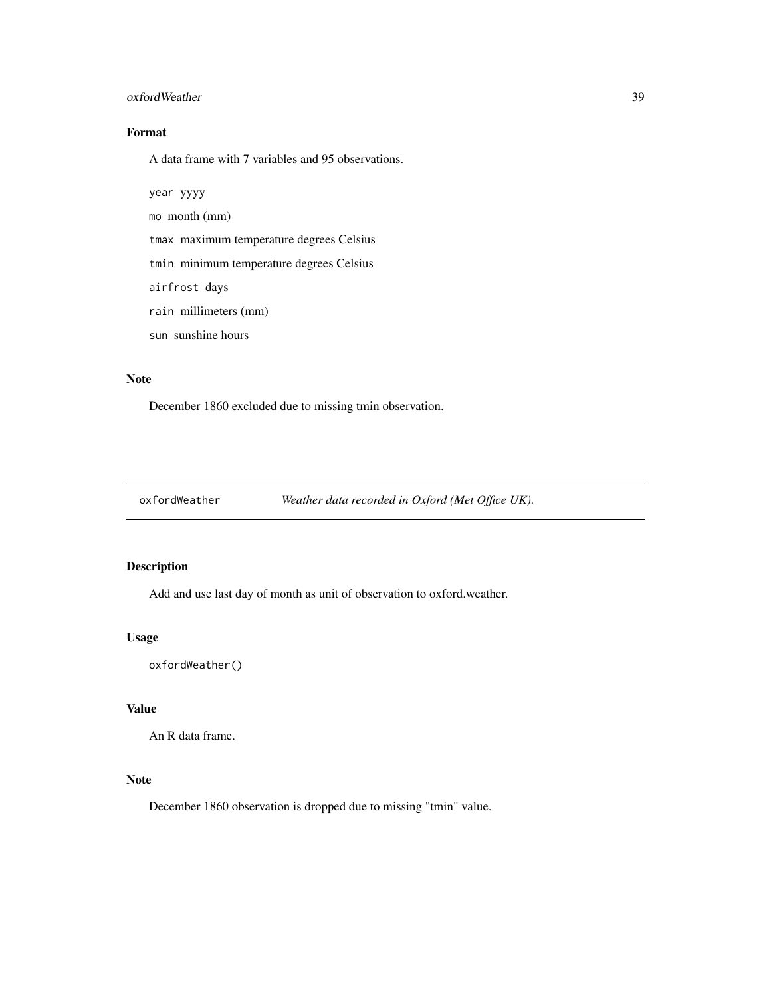#### oxfordWeather 39

# Format

A data frame with 7 variables and 95 observations.

year yyyy

mo month (mm)

tmax maximum temperature degrees Celsius

tmin minimum temperature degrees Celsius

airfrost days

rain millimeters (mm)

sun sunshine hours

#### Note

December 1860 excluded due to missing tmin observation.

oxfordWeather *Weather data recorded in Oxford (Met Office UK).*

### Description

Add and use last day of month as unit of observation to oxford.weather.

#### Usage

oxfordWeather()

#### Value

An R data frame.

# Note

December 1860 observation is dropped due to missing "tmin" value.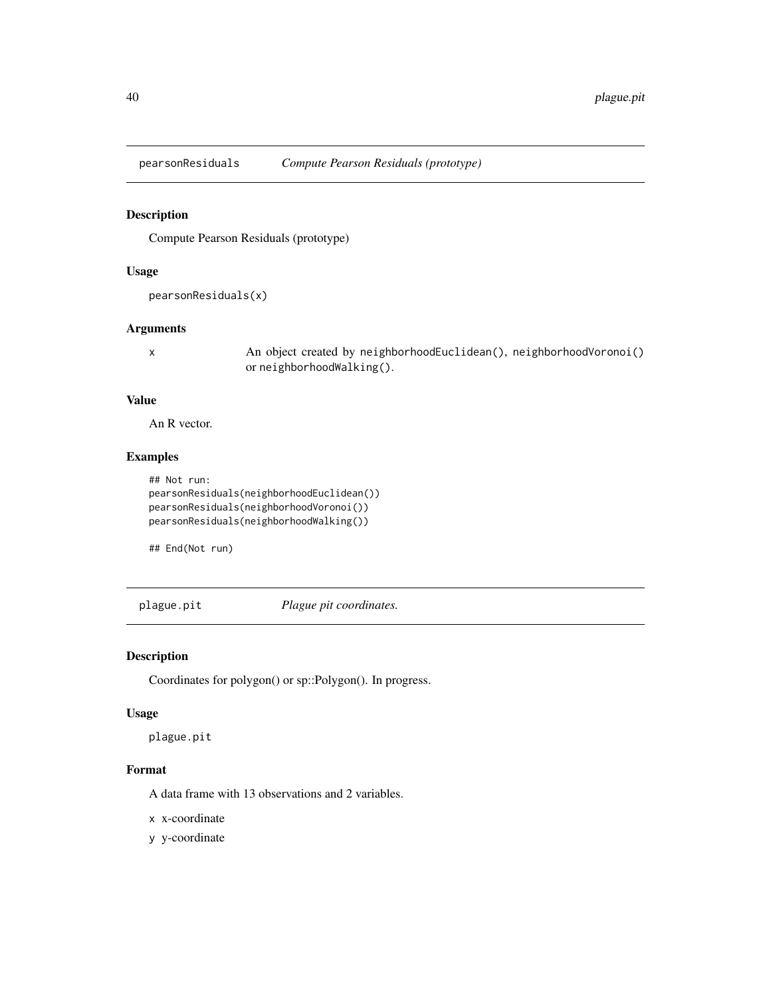Compute Pearson Residuals (prototype)

#### Usage

```
pearsonResiduals(x)
```
#### Arguments

x An object created by neighborhoodEuclidean(), neighborhoodVoronoi() or neighborhoodWalking().

### Value

An R vector.

# Examples

```
## Not run:
pearsonResiduals(neighborhoodEuclidean())
pearsonResiduals(neighborhoodVoronoi())
pearsonResiduals(neighborhoodWalking())
```
## End(Not run)

plague.pit *Plague pit coordinates.*

### Description

Coordinates for polygon() or sp::Polygon(). In progress.

#### Usage

plague.pit

#### Format

A data frame with 13 observations and 2 variables.

x x-coordinate

y y-coordinate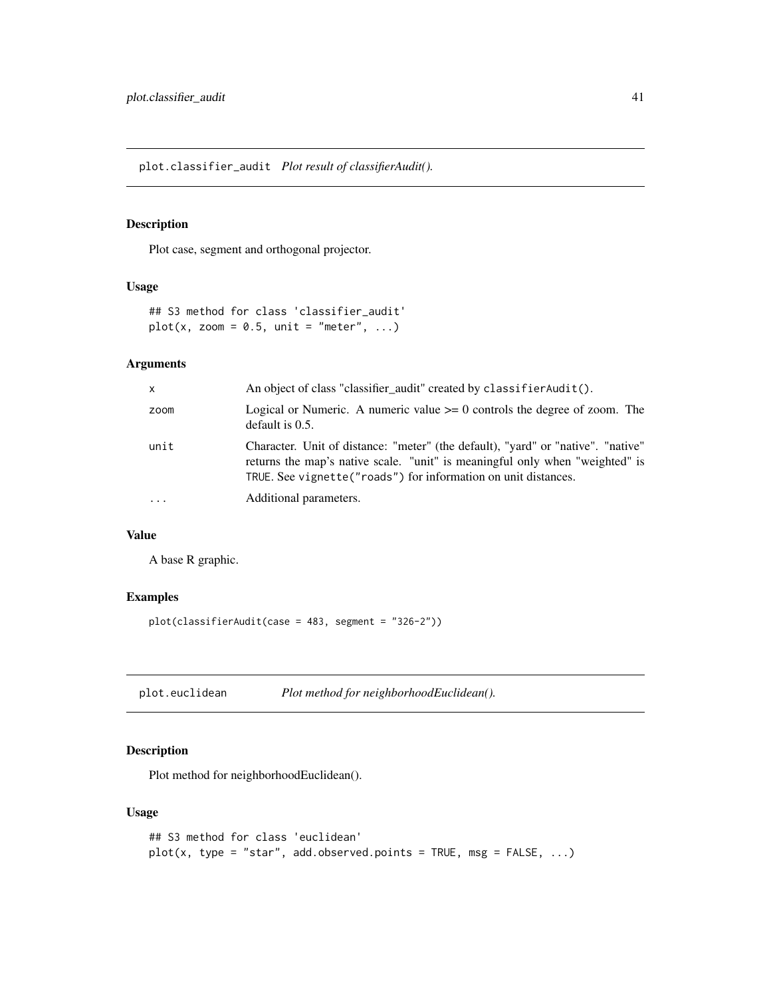plot.classifier\_audit *Plot result of classifierAudit().*

#### Description

Plot case, segment and orthogonal projector.

#### Usage

```
## S3 method for class 'classifier_audit'
plot(x, zoom = 0.5, unit = "meter", ...)
```
#### Arguments

| $\mathsf{x}$ | An object of class "classifier_audit" created by classifier Audit().                                                                                                                                                                |
|--------------|-------------------------------------------------------------------------------------------------------------------------------------------------------------------------------------------------------------------------------------|
| zoom         | Logical or Numeric. A numeric value $\geq 0$ controls the degree of zoom. The<br>default is $0.5$ .                                                                                                                                 |
| unit         | Character. Unit of distance: "meter" (the default), "yard" or "native". "native"<br>returns the map's native scale. "unit" is meaningful only when "weighted" is<br>TRUE. See vignette ("roads") for information on unit distances. |
| $\ddotsc$    | Additional parameters.                                                                                                                                                                                                              |

### Value

A base R graphic.

#### Examples

```
plot(classifierAudit(case = 483, segment = "326-2"))
```
plot.euclidean *Plot method for neighborhoodEuclidean().*

#### Description

Plot method for neighborhoodEuclidean().

#### Usage

```
## S3 method for class 'euclidean'
plot(x, type = "star", add.observed.points = TRUE, msg = FALSE, ...)
```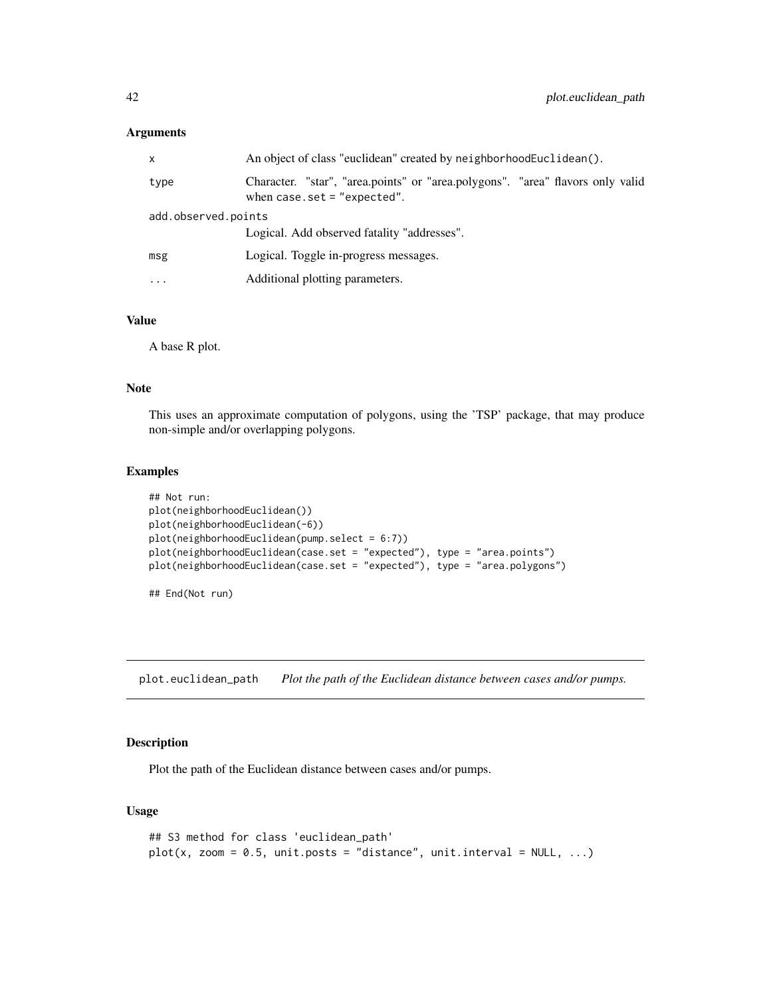#### Arguments

| x                   | An object of class "euclidean" created by neighborhoodEuclidean().                                               |  |
|---------------------|------------------------------------------------------------------------------------------------------------------|--|
| type                | Character. "star", "area.points" or "area.polygons". "area" flavors only valid<br>when case.set = $"expected"$ . |  |
| add.observed.points |                                                                                                                  |  |
|                     | Logical. Add observed fatality "addresses".                                                                      |  |
| msg                 | Logical. Toggle in-progress messages.                                                                            |  |
| .                   | Additional plotting parameters.                                                                                  |  |

#### Value

A base R plot.

#### Note

This uses an approximate computation of polygons, using the 'TSP' package, that may produce non-simple and/or overlapping polygons.

#### Examples

```
## Not run:
plot(neighborhoodEuclidean())
plot(neighborhoodEuclidean(-6))
plot(neighborhoodEuclidean(pump.select = 6:7))
plot(neighborhoodEuclidean(case.set = "expected"), type = "area.points")
plot(neighborhoodEuclidean(case.set = "expected"), type = "area.polygons")
```
## End(Not run)

plot.euclidean\_path *Plot the path of the Euclidean distance between cases and/or pumps.*

#### Description

Plot the path of the Euclidean distance between cases and/or pumps.

#### Usage

```
## S3 method for class 'euclidean_path'
plot(x, zoom = 0.5, unit.posts = "distance", unit.interval = NULL, ...)
```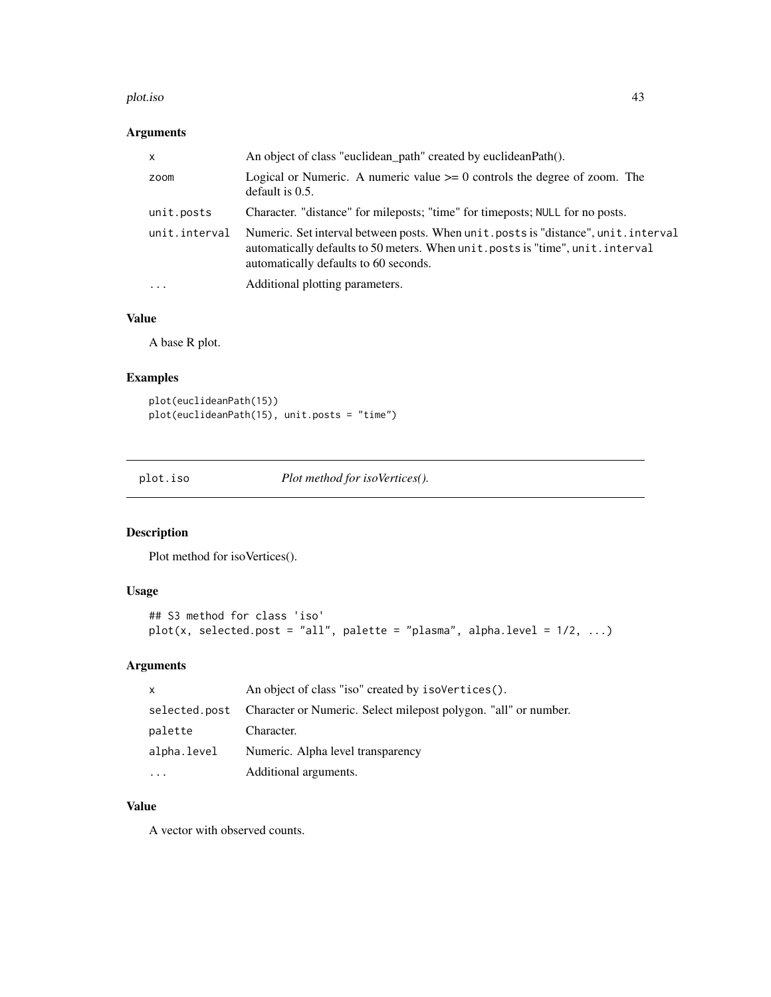#### plot.iso 43

# Arguments

| $\mathsf{x}$  | An object of class "euclidean_path" created by euclideanPath().                                                                                                                                                 |
|---------------|-----------------------------------------------------------------------------------------------------------------------------------------------------------------------------------------------------------------|
| zoom          | Logical or Numeric. A numeric value $\geq 0$ controls the degree of zoom. The<br>default is $0.5$ .                                                                                                             |
| unit.posts    | Character. "distance" for mileposts; "time" for timeposts; NULL for no posts.                                                                                                                                   |
| unit.interval | Numeric. Set interval between posts. When unit posts is "distance", unit . interval<br>automatically defaults to 50 meters. When unit posts is "time", unit . interval<br>automatically defaults to 60 seconds. |
| $\ddots$      | Additional plotting parameters.                                                                                                                                                                                 |

# Value

A base R plot.

### Examples

```
plot(euclideanPath(15))
plot(euclideanPath(15), unit.posts = "time")
```
plot.iso *Plot method for isoVertices().*

### Description

Plot method for isoVertices().

### Usage

```
## S3 method for class 'iso'
plot(x, selected.post = "all", platete = "plasma", alpha-level = 1/2, ...)
```
# Arguments

| X             | An object of class "iso" created by isoVertices().              |
|---------------|-----------------------------------------------------------------|
| selected.post | Character or Numeric. Select milepost polygon. "all" or number. |
| palette       | Character.                                                      |
| alpha.level   | Numeric. Alpha level transparency                               |
| $\ddotsc$     | Additional arguments.                                           |

# Value

A vector with observed counts.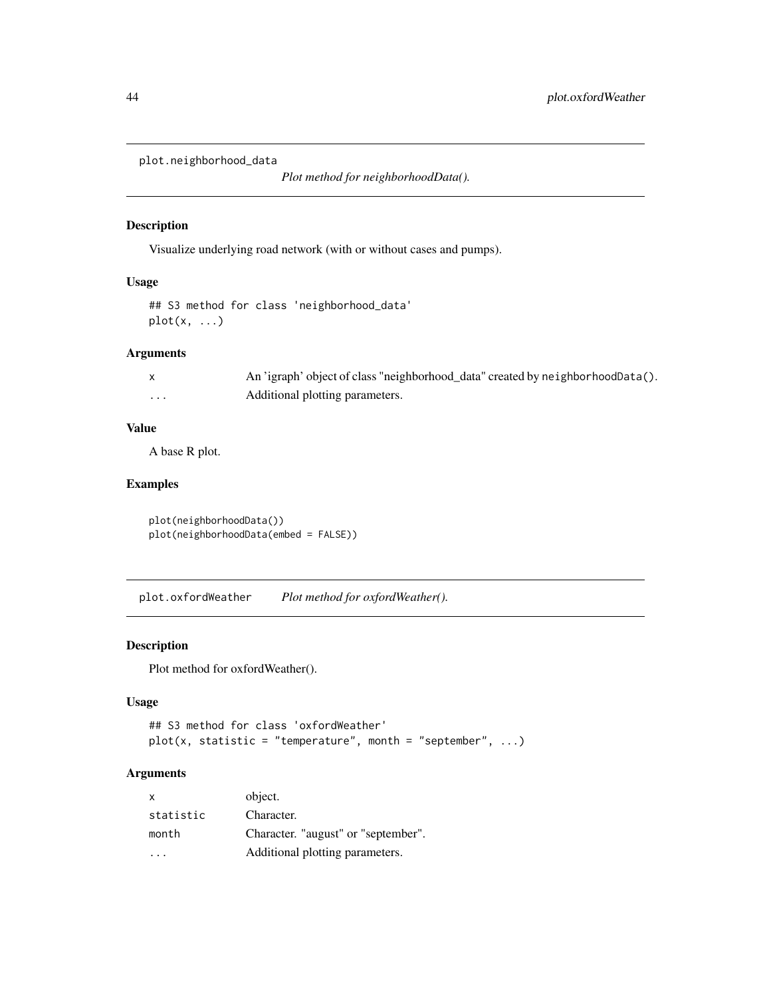plot.neighborhood\_data

*Plot method for neighborhoodData().*

### Description

Visualize underlying road network (with or without cases and pumps).

#### Usage

```
## S3 method for class 'neighborhood_data'
plot(x, \ldots)
```
### Arguments

|   | An 'igraph' object of class "neighborhood_data" created by neighborhoodData(). |
|---|--------------------------------------------------------------------------------|
| . | Additional plotting parameters.                                                |

### Value

A base R plot.

## Examples

plot(neighborhoodData()) plot(neighborhoodData(embed = FALSE))

plot.oxfordWeather *Plot method for oxfordWeather().*

#### Description

Plot method for oxfordWeather().

#### Usage

```
## S3 method for class 'oxfordWeather'
plot(x, static = "temperature", month = "september", ...)
```
### Arguments

| X         | object.                             |
|-----------|-------------------------------------|
| statistic | Character.                          |
| month     | Character. "august" or "september". |
| .         | Additional plotting parameters.     |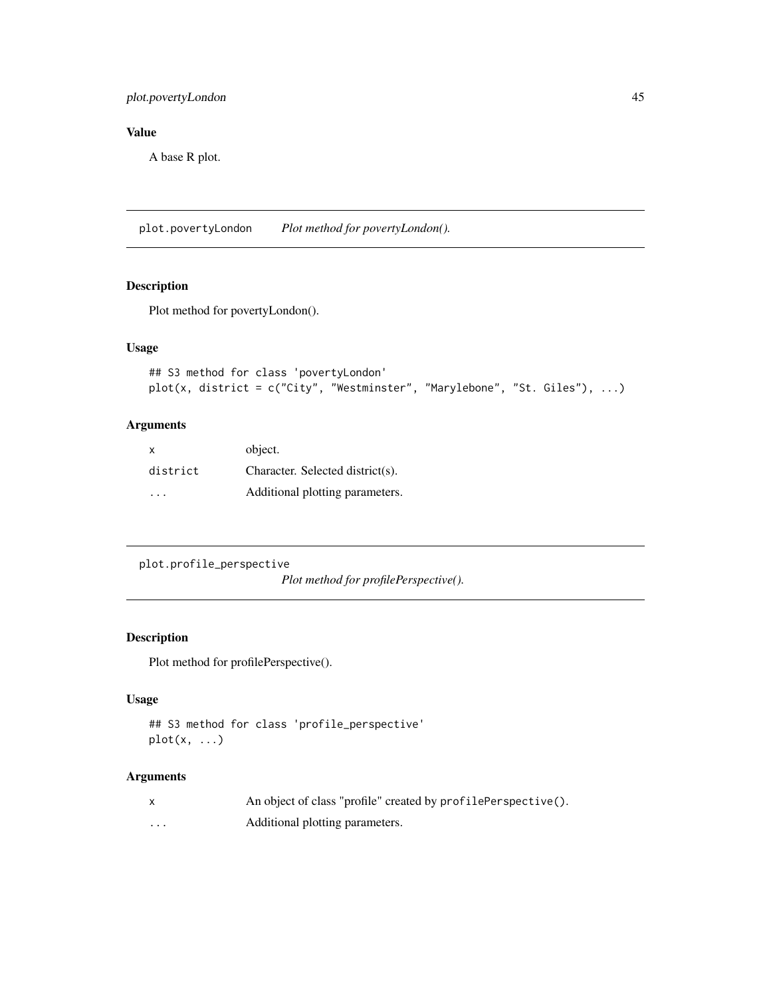### plot.povertyLondon 45

# Value

A base R plot.

plot.povertyLondon *Plot method for povertyLondon().*

#### Description

Plot method for povertyLondon().

### Usage

```
## S3 method for class 'povertyLondon'
plot(x, district = c("City", "Westminster", "Marylebone", "St. Giles"), ...)
```
#### Arguments

| X        | object.                          |
|----------|----------------------------------|
| district | Character. Selected district(s). |
| .        | Additional plotting parameters.  |

plot.profile\_perspective

*Plot method for profilePerspective().*

#### Description

Plot method for profilePerspective().

# Usage

```
## S3 method for class 'profile_perspective'
plot(x, \ldots)
```
#### Arguments

|          | An object of class "profile" created by profilePerspective(). |
|----------|---------------------------------------------------------------|
| $\cdots$ | Additional plotting parameters.                               |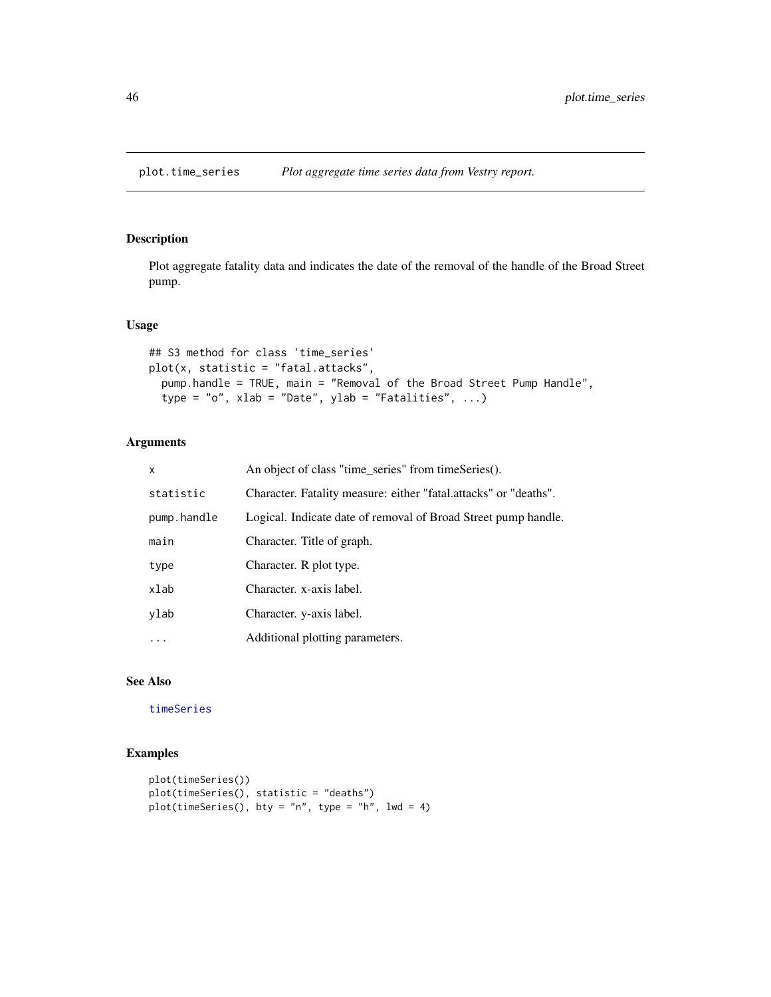plot.time\_series *Plot aggregate time series data from Vestry report.*

### Description

Plot aggregate fatality data and indicates the date of the removal of the handle of the Broad Street pump.

#### Usage

```
## S3 method for class 'time_series'
plot(x, statistic = "fatal. attacks",pump.handle = TRUE, main = "Removal of the Broad Street Pump Handle",
 type = "o", xlab = "Date", ylab = "Fatalities", ...)
```
### Arguments

| $\mathsf{x}$ | An object of class "time_series" from timeSeries().              |
|--------------|------------------------------------------------------------------|
| statistic    | Character. Fatality measure: either "fatal.attacks" or "deaths". |
| pump.handle  | Logical. Indicate date of removal of Broad Street pump handle.   |
| main         | Character. Title of graph.                                       |
| type         | Character. R plot type.                                          |
| xlab         | Character. x-axis label.                                         |
| ylab         | Character. y-axis label.                                         |
| $\ddots$     | Additional plotting parameters.                                  |

#### See Also

[timeSeries](#page-77-0)

```
plot(timeSeries())
plot(timeSeries(), statistic = "deaths")
plot(timeSeries(), bty = "n", type = "h", lw = 4)
```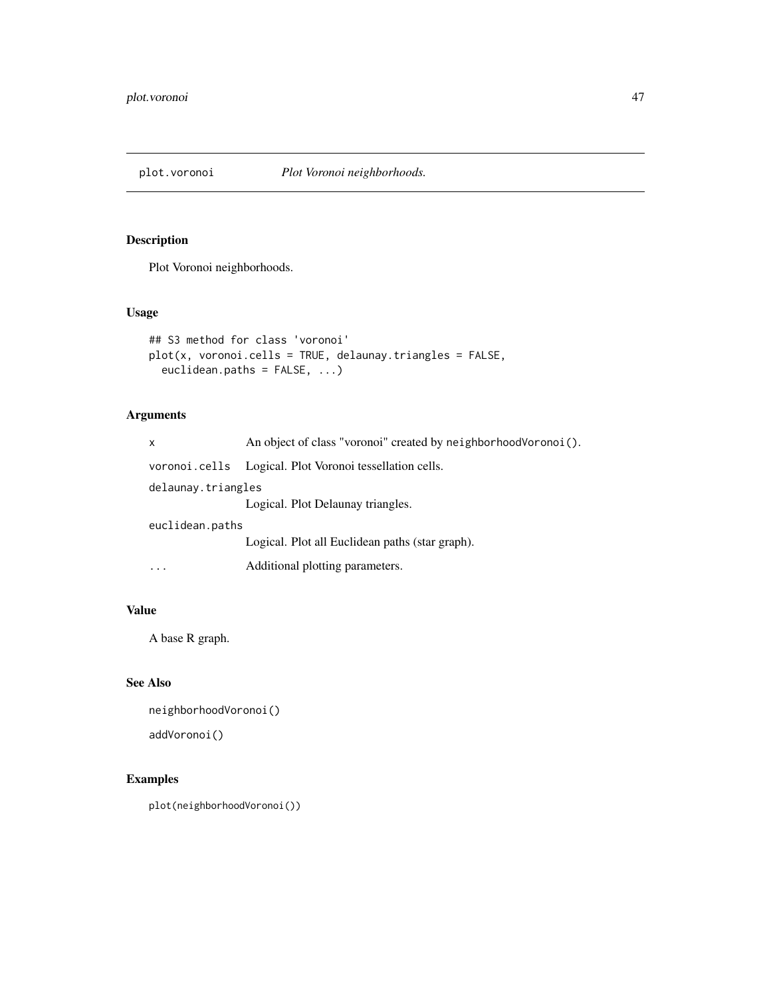Plot Voronoi neighborhoods.

#### Usage

```
## S3 method for class 'voronoi'
plot(x, voronoi.cells = TRUE, delaunay.triangles = FALSE,
 euclidean.paths = FALSE, ...)
```
# Arguments

| X                  | An object of class "voronoi" created by neighborhood Voronoi (). |  |
|--------------------|------------------------------------------------------------------|--|
|                    | voronoi.cells Logical. Plot Voronoi tessellation cells.          |  |
| delaunay.triangles |                                                                  |  |
|                    | Logical. Plot Delaunay triangles.                                |  |
| euclidean.paths    |                                                                  |  |
|                    | Logical. Plot all Euclidean paths (star graph).                  |  |
|                    | Additional plotting parameters.                                  |  |

# Value

A base R graph.

### See Also

```
neighborhoodVoronoi()
addVoronoi()
```
### Examples

plot(neighborhoodVoronoi())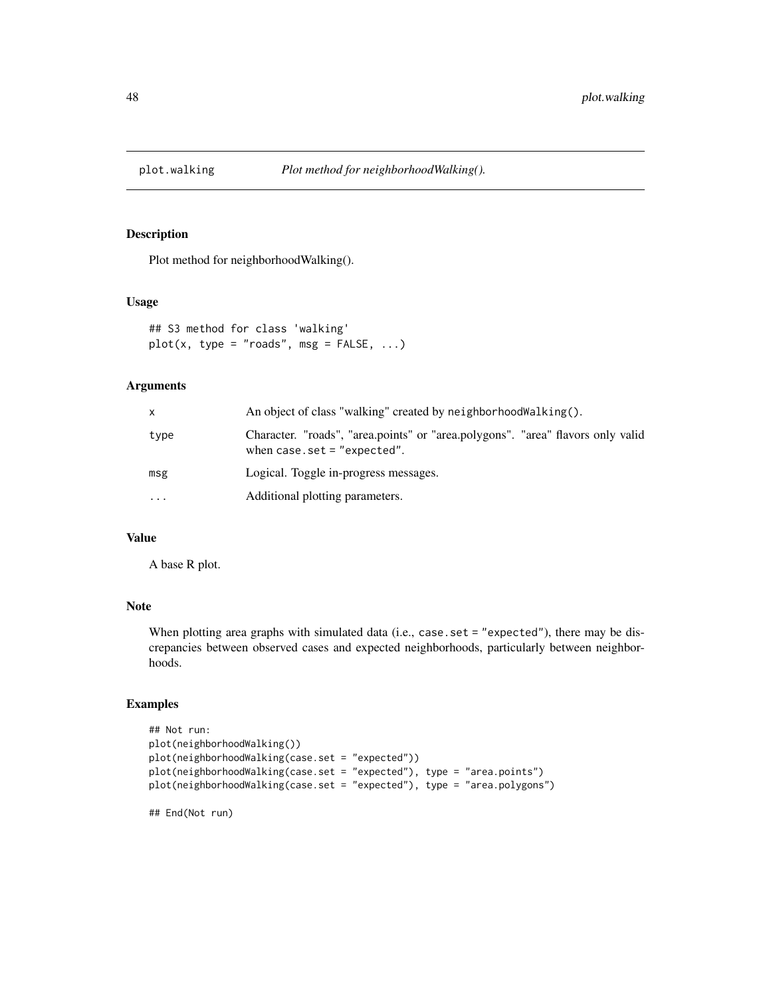Plot method for neighborhoodWalking().

#### Usage

```
## S3 method for class 'walking'
plot(x, type = "roads", msg = FALSE, ...)
```
#### Arguments

| x         | An object of class "walking" created by neighborhood Walking().                                                   |
|-----------|-------------------------------------------------------------------------------------------------------------------|
| type      | Character. "roads", "area.points" or "area.polygons". "area" flavors only valid<br>when case.set = $"expected"$ . |
| msg       | Logical. Toggle in-progress messages.                                                                             |
| $\ddotsc$ | Additional plotting parameters.                                                                                   |

#### Value

A base R plot.

## End(Not run)

### Note

When plotting area graphs with simulated data (i.e., case.set = "expected"), there may be discrepancies between observed cases and expected neighborhoods, particularly between neighborhoods.

```
## Not run:
plot(neighborhoodWalking())
plot(neighborhoodWalking(case.set = "expected"))
plot(neighborhoodWalking(case.set = "expected"), type = "area.points")
plot(neighborhoodWalking(case.set = "expected"), type = "area.polygons")
```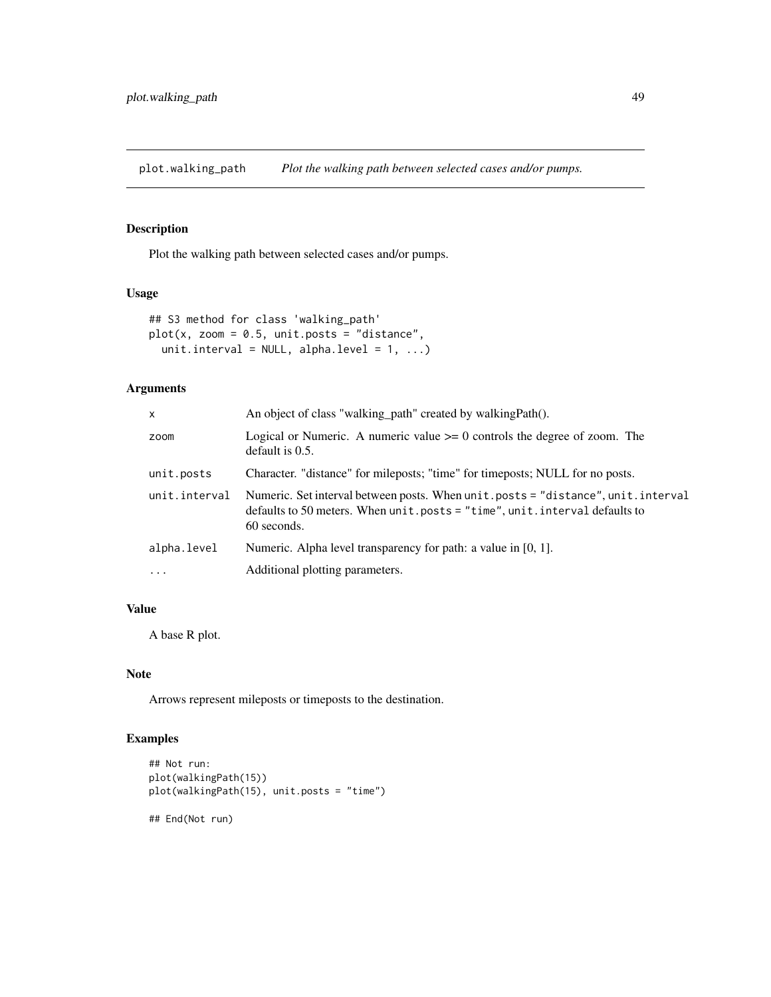plot.walking\_path *Plot the walking path between selected cases and/or pumps.*

#### Description

Plot the walking path between selected cases and/or pumps.

#### Usage

```
## S3 method for class 'walking_path'
plot(x, zoom = 0.5, unit.posts = "distance",unit.interval = NULL, alpha.level = 1, ...)
```
### Arguments

| $\mathsf{x}$  | An object of class "walking_path" created by walkingPath().                                                                                                                      |
|---------------|----------------------------------------------------------------------------------------------------------------------------------------------------------------------------------|
| zoom          | Logical or Numeric. A numeric value $\geq 0$ controls the degree of zoom. The<br>default is $0.5$ .                                                                              |
| unit.posts    | Character. "distance" for mileposts; "time" for timeposts; NULL for no posts.                                                                                                    |
| unit.interval | Numeric. Set interval between posts. When unit.posts = "distance", unit.interval<br>defaults to 50 meters. When $unit. posts = "time", unit.interval defaults to$<br>60 seconds. |
| alpha.level   | Numeric. Alpha level transparency for path: a value in $[0, 1]$ .                                                                                                                |
| $\ddotsc$     | Additional plotting parameters.                                                                                                                                                  |
|               |                                                                                                                                                                                  |

# Value

A base R plot.

# Note

Arrows represent mileposts or timeposts to the destination.

### Examples

```
## Not run:
plot(walkingPath(15))
plot(walkingPath(15), unit.posts = "time")
```
## End(Not run)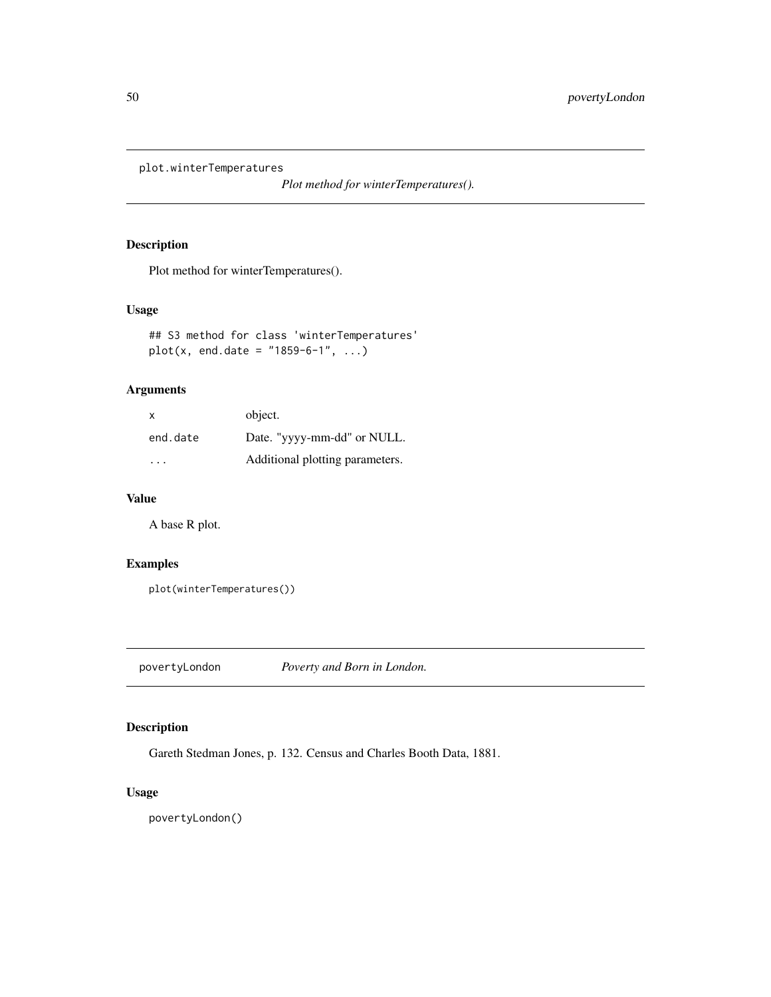plot.winterTemperatures

*Plot method for winterTemperatures().*

# Description

Plot method for winterTemperatures().

#### Usage

```
## S3 method for class 'winterTemperatures'
plot(x, end.data = "1859-6-1", ...)
```
#### Arguments

| $\boldsymbol{\mathsf{x}}$ | object.                         |
|---------------------------|---------------------------------|
| end.date                  | Date. "yyyy-mm-dd" or NULL.     |
|                           | Additional plotting parameters. |

#### Value

A base R plot.

# Examples

```
plot(winterTemperatures())
```
povertyLondon *Poverty and Born in London.*

# Description

Gareth Stedman Jones, p. 132. Census and Charles Booth Data, 1881.

#### Usage

povertyLondon()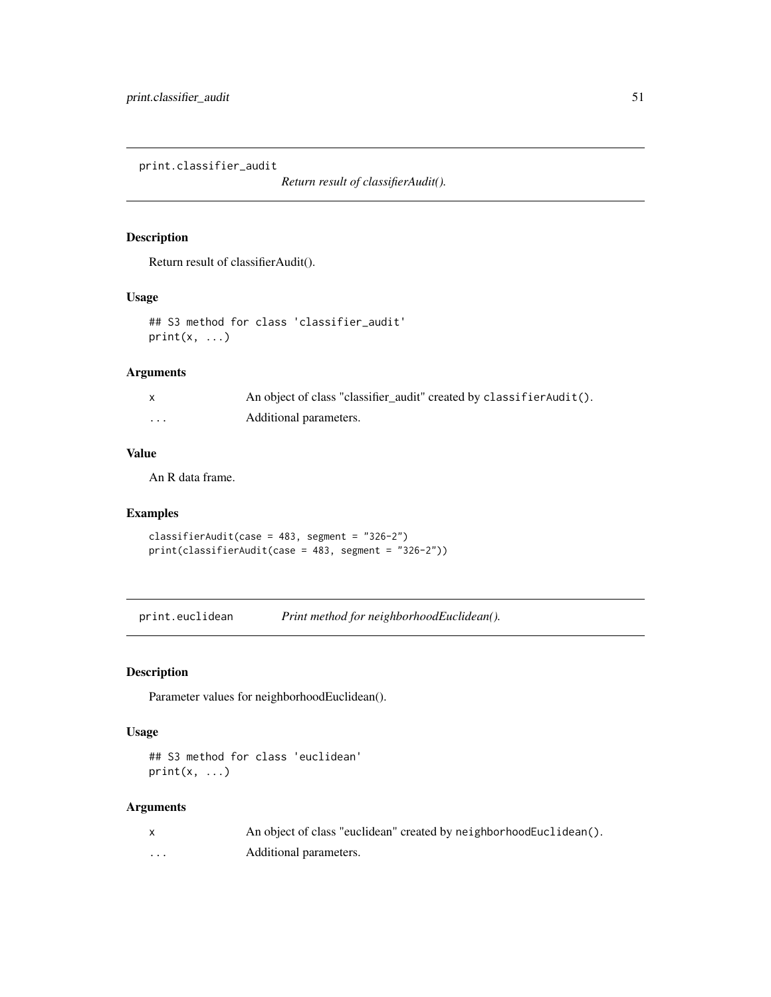print.classifier\_audit

*Return result of classifierAudit().*

#### Description

Return result of classifierAudit().

### Usage

```
## S3 method for class 'classifier_audit'
print(x, \ldots)
```
### Arguments

|          | An object of class "classifier_audit" created by classifierAudit(). |
|----------|---------------------------------------------------------------------|
| $\cdots$ | Additional parameters.                                              |

#### Value

An R data frame.

# Examples

```
classifierAudit(case = 483, segment = "326-2")
print(classifierAudit(case = 483, segment = "326-2"))
```
print.euclidean *Print method for neighborhoodEuclidean().*

# Description

Parameter values for neighborhoodEuclidean().

#### Usage

```
## S3 method for class 'euclidean'
print(x, \ldots)
```
### Arguments

|   | An object of class "euclidean" created by neighborhoodEuclidean(). |
|---|--------------------------------------------------------------------|
| . | Additional parameters.                                             |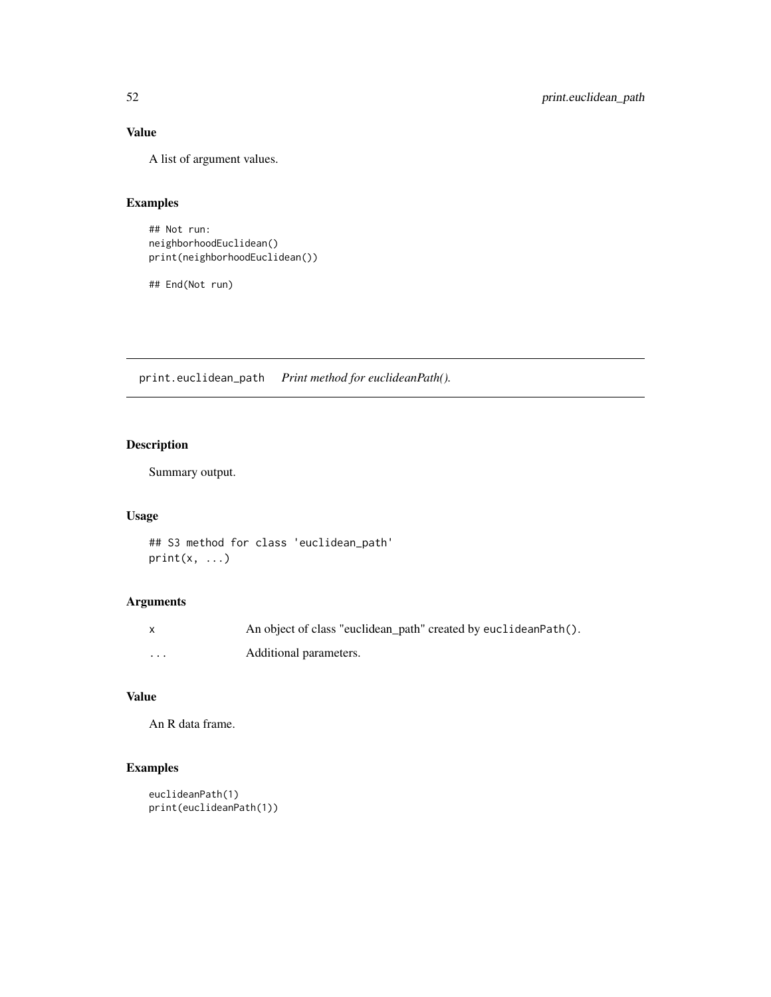# Value

A list of argument values.

### Examples

```
## Not run:
neighborhoodEuclidean()
print(neighborhoodEuclidean())
```
## End(Not run)

print.euclidean\_path *Print method for euclideanPath().*

# Description

Summary output.

### Usage

```
## S3 method for class 'euclidean_path'
print(x, \ldots)
```
# Arguments

|         | An object of class "euclidean_path" created by euclideanPath(). |
|---------|-----------------------------------------------------------------|
| $\cdot$ | Additional parameters.                                          |

# Value

```
An R data frame.
```

```
euclideanPath(1)
print(euclideanPath(1))
```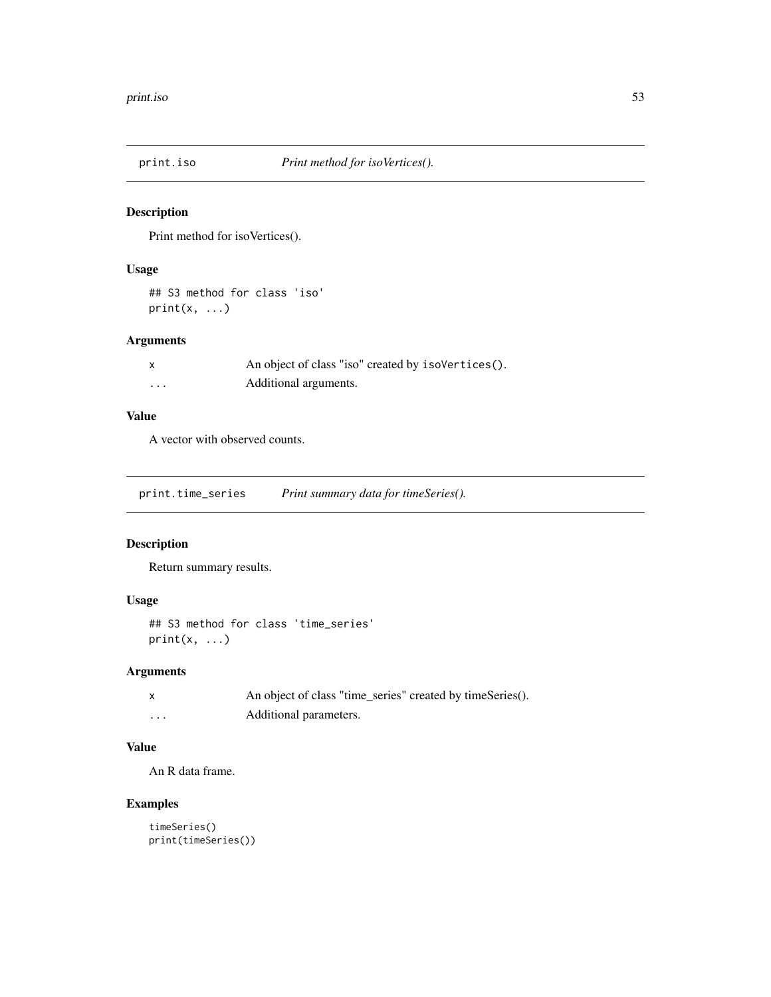Print method for isoVertices().

### Usage

## S3 method for class 'iso'  $print(x, \ldots)$ 

# Arguments

|   | An object of class "iso" created by isoVertices(). |
|---|----------------------------------------------------|
| . | Additional arguments.                              |

#### Value

A vector with observed counts.

print.time\_series *Print summary data for timeSeries().*

### Description

Return summary results.

### Usage

```
## S3 method for class 'time_series'
print(x, \ldots)
```
### Arguments

|          | An object of class "time_series" created by timeSeries(). |
|----------|-----------------------------------------------------------|
| $\cdots$ | Additional parameters.                                    |

#### Value

An R data frame.

```
timeSeries()
print(timeSeries())
```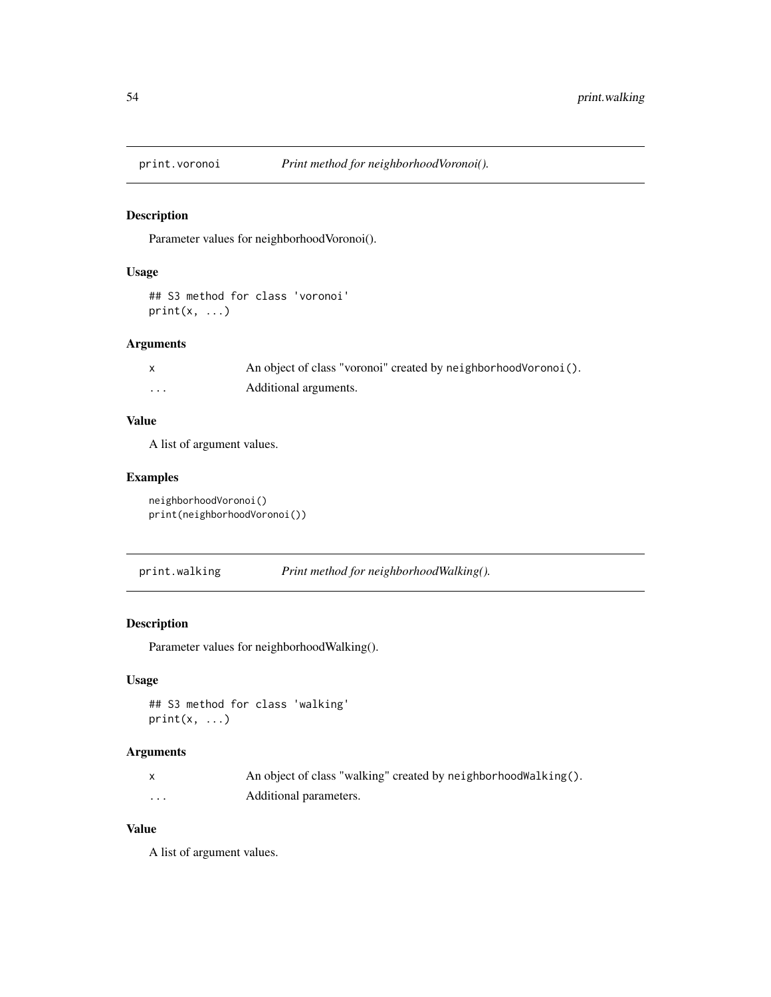Parameter values for neighborhoodVoronoi().

### Usage

```
## S3 method for class 'voronoi'
print(x, ...)
```
### Arguments

|   | An object of class "voronoi" created by neighborhood Voronoi (). |
|---|------------------------------------------------------------------|
| . | Additional arguments.                                            |

### Value

A list of argument values.

# Examples

neighborhoodVoronoi() print(neighborhoodVoronoi())

| print.walking | Print method for neighborhoodWalking(). |  |
|---------------|-----------------------------------------|--|
|               |                                         |  |

### Description

Parameter values for neighborhoodWalking().

### Usage

```
## S3 method for class 'walking'
print(x, \ldots)
```
### Arguments

|   | An object of class "walking" created by neighborhood Walking(). |
|---|-----------------------------------------------------------------|
| . | Additional parameters.                                          |

#### Value

A list of argument values.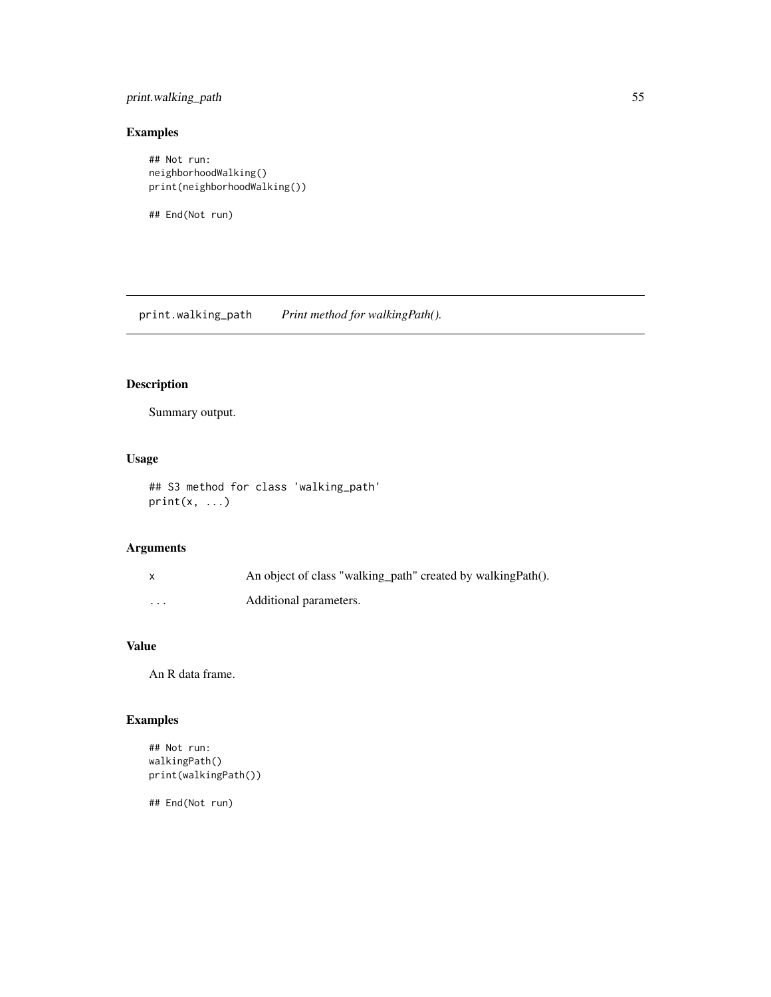### print.walking\_path 55

# Examples

```
## Not run:
neighborhoodWalking()
print(neighborhoodWalking())
```
## End(Not run)

print.walking\_path *Print method for walkingPath().*

# Description

Summary output.

### Usage

```
## S3 method for class 'walking_path'
print(x, \ldots)
```
# Arguments

|                      | An object of class "walking_path" created by walkingPath(). |
|----------------------|-------------------------------------------------------------|
| $\ddot{\phantom{0}}$ | Additional parameters.                                      |

# Value

An R data frame.

# Examples

```
## Not run:
walkingPath()
print(walkingPath())
```
## End(Not run)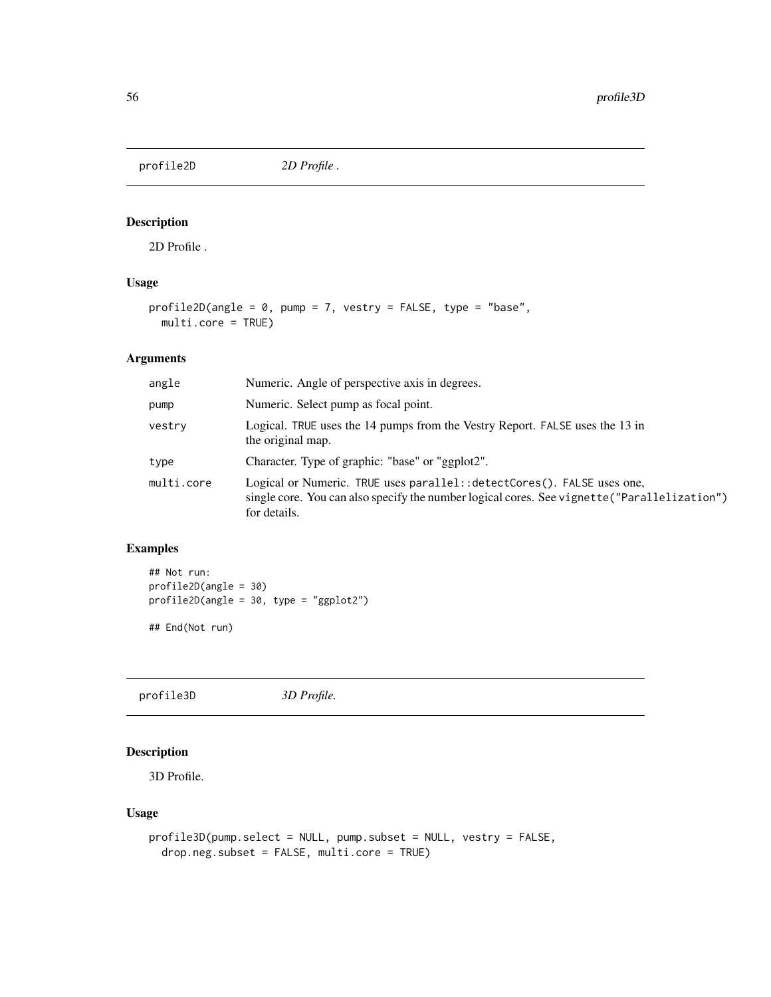profile2D *2D Profile .*

### Description

2D Profile .

### Usage

```
profile2D(angle = 0, pump = 7, vestry = FALSE, type = "base",
 multi.core = TRUE)
```
### Arguments

| angle      | Numeric. Angle of perspective axis in degrees.                                                                                                                                           |
|------------|------------------------------------------------------------------------------------------------------------------------------------------------------------------------------------------|
| pump       | Numeric. Select pump as focal point.                                                                                                                                                     |
| vestry     | Logical. TRUE uses the 14 pumps from the Vestry Report. FALSE uses the 13 in<br>the original map.                                                                                        |
| type       | Character. Type of graphic: "base" or "ggplot2".                                                                                                                                         |
| multi.core | Logical or Numeric. TRUE uses parallel: : detectCores(). FALSE uses one,<br>single core. You can also specify the number logical cores. See vignette ("Parallelization")<br>for details. |

### Examples

```
## Not run:
profile2D(angle = 30)
profile2D(angle = 30, type = "ggplot2")
```
## End(Not run)

profile3D *3D Profile.*

### Description

3D Profile.

#### Usage

```
profile3D(pump.select = NULL, pump.subset = NULL, vestry = FALSE,
 drop.neg.subset = FALSE, multi.core = TRUE)
```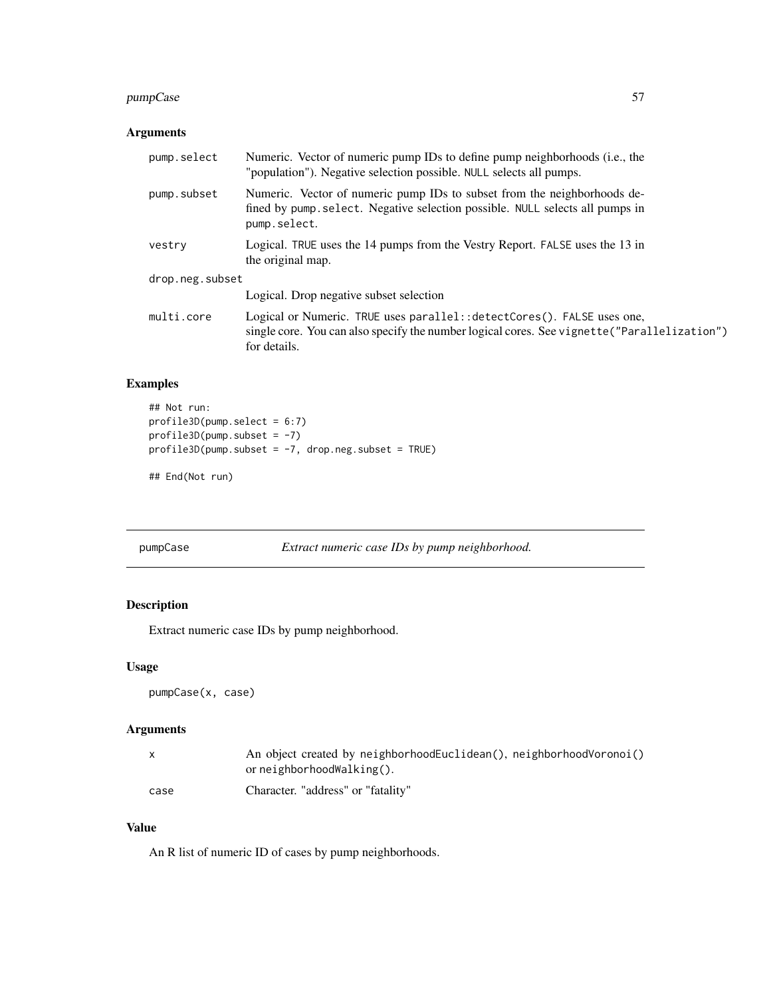### pumpCase 57

### Arguments

| pump.select     | Numeric. Vector of numeric pump IDs to define pump neighborhoods (i.e., the<br>"population"). Negative selection possible. NULL selects all pumps.                                       |  |
|-----------------|------------------------------------------------------------------------------------------------------------------------------------------------------------------------------------------|--|
| pump.subset     | Numeric. Vector of numeric pump IDs to subset from the neighborhoods de-<br>fined by pump. select. Negative selection possible. NULL selects all pumps in<br>pump.select.                |  |
| vestry          | Logical. TRUE uses the 14 pumps from the Vestry Report. FALSE uses the 13 in<br>the original map.                                                                                        |  |
| drop.neg.subset |                                                                                                                                                                                          |  |
|                 | Logical. Drop negative subset selection                                                                                                                                                  |  |
| multi.core      | Logical or Numeric. TRUE uses parallel: : detectCores(). FALSE uses one,<br>single core. You can also specify the number logical cores. See vignette ("Parallelization")<br>for details. |  |

# Examples

```
## Not run:
profile3D(pump.select = 6:7)
profile3D(pump.subset = -7)
profile3D(pump.subset = -7, drop.neg.subset = TRUE)
```
## End(Not run)

pumpCase *Extract numeric case IDs by pump neighborhood.*

# Description

Extract numeric case IDs by pump neighborhood.

#### Usage

```
pumpCase(x, case)
```
# Arguments

| $\mathsf{x}$ | An object created by neighborhoodEuclidean(), neighborhoodVoronoi() |
|--------------|---------------------------------------------------------------------|
|              | or $neighbouralking()$ .                                            |
| case         | Character. "address" or "fatality"                                  |

#### Value

An R list of numeric ID of cases by pump neighborhoods.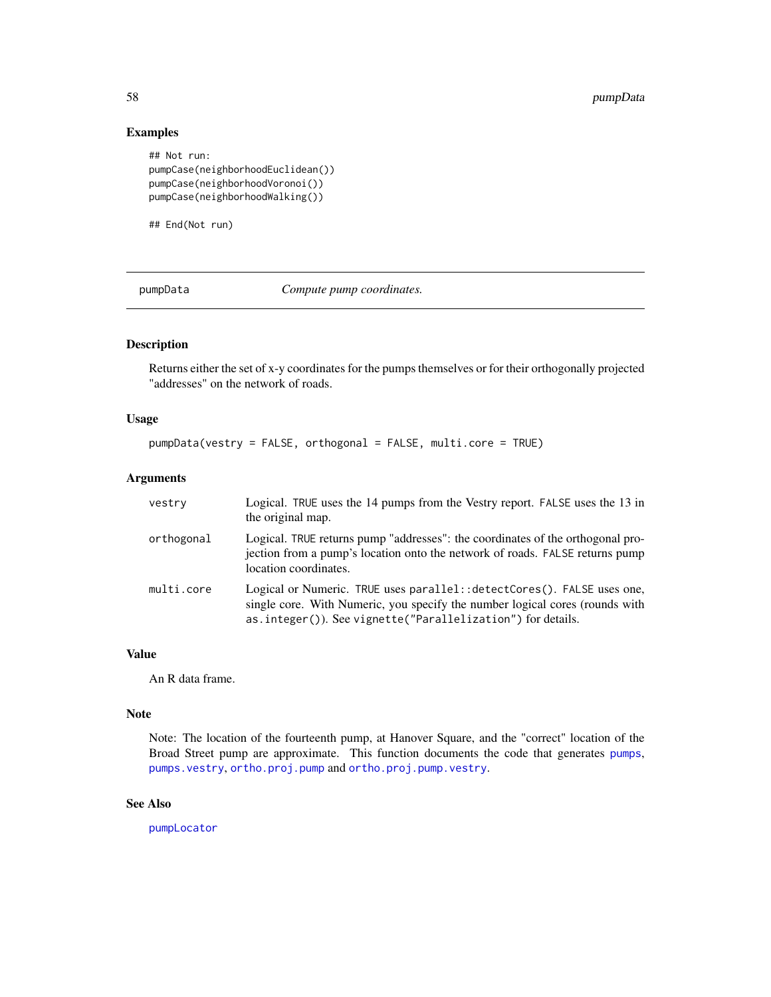### Examples

```
## Not run:
pumpCase(neighborhoodEuclidean())
pumpCase(neighborhoodVoronoi())
pumpCase(neighborhoodWalking())
```
## End(Not run)

<span id="page-57-0"></span>pumpData *Compute pump coordinates.*

### Description

Returns either the set of x-y coordinates for the pumps themselves or for their orthogonally projected "addresses" on the network of roads.

#### Usage

pumpData(vestry = FALSE, orthogonal = FALSE, multi.core = TRUE)

#### Arguments

| vestry     | Logical. TRUE uses the 14 pumps from the Vestry report. FALSE uses the 13 in<br>the original map.                                                                                                                       |
|------------|-------------------------------------------------------------------------------------------------------------------------------------------------------------------------------------------------------------------------|
| orthogonal | Logical. TRUE returns pump "addresses": the coordinates of the orthogonal pro-<br>jection from a pump's location onto the network of roads. FALSE returns pump<br>location coordinates.                                 |
| multi.core | Logical or Numeric. TRUE uses parallel: : detectCores(). FALSE uses one,<br>single core. With Numeric, you specify the number logical cores (rounds with<br>as.integer()). See vignette("Parallelization") for details. |

#### Value

An R data frame.

#### Note

Note: The location of the fourteenth pump, at Hanover Square, and the "correct" location of the Broad Street pump are approximate. This function documents the code that generates [pumps](#page-59-0), [pumps.vestry](#page-59-1), [ortho.proj.pump](#page-35-0) and [ortho.proj.pump.vestry](#page-36-0).

# See Also

[pumpLocator](#page-58-0)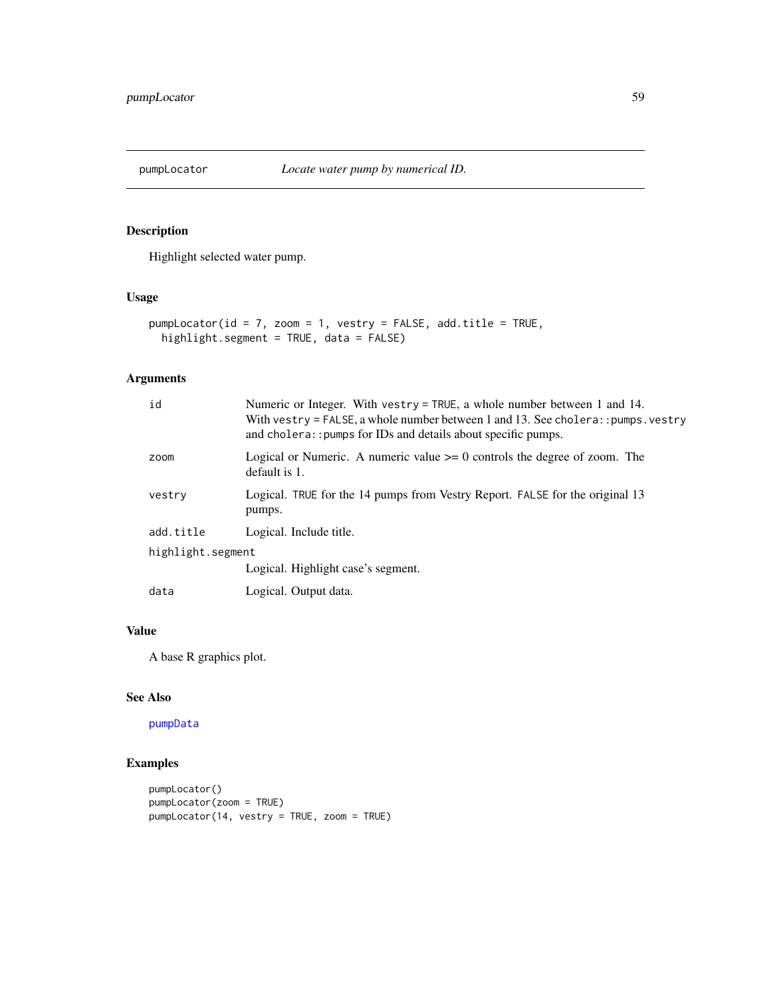<span id="page-58-0"></span>

Highlight selected water pump.

# Usage

```
pumpLocator(id = 7, zoom = 1, vestry = FALSE, add.title = TRUE,
 highlight.segment = TRUE, data = FALSE)
```
### Arguments

| id                | Numeric or Integer. With vestry = TRUE, a whole number between 1 and 14.<br>With vestry = FALSE, a whole number between 1 and 13. See cholera: : pumps. vestry<br>and cholera:: pumps for IDs and details about specific pumps. |  |
|-------------------|---------------------------------------------------------------------------------------------------------------------------------------------------------------------------------------------------------------------------------|--|
| zoom              | Logical or Numeric. A numeric value $\geq 0$ controls the degree of zoom. The<br>default is 1.                                                                                                                                  |  |
| vestry            | Logical. TRUE for the 14 pumps from Vestry Report. FALSE for the original 13<br>pumps.                                                                                                                                          |  |
| add.title         | Logical. Include title.                                                                                                                                                                                                         |  |
| highlight.segment |                                                                                                                                                                                                                                 |  |
|                   | Logical. Highlight case's segment.                                                                                                                                                                                              |  |
| data              | Logical. Output data.                                                                                                                                                                                                           |  |

# Value

A base R graphics plot.

### See Also

[pumpData](#page-57-0)

```
pumpLocator()
pumpLocator(zoom = TRUE)
pumpLocator(14, vestry = TRUE, zoom = TRUE)
```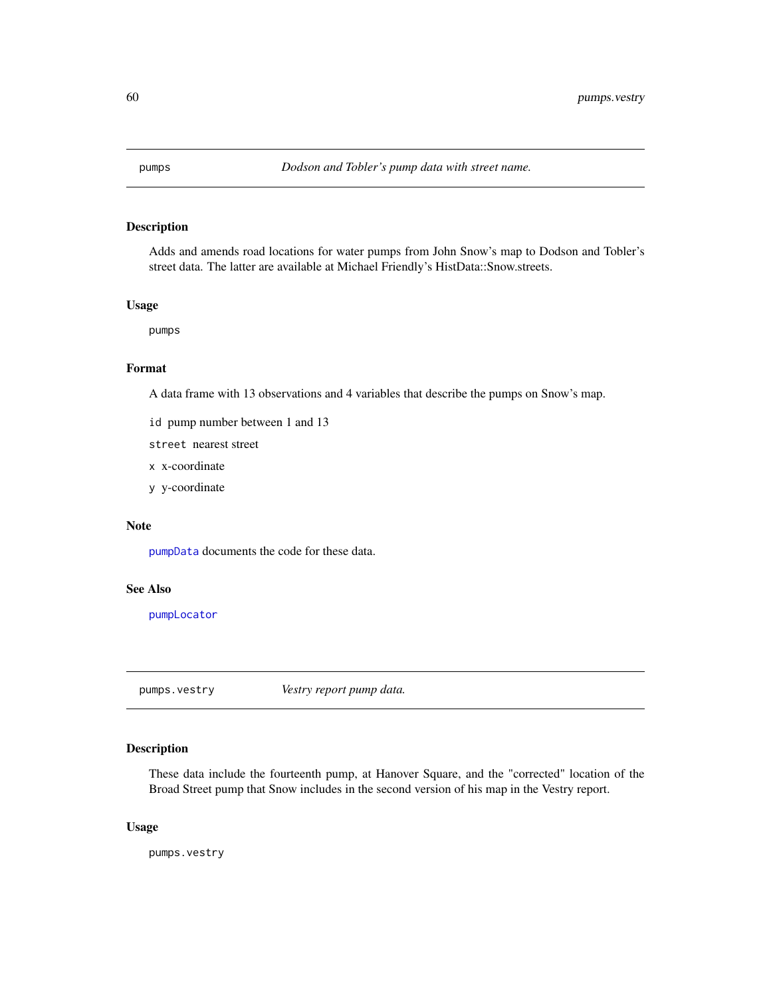<span id="page-59-0"></span>

Adds and amends road locations for water pumps from John Snow's map to Dodson and Tobler's street data. The latter are available at Michael Friendly's HistData::Snow.streets.

#### Usage

pumps

#### Format

A data frame with 13 observations and 4 variables that describe the pumps on Snow's map.

id pump number between 1 and 13

street nearest street

- x x-coordinate
- y y-coordinate

### Note

[pumpData](#page-57-0) documents the code for these data.

### See Also

[pumpLocator](#page-58-0)

<span id="page-59-1"></span>pumps.vestry *Vestry report pump data.*

#### Description

These data include the fourteenth pump, at Hanover Square, and the "corrected" location of the Broad Street pump that Snow includes in the second version of his map in the Vestry report.

#### Usage

pumps.vestry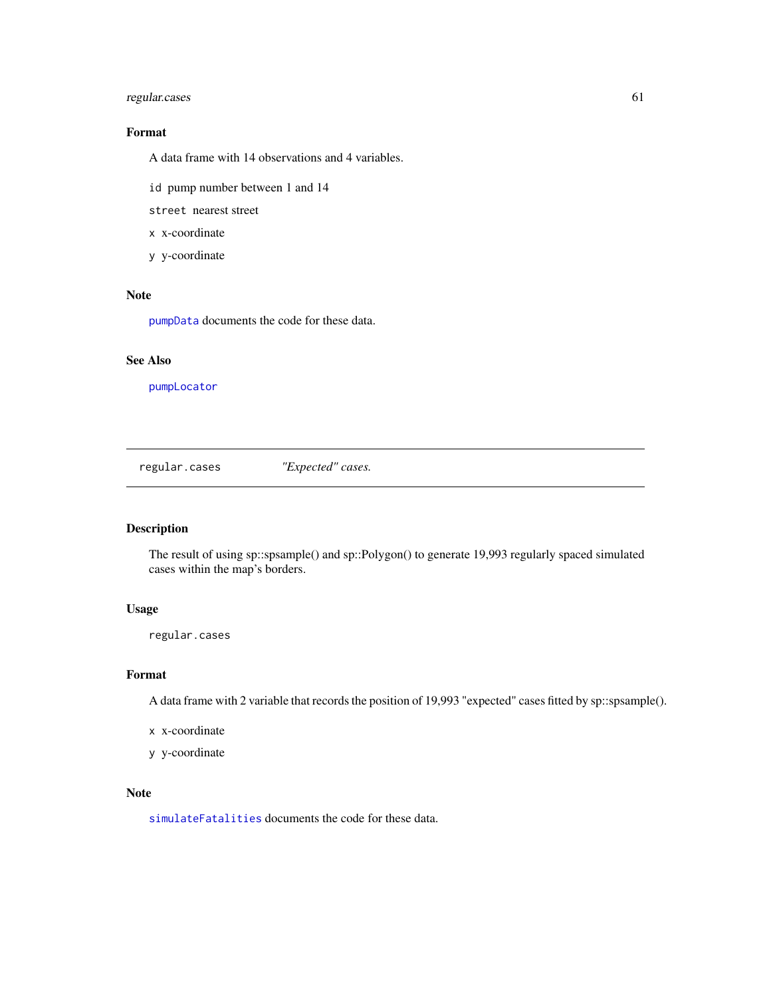### regular.cases 61

# Format

A data frame with 14 observations and 4 variables.

id pump number between 1 and 14

street nearest street

- x x-coordinate
- y y-coordinate

#### Note

[pumpData](#page-57-0) documents the code for these data.

# See Also

[pumpLocator](#page-58-0)

<span id="page-60-0"></span>regular.cases *"Expected" cases.*

#### Description

The result of using sp::spsample() and sp::Polygon() to generate 19,993 regularly spaced simulated cases within the map's borders.

#### Usage

regular.cases

#### Format

A data frame with 2 variable that records the position of 19,993 "expected" cases fitted by sp::spsample().

- x x-coordinate
- y y-coordinate

#### Note

[simulateFatalities](#page-67-0) documents the code for these data.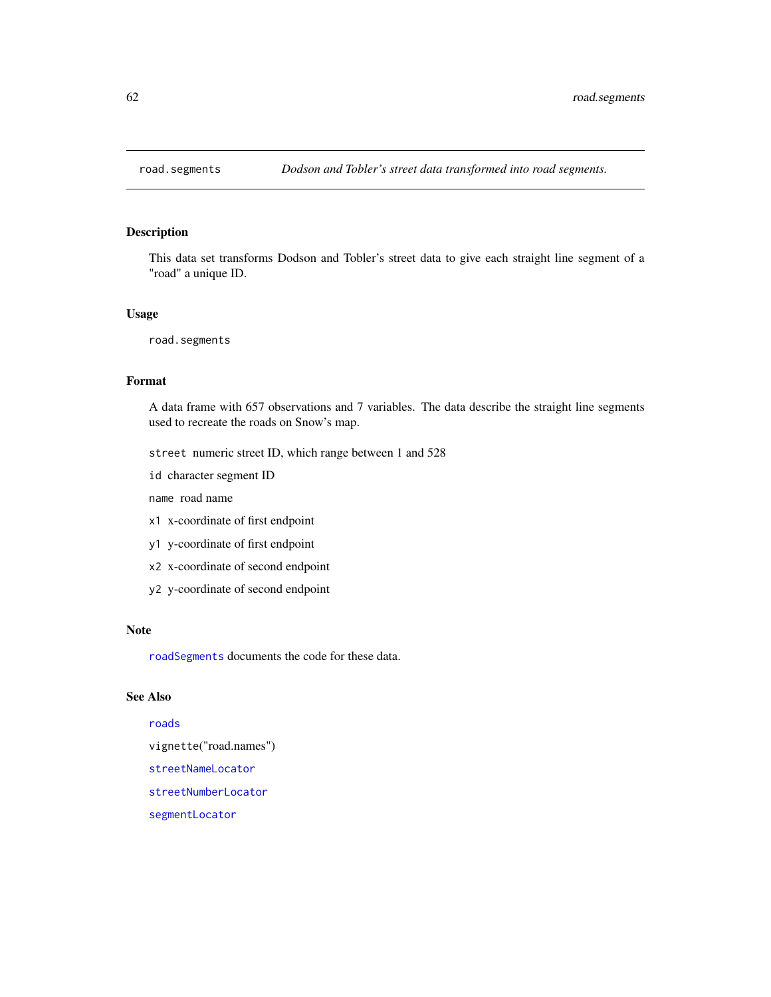<span id="page-61-0"></span>

This data set transforms Dodson and Tobler's street data to give each straight line segment of a "road" a unique ID.

#### Usage

road.segments

# Format

A data frame with 657 observations and 7 variables. The data describe the straight line segments used to recreate the roads on Snow's map.

street numeric street ID, which range between 1 and 528

id character segment ID

name road name

- x1 x-coordinate of first endpoint
- y1 y-coordinate of first endpoint
- x2 x-coordinate of second endpoint
- y2 y-coordinate of second endpoint

#### Note

[roadSegments](#page-62-0) documents the code for these data.

#### See Also

#### [roads](#page-62-1)

vignette("road.names")

[streetNameLocator](#page-72-0)

[streetNumberLocator](#page-74-0)

[segmentLocator](#page-64-0)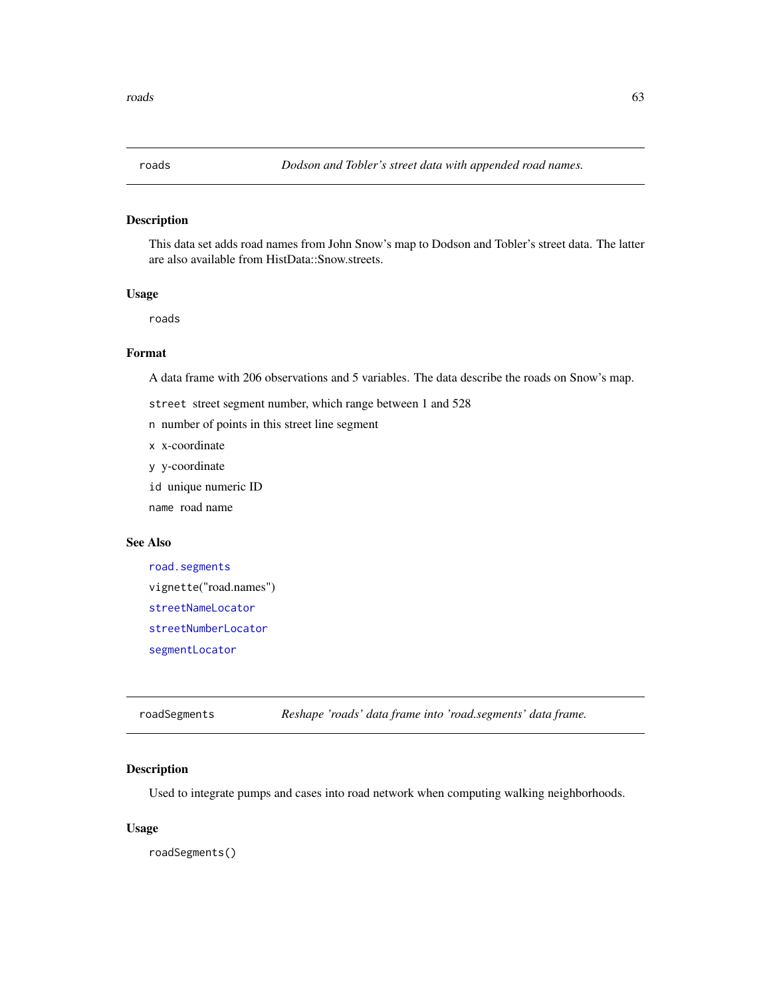<span id="page-62-1"></span>

This data set adds road names from John Snow's map to Dodson and Tobler's street data. The latter are also available from HistData::Snow.streets.

#### Usage

roads

# Format

A data frame with 206 observations and 5 variables. The data describe the roads on Snow's map.

- street street segment number, which range between 1 and 528
- n number of points in this street line segment
- x x-coordinate
- y y-coordinate
- id unique numeric ID

name road name

#### See Also

```
road.segments
vignette("road.names")
streetNameLocator
streetNumberLocator
segmentLocator
```
<span id="page-62-0"></span>roadSegments *Reshape 'roads' data frame into 'road.segments' data frame.*

### Description

Used to integrate pumps and cases into road network when computing walking neighborhoods.

#### Usage

roadSegments()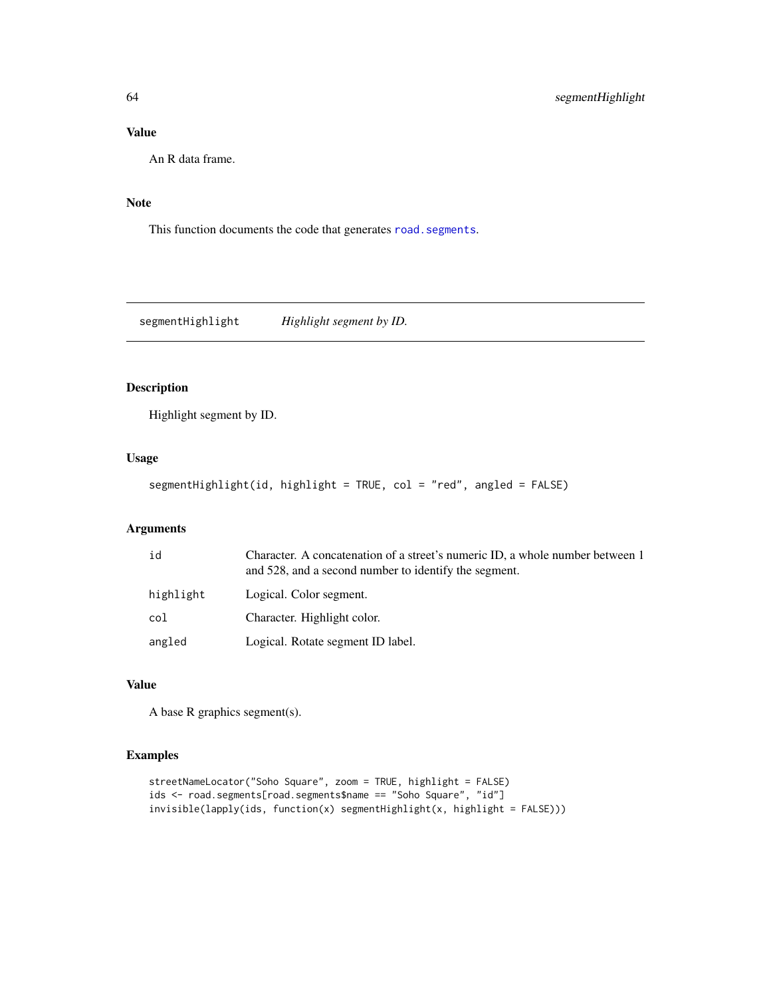# Value

An R data frame.

#### Note

This function documents the code that generates [road.segments](#page-61-0).

segmentHighlight *Highlight segment by ID.*

# Description

Highlight segment by ID.

# Usage

segmentHighlight(id, highlight = TRUE, col = "red", angled = FALSE)

#### Arguments

| id        | Character. A concatenation of a street's numeric ID, a whole number between 1<br>and 528, and a second number to identify the segment. |
|-----------|----------------------------------------------------------------------------------------------------------------------------------------|
| highlight | Logical. Color segment.                                                                                                                |
| col       | Character. Highlight color.                                                                                                            |
| angled    | Logical. Rotate segment ID label.                                                                                                      |

#### Value

A base R graphics segment(s).

```
streetNameLocator("Soho Square", zoom = TRUE, highlight = FALSE)
ids <- road.segments[road.segments$name == "Soho Square", "id"]
invisible(lapply(ids, function(x) segmentHighlight(x, highlight = FALSE)))
```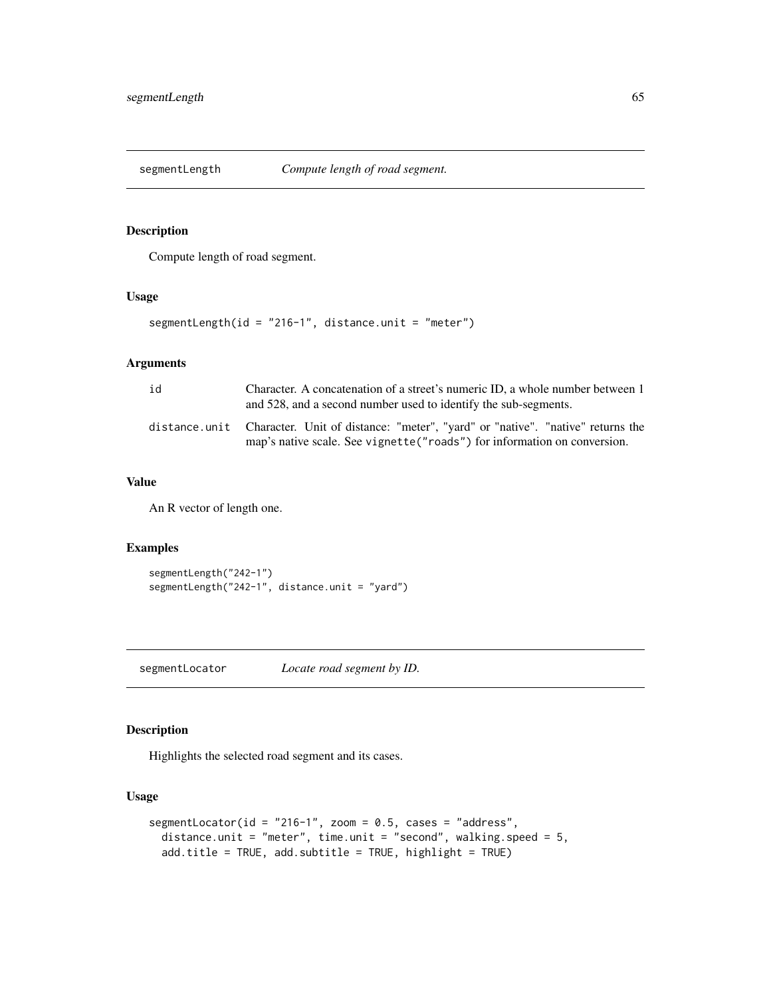Compute length of road segment.

### Usage

```
segmentLength(id = "216-1", distance.unit = "meter")
```
### Arguments

| id | Character. A concatenation of a street's numeric ID, a whole number between 1<br>and 528, and a second number used to identify the sub-segments.                          |
|----|---------------------------------------------------------------------------------------------------------------------------------------------------------------------------|
|    | distance.unit Character. Unit of distance: "meter", "yard" or "native". "native" returns the<br>map's native scale. See vignette ("roads") for information on conversion. |

#### Value

An R vector of length one.

#### Examples

```
segmentLength("242-1")
segmentLength("242-1", distance.unit = "yard")
```
<span id="page-64-0"></span>segmentLocator *Locate road segment by ID.*

### Description

Highlights the selected road segment and its cases.

#### Usage

```
segmentLocator(id = "216-1", zoom = 0.5, cases = "address",
 distance.unit = "meter", time.unit = "second", walking.speed = 5,
 add.title = TRUE, add.subtitle = TRUE, highlight = TRUE)
```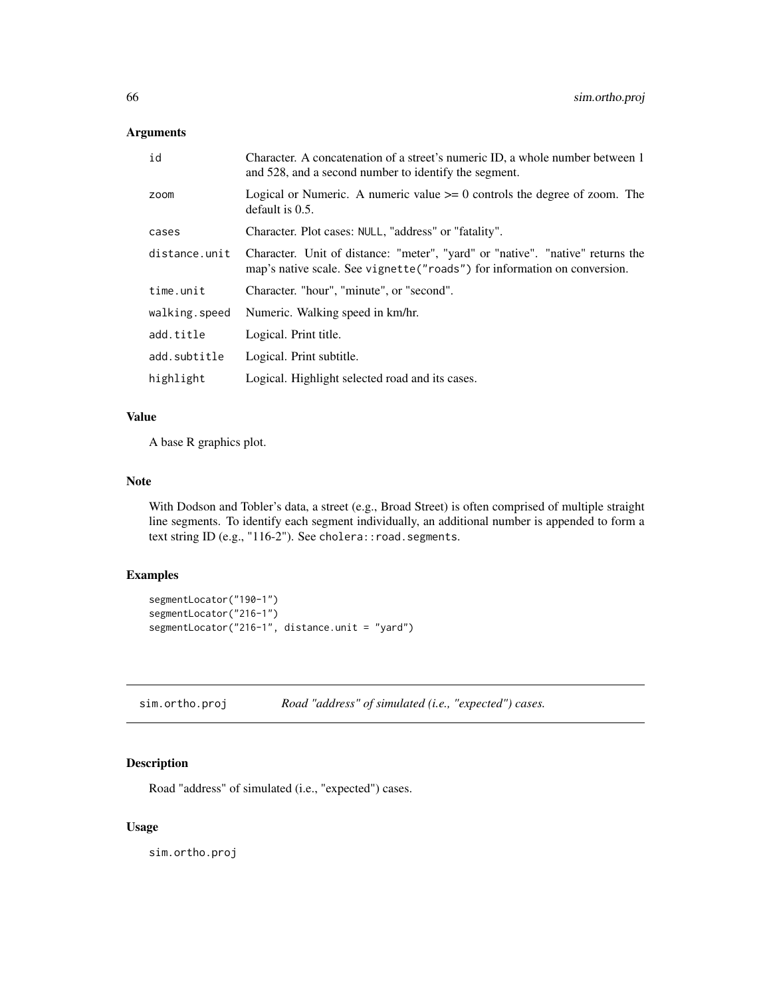#### Arguments

| id            | Character. A concatenation of a street's numeric ID, a whole number between 1<br>and 528, and a second number to identify the segment.                      |
|---------------|-------------------------------------------------------------------------------------------------------------------------------------------------------------|
| zoom          | Logical or Numeric. A numeric value $\geq 0$ controls the degree of zoom. The<br>default is $0.5$ .                                                         |
| cases         | Character. Plot cases: NULL, "address" or "fatality".                                                                                                       |
| distance.unit | Character. Unit of distance: "meter", "yard" or "native". "native" returns the<br>map's native scale. See vignette ("roads") for information on conversion. |
| time.unit     | Character. "hour", "minute", or "second".                                                                                                                   |
| walking.speed | Numeric. Walking speed in km/hr.                                                                                                                            |
| add.title     | Logical. Print title.                                                                                                                                       |
| add.subtitle  | Logical. Print subtitle.                                                                                                                                    |
| highlight     | Logical. Highlight selected road and its cases.                                                                                                             |

#### Value

A base R graphics plot.

#### Note

With Dodson and Tobler's data, a street (e.g., Broad Street) is often comprised of multiple straight line segments. To identify each segment individually, an additional number is appended to form a text string ID (e.g., "116-2"). See cholera:: road.segments.

#### Examples

```
segmentLocator("190-1")
segmentLocator("216-1")
segmentLocator("216-1", distance.unit = "yard")
```
<span id="page-65-0"></span>sim.ortho.proj *Road "address" of simulated (i.e., "expected") cases.*

#### Description

Road "address" of simulated (i.e., "expected") cases.

#### Usage

sim.ortho.proj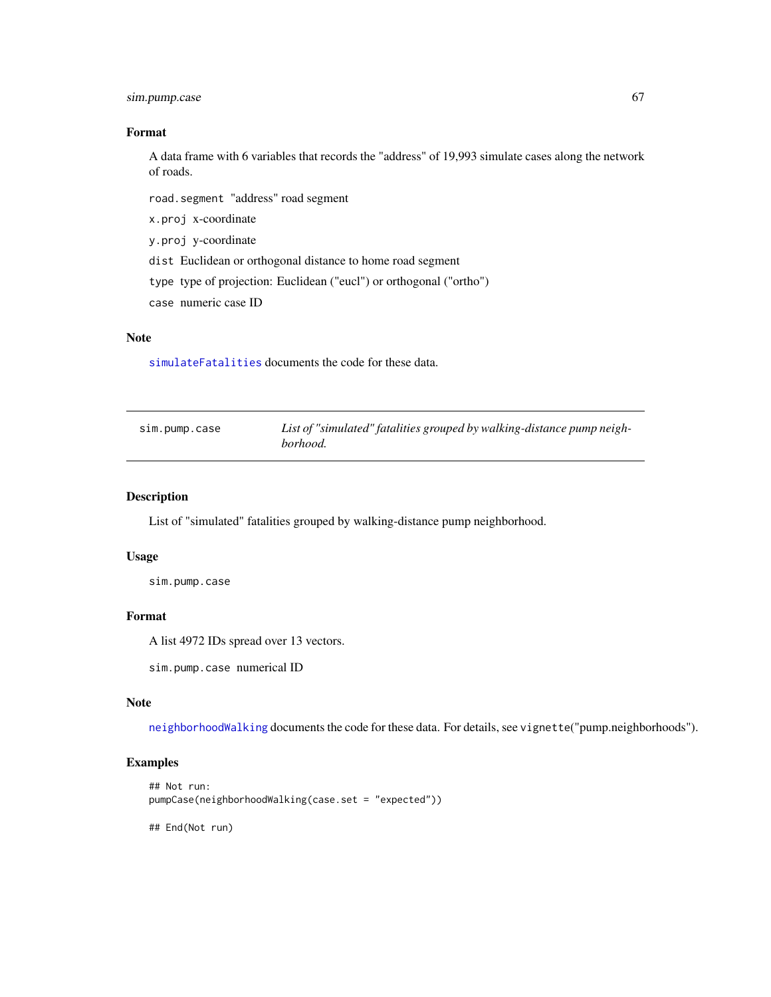### sim.pump.case 67

#### Format

A data frame with 6 variables that records the "address" of 19,993 simulate cases along the network of roads.

road.segment "address" road segment

x.proj x-coordinate

y.proj y-coordinate

dist Euclidean or orthogonal distance to home road segment

type type of projection: Euclidean ("eucl") or orthogonal ("ortho")

case numeric case ID

# Note

[simulateFatalities](#page-67-0) documents the code for these data.

| sim.pump.case | List of "simulated" fatalities grouped by walking-distance pump neigh- |
|---------------|------------------------------------------------------------------------|
|               | borhood.                                                               |

#### Description

List of "simulated" fatalities grouped by walking-distance pump neighborhood.

#### Usage

sim.pump.case

# Format

A list 4972 IDs spread over 13 vectors.

sim.pump.case numerical ID

#### Note

[neighborhoodWalking](#page-34-0) documents the code for these data. For details, see vignette("pump.neighborhoods").

```
## Not run:
pumpCase(neighborhoodWalking(case.set = "expected"))
## End(Not run)
```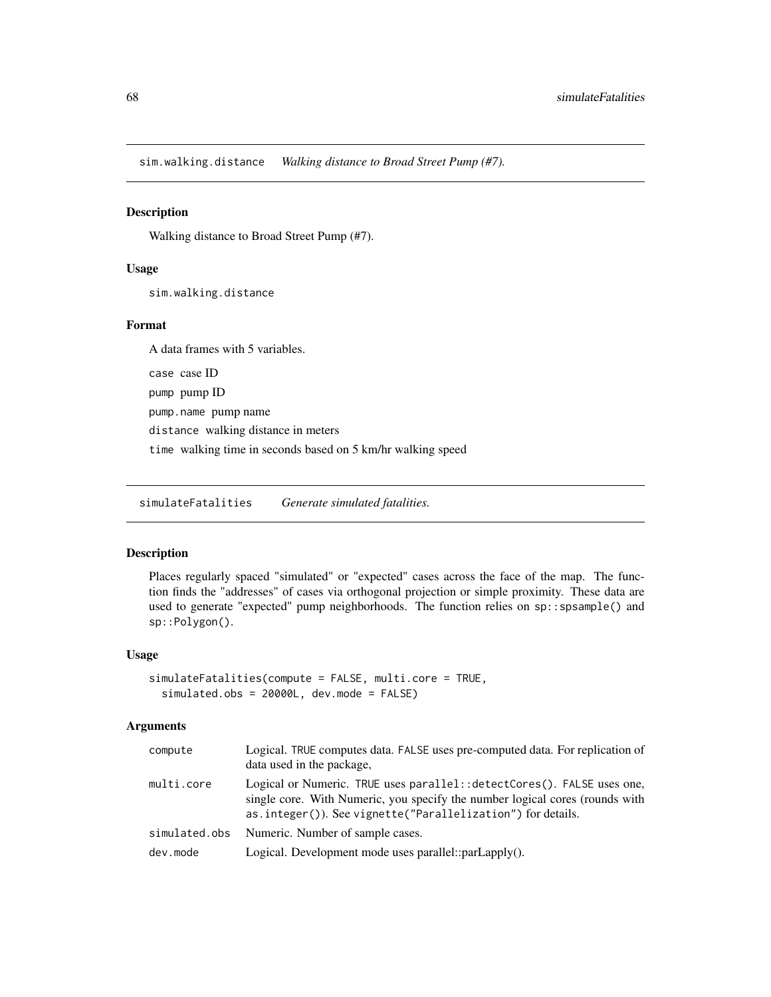<span id="page-67-1"></span>sim.walking.distance *Walking distance to Broad Street Pump (#7).*

#### Description

Walking distance to Broad Street Pump (#7).

#### Usage

sim.walking.distance

#### Format

A data frames with 5 variables. case case ID pump pump ID pump.name pump name distance walking distance in meters time walking time in seconds based on 5 km/hr walking speed

<span id="page-67-0"></span>simulateFatalities *Generate simulated fatalities.*

#### Description

Places regularly spaced "simulated" or "expected" cases across the face of the map. The function finds the "addresses" of cases via orthogonal projection or simple proximity. These data are used to generate "expected" pump neighborhoods. The function relies on sp::spsample() and sp::Polygon().

#### Usage

```
simulateFatalities(compute = FALSE, multi.core = TRUE,
 simulated.obs = 20000L, dev.mode = FALSE)
```
### Arguments

| compute       | Logical. TRUE computes data. FALSE uses pre-computed data. For replication of<br>data used in the package,                                                                                                              |
|---------------|-------------------------------------------------------------------------------------------------------------------------------------------------------------------------------------------------------------------------|
| multi.core    | Logical or Numeric. TRUE uses parallel: : detectCores(). FALSE uses one,<br>single core. With Numeric, you specify the number logical cores (rounds with<br>as.integer()). See vignette("Parallelization") for details. |
| simulated.obs | Numeric. Number of sample cases.                                                                                                                                                                                        |
| dev.mode      | Logical. Development mode uses parallel::parLapply().                                                                                                                                                                   |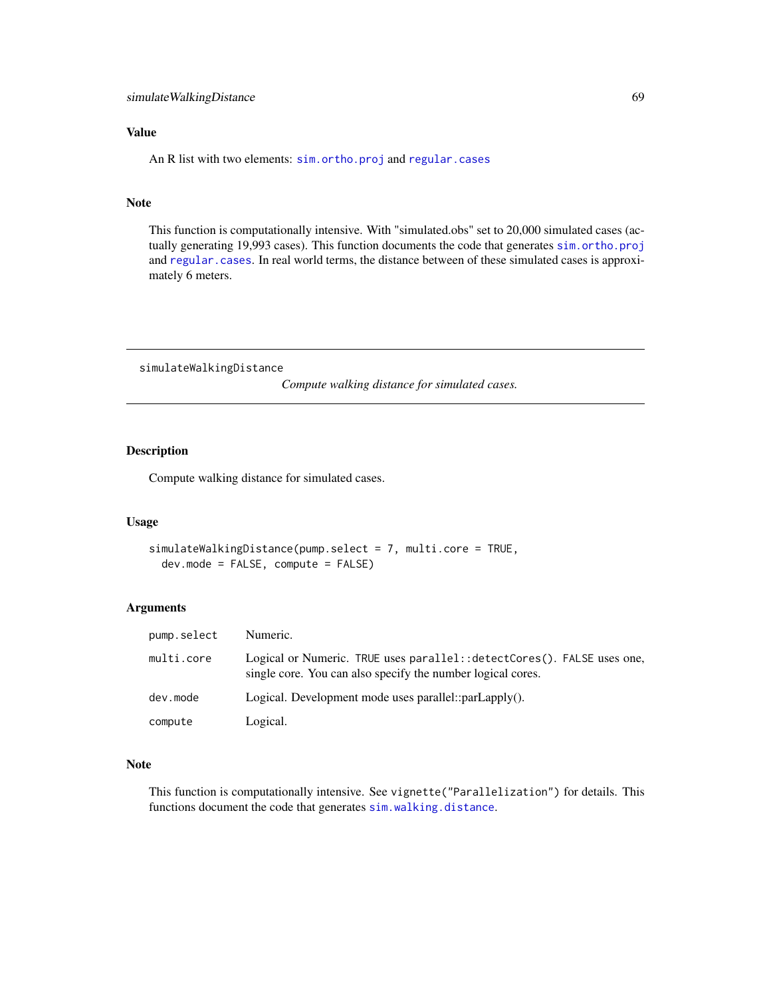#### Value

An R list with two elements: [sim.ortho.proj](#page-65-0) and [regular.cases](#page-60-0)

#### Note

This function is computationally intensive. With "simulated.obs" set to 20,000 simulated cases (actually generating 19,993 cases). This function documents the code that generates [sim.ortho.proj](#page-65-0) and [regular.cases](#page-60-0). In real world terms, the distance between of these simulated cases is approximately 6 meters.

simulateWalkingDistance

*Compute walking distance for simulated cases.*

#### Description

Compute walking distance for simulated cases.

#### Usage

```
simulateWalkingDistance(pump.select = 7, multi.core = TRUE,
 dev.mode = FALSE, compute = FALSE)
```
#### Arguments

| pump.select | Numeric.                                                                                                                                |
|-------------|-----------------------------------------------------------------------------------------------------------------------------------------|
| multi.core  | Logical or Numeric. TRUE uses parallel: : detectCores(). FALSE uses one,<br>single core. You can also specify the number logical cores. |
| dev.mode    | Logical. Development mode uses parallel:: $parLapply()$ .                                                                               |
| compute     | Logical.                                                                                                                                |

#### Note

This function is computationally intensive. See vignette("Parallelization") for details. This functions document the code that generates [sim.walking.distance](#page-67-1).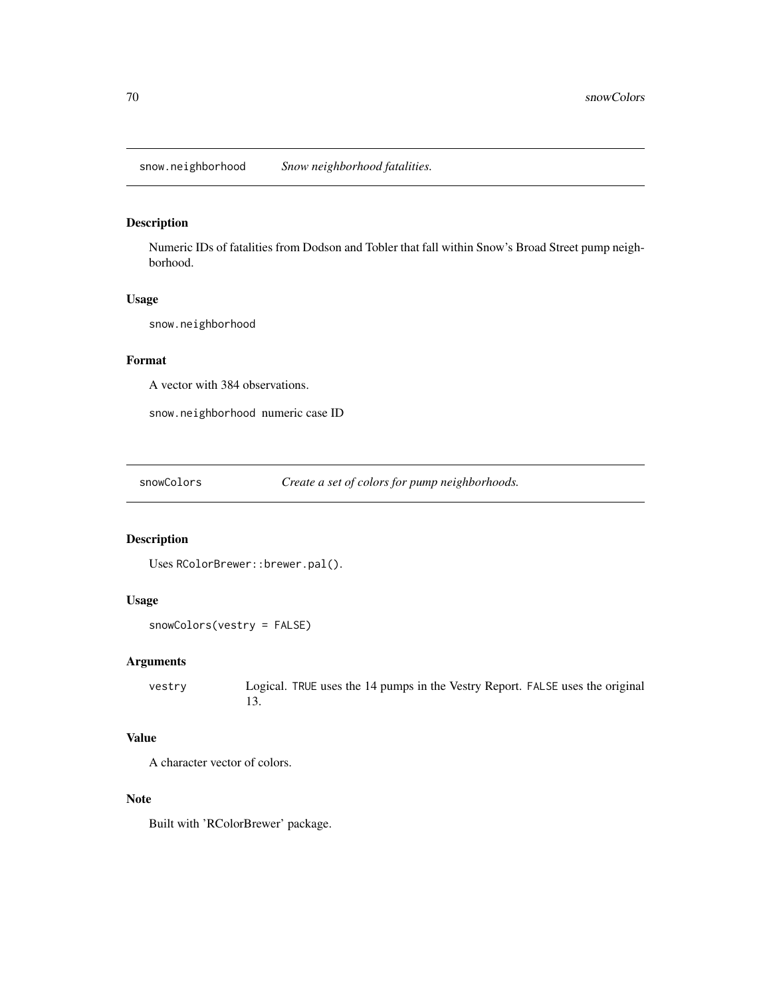snow.neighborhood *Snow neighborhood fatalities.*

#### Description

Numeric IDs of fatalities from Dodson and Tobler that fall within Snow's Broad Street pump neighborhood.

### Usage

snow.neighborhood

# Format

A vector with 384 observations.

snow.neighborhood numeric case ID

snowColors *Create a set of colors for pump neighborhoods.*

# Description

Uses RColorBrewer::brewer.pal().

### Usage

```
snowColors(vestry = FALSE)
```
### Arguments

vestry Logical. TRUE uses the 14 pumps in the Vestry Report. FALSE uses the original 13.

#### Value

A character vector of colors.

#### Note

Built with 'RColorBrewer' package.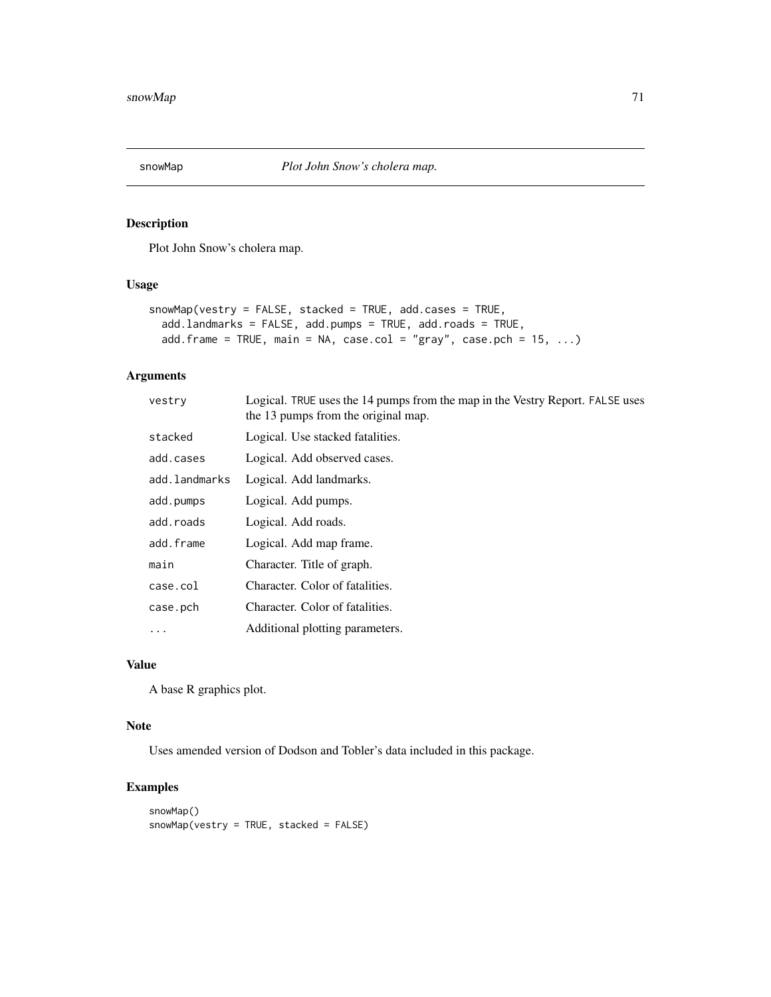Plot John Snow's cholera map.

### Usage

```
snowMap(vestry = FALSE, stacked = TRUE, add.cases = TRUE,
 add.landmarks = FALSE, add.pumps = TRUE, add.roads = TRUE,
 add.frame = TRUE, main = NA, case.col = "gray", case.pch = 15, ...)
```
### Arguments

| vestry        | Logical. TRUE uses the 14 pumps from the map in the Vestry Report. FALSE uses<br>the 13 pumps from the original map. |
|---------------|----------------------------------------------------------------------------------------------------------------------|
| stacked       | Logical. Use stacked fatalities.                                                                                     |
| add.cases     | Logical. Add observed cases.                                                                                         |
| add.landmarks | Logical. Add landmarks.                                                                                              |
| add.pumps     | Logical. Add pumps.                                                                                                  |
| add.roads     | Logical. Add roads.                                                                                                  |
| add.frame     | Logical. Add map frame.                                                                                              |
| main          | Character. Title of graph.                                                                                           |
| case.col      | Character. Color of fatalities.                                                                                      |
| case.pch      | Character. Color of fatalities.                                                                                      |
| $\ddotsc$     | Additional plotting parameters.                                                                                      |
|               |                                                                                                                      |

# Value

A base R graphics plot.

#### Note

Uses amended version of Dodson and Tobler's data included in this package.

```
snowMap()
snowMap(vestry = TRUE, stacked = FALSE)
```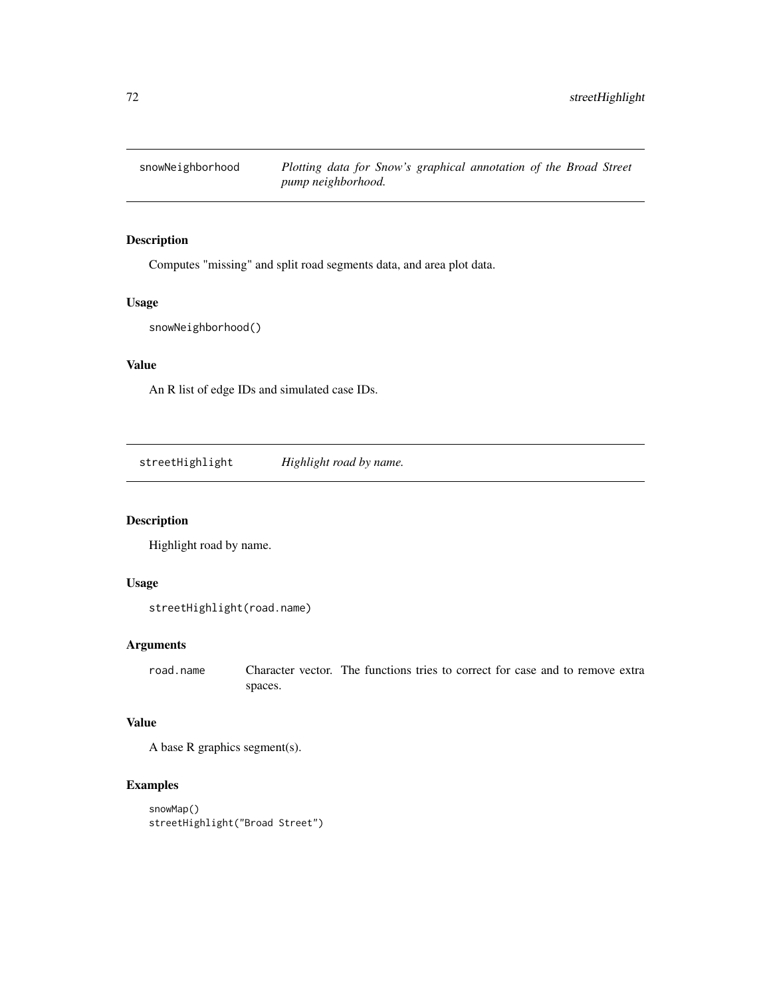Computes "missing" and split road segments data, and area plot data.

#### Usage

snowNeighborhood()

#### Value

An R list of edge IDs and simulated case IDs.

streetHighlight *Highlight road by name.*

# Description

Highlight road by name.

### Usage

```
streetHighlight(road.name)
```
#### Arguments

road.name Character vector. The functions tries to correct for case and to remove extra spaces.

# Value

A base R graphics segment(s).

```
snowMap()
streetHighlight("Broad Street")
```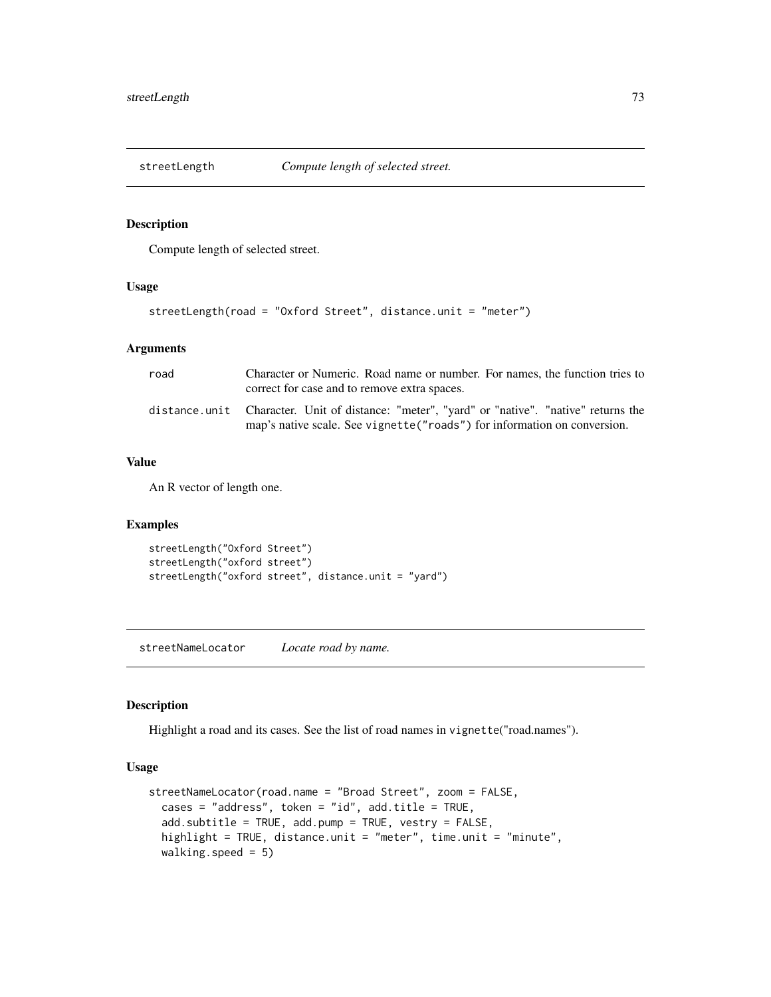<span id="page-72-0"></span>

Compute length of selected street.

#### Usage

```
streetLength(road = "Oxford Street", distance.unit = "meter")
```
#### Arguments

| road | Character or Numeric. Road name or number. For names, the function tries to<br>correct for case and to remove extra spaces.                                               |
|------|---------------------------------------------------------------------------------------------------------------------------------------------------------------------------|
|      | distance.unit Character. Unit of distance: "meter", "yard" or "native". "native" returns the<br>map's native scale. See vignette ("roads") for information on conversion. |

#### Value

An R vector of length one.

#### Examples

```
streetLength("Oxford Street")
streetLength("oxford street")
streetLength("oxford street", distance.unit = "yard")
```
streetNameLocator *Locate road by name.*

## Description

Highlight a road and its cases. See the list of road names in vignette("road.names").

## Usage

```
streetNameLocator(road.name = "Broad Street", zoom = FALSE,
  cases = "address", token = "id", add.title = TRUE,
  add.subtitle = TRUE, add.pump = TRUE, vestry = FALSE,
  highlight = TRUE, distance.unit = "meter", time.unit = "minute",
 walking.speed = 5)
```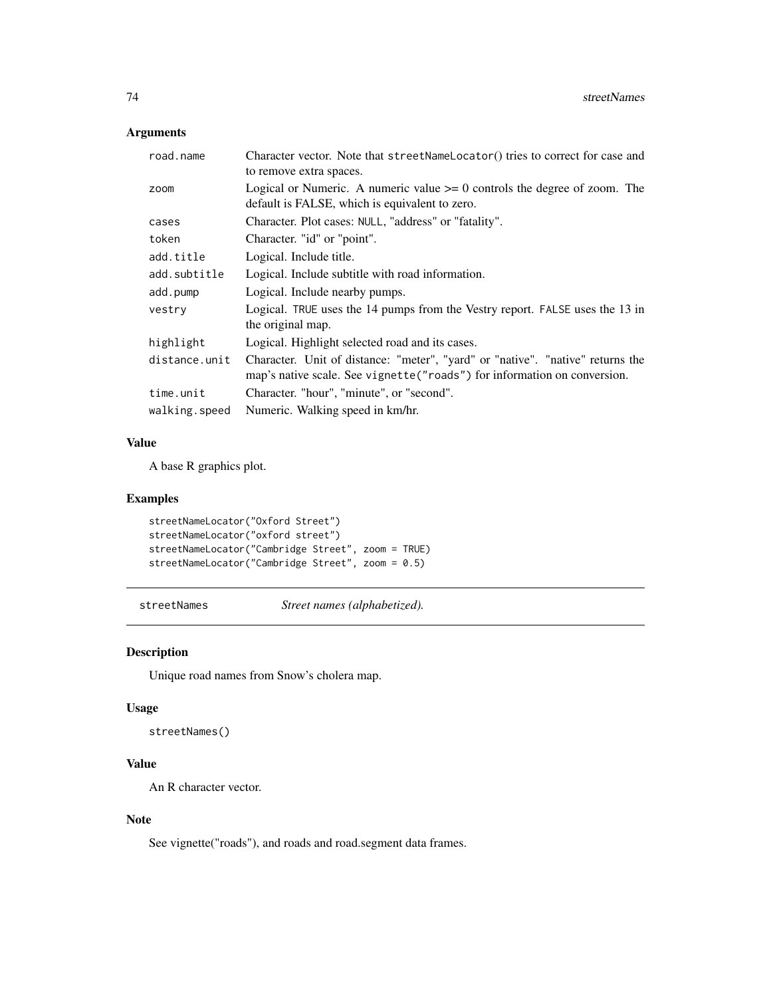## <span id="page-73-0"></span>Arguments

| road.name     | Character vector. Note that streetNameLocator() tries to correct for case and<br>to remove extra spaces.                                                    |  |
|---------------|-------------------------------------------------------------------------------------------------------------------------------------------------------------|--|
| zoom          | Logical or Numeric. A numeric value $\geq 0$ controls the degree of zoom. The<br>default is FALSE, which is equivalent to zero.                             |  |
| cases         | Character. Plot cases: NULL, "address" or "fatality".                                                                                                       |  |
| token         | Character. "id" or "point".                                                                                                                                 |  |
| add.title     | Logical. Include title.                                                                                                                                     |  |
| add.subtitle  | Logical. Include subtitle with road information.                                                                                                            |  |
| add.pump      | Logical. Include nearby pumps.                                                                                                                              |  |
| vestry        | Logical. TRUE uses the 14 pumps from the Vestry report. FALSE uses the 13 in<br>the original map.                                                           |  |
| highlight     | Logical. Highlight selected road and its cases.                                                                                                             |  |
| distance.unit | Character. Unit of distance: "meter", "yard" or "native". "native" returns the<br>map's native scale. See vignette ("roads") for information on conversion. |  |
| time.unit     | Character. "hour", "minute", or "second".                                                                                                                   |  |
| walking.speed | Numeric. Walking speed in km/hr.                                                                                                                            |  |

#### Value

A base R graphics plot.

## Examples

```
streetNameLocator("Oxford Street")
streetNameLocator("oxford street")
streetNameLocator("Cambridge Street", zoom = TRUE)
streetNameLocator("Cambridge Street", zoom = 0.5)
```
streetNames *Street names (alphabetized).*

# Description

Unique road names from Snow's cholera map.

#### Usage

```
streetNames()
```
# Value

An R character vector.

## Note

See vignette("roads"), and roads and road.segment data frames.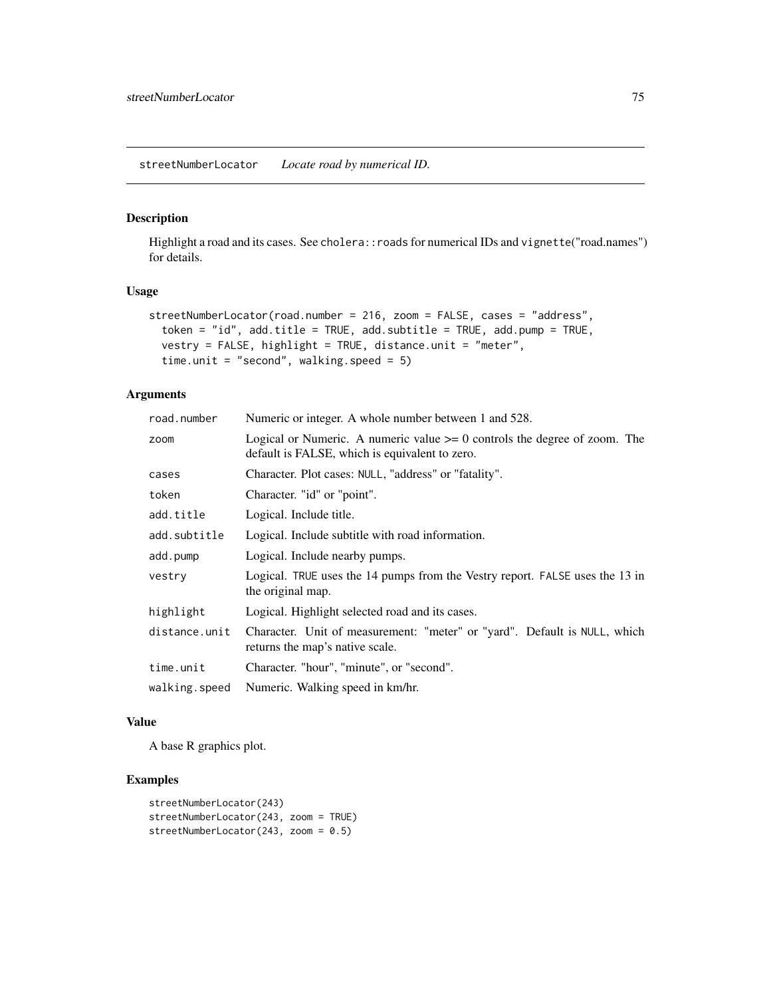<span id="page-74-0"></span>Highlight a road and its cases. See cholera:: roads for numerical IDs and vignette("road.names") for details.

### Usage

```
streetNumberLocator(road.number = 216, zoom = FALSE, cases = "address",
  token = "id", add.title = TRUE, add.subtitle = TRUE, add.pump = TRUE,
 vestry = FALSE, highlight = TRUE, distance.unit = "meter",
 time.unit = "second", walking.speed = 5)
```
## Arguments

| road.number   | Numeric or integer. A whole number between 1 and 528.                                                                           |  |
|---------------|---------------------------------------------------------------------------------------------------------------------------------|--|
| zoom          | Logical or Numeric. A numeric value $\geq 0$ controls the degree of zoom. The<br>default is FALSE, which is equivalent to zero. |  |
| cases         | Character. Plot cases: NULL, "address" or "fatality".                                                                           |  |
| token         | Character. "id" or "point".                                                                                                     |  |
| add.title     | Logical. Include title.                                                                                                         |  |
| add.subtitle  | Logical. Include subtitle with road information.                                                                                |  |
| add.pump      | Logical. Include nearby pumps.                                                                                                  |  |
| vestry        | Logical. TRUE uses the 14 pumps from the Vestry report. FALSE uses the 13 in<br>the original map.                               |  |
| highlight     | Logical. Highlight selected road and its cases.                                                                                 |  |
| distance.unit | Character. Unit of measurement: "meter" or "yard". Default is NULL, which<br>returns the map's native scale.                    |  |
| time.unit     | Character. "hour", "minute", or "second".                                                                                       |  |
| walking.speed | Numeric. Walking speed in km/hr.                                                                                                |  |

#### Value

A base R graphics plot.

#### Examples

```
streetNumberLocator(243)
streetNumberLocator(243, zoom = TRUE)
streetNumberLocator(243, zoom = 0.5)
```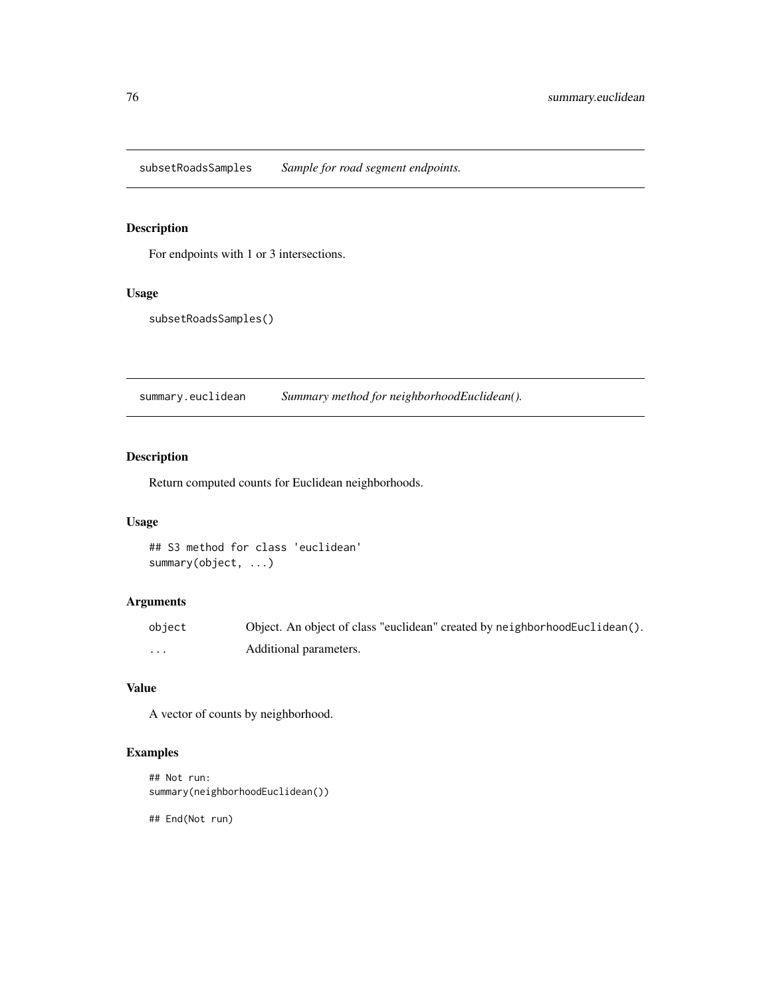<span id="page-75-0"></span>subsetRoadsSamples *Sample for road segment endpoints.*

# Description

For endpoints with 1 or 3 intersections.

## Usage

subsetRoadsSamples()

summary.euclidean *Summary method for neighborhoodEuclidean().*

# Description

Return computed counts for Euclidean neighborhoods.

#### Usage

```
## S3 method for class 'euclidean'
summary(object, ...)
```
## Arguments

| object | Object. An object of class "euclidean" created by neighborhood Euclidean(). |
|--------|-----------------------------------------------------------------------------|
| .      | Additional parameters.                                                      |

#### Value

A vector of counts by neighborhood.

## Examples

```
## Not run:
summary(neighborhoodEuclidean())
```
## End(Not run)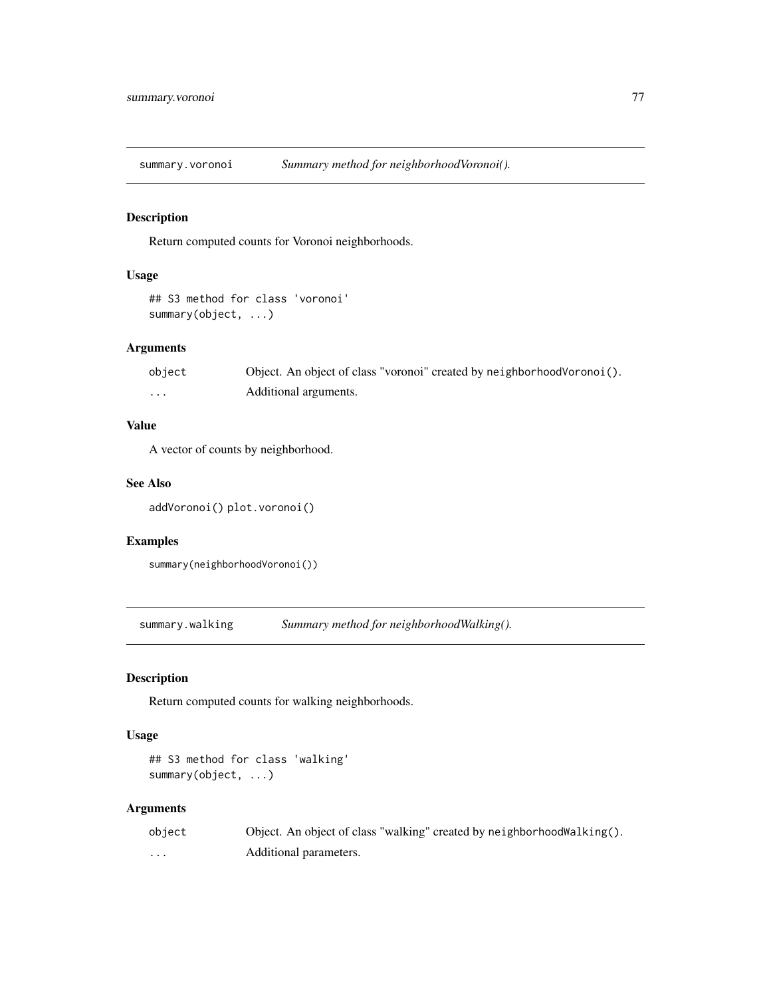<span id="page-76-0"></span>

Return computed counts for Voronoi neighborhoods.

## Usage

```
## S3 method for class 'voronoi'
summary(object, ...)
```
#### Arguments

| object  | Object. An object of class "voronoi" created by neighborhood Voronoi (). |
|---------|--------------------------------------------------------------------------|
| $\cdot$ | Additional arguments.                                                    |

## Value

A vector of counts by neighborhood.

#### See Also

addVoronoi() plot.voronoi()

#### Examples

```
summary(neighborhoodVoronoi())
```
summary.walking *Summary method for neighborhoodWalking().*

## Description

Return computed counts for walking neighborhoods.

#### Usage

```
## S3 method for class 'walking'
summary(object, ...)
```
## Arguments

| object | Object. An object of class "walking" created by neighborhood walking $()$ . |
|--------|-----------------------------------------------------------------------------|
| .      | Additional parameters.                                                      |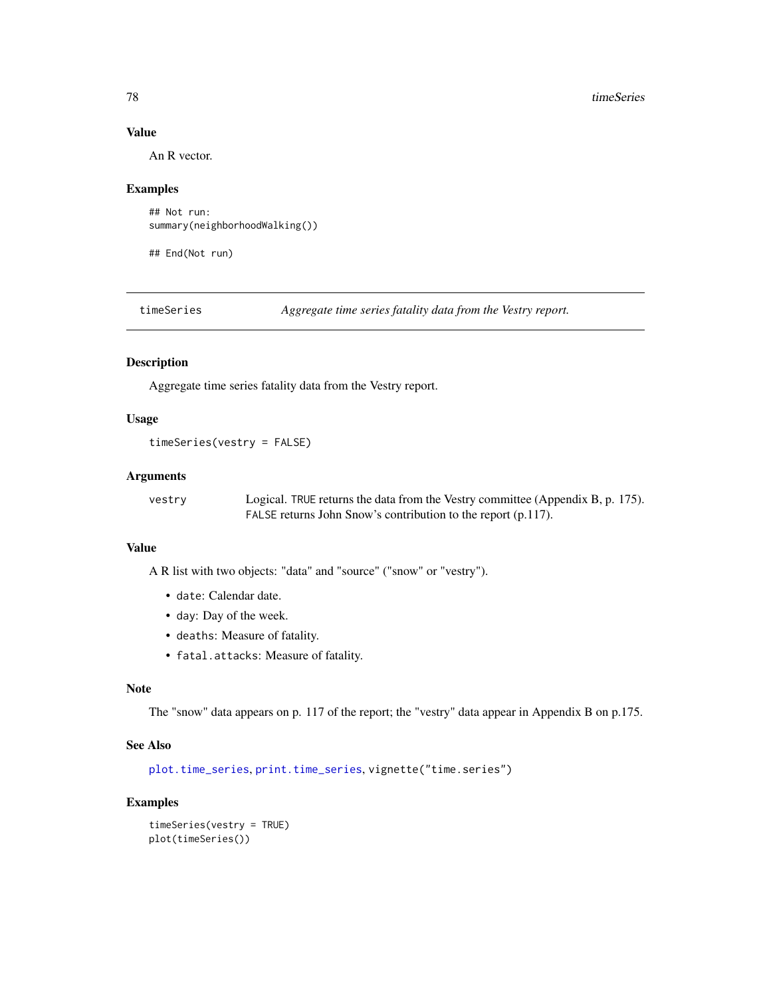#### Value

An R vector.

#### Examples

```
## Not run:
summary(neighborhoodWalking())
```
## End(Not run)

timeSeries *Aggregate time series fatality data from the Vestry report.*

## Description

Aggregate time series fatality data from the Vestry report.

#### Usage

```
timeSeries(vestry = FALSE)
```
#### **Arguments**

vestry Logical. TRUE returns the data from the Vestry committee (Appendix B, p. 175). FALSE returns John Snow's contribution to the report (p.117).

### Value

A R list with two objects: "data" and "source" ("snow" or "vestry").

- date: Calendar date.
- day: Day of the week.
- deaths: Measure of fatality.
- fatal.attacks: Measure of fatality.

#### Note

The "snow" data appears on p. 117 of the report; the "vestry" data appear in Appendix B on p.175.

#### See Also

[plot.time\\_series](#page-45-0), [print.time\\_series](#page-52-0), vignette("time.series")

#### Examples

```
timeSeries(vestry = TRUE)
plot(timeSeries())
```
<span id="page-77-0"></span>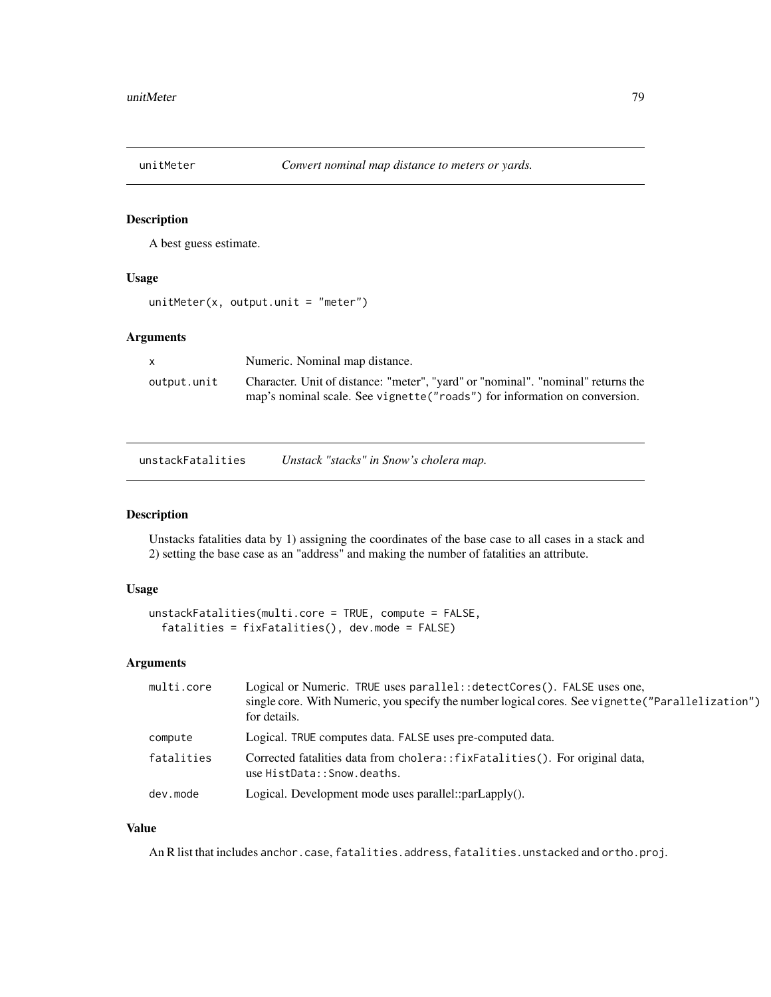<span id="page-78-0"></span>

A best guess estimate.

## Usage

```
unitMeter(x, output.unit = "meter")
```
## Arguments

|             | Numeric. Nominal map distance.                                                   |
|-------------|----------------------------------------------------------------------------------|
| output.unit | Character. Unit of distance: "meter", "yard" or "nominal". "nominal" returns the |
|             | map's nominal scale. See vignette ("roads") for information on conversion.       |

unstackFatalities *Unstack "stacks" in Snow's cholera map.*

#### Description

Unstacks fatalities data by 1) assigning the coordinates of the base case to all cases in a stack and 2) setting the base case as an "address" and making the number of fatalities an attribute.

# Usage

```
unstackFatalities(multi.core = TRUE, compute = FALSE,
  fatalities = fixFatalities(), dev.mode = FALSE)
```
## Arguments

| multi.core | Logical or Numeric. TRUE uses parallel: : detectCores(). FALSE uses one,<br>single core. With Numeric, you specify the number logical cores. See vignette ("Parallelization")<br>for details. |
|------------|-----------------------------------------------------------------------------------------------------------------------------------------------------------------------------------------------|
| compute    | Logical. TRUE computes data. FALSE uses pre-computed data.                                                                                                                                    |
| fatalities | Corrected fatalities data from cholera::fixFatalities(). For original data,<br>use HistData:: Snow.deaths.                                                                                    |
| dev.mode   | Logical. Development mode uses parallel::parLapply().                                                                                                                                         |

### Value

An R list that includes anchor.case, fatalities.address, fatalities.unstacked and ortho.proj.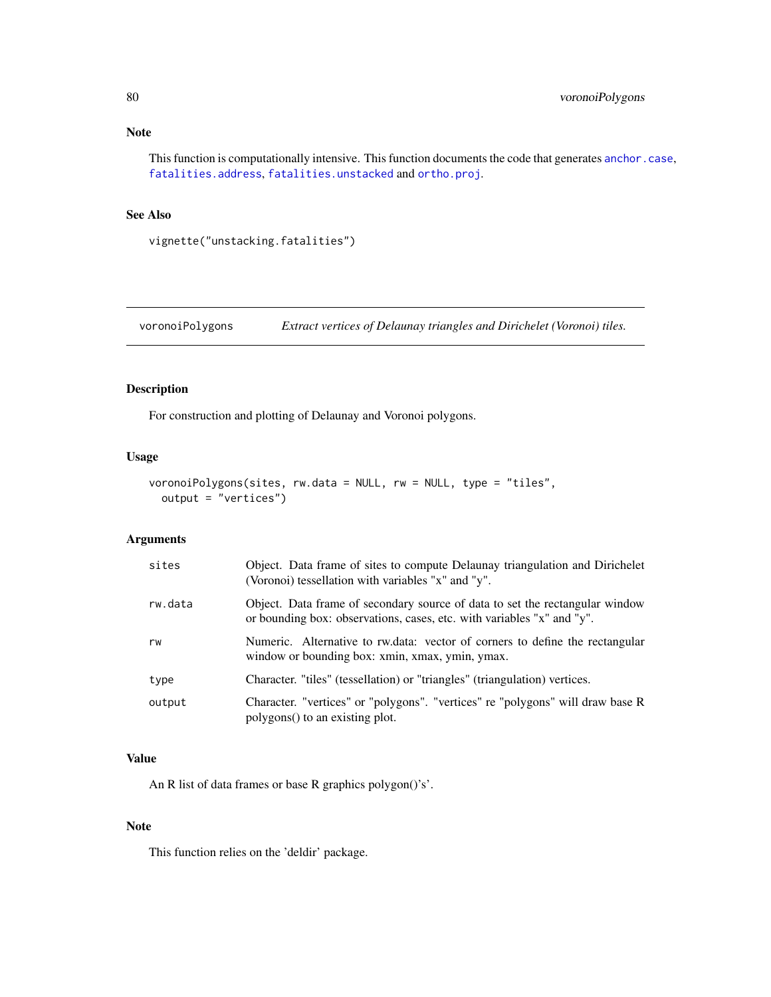<span id="page-79-0"></span>This function is computationally intensive. This function documents the code that generates [anchor.case](#page-19-0), [fatalities.address](#page-25-0), [fatalities.unstacked](#page-25-1) and [ortho.proj](#page-35-0).

## See Also

vignette("unstacking.fatalities")

voronoiPolygons *Extract vertices of Delaunay triangles and Dirichelet (Voronoi) tiles.*

#### Description

For construction and plotting of Delaunay and Voronoi polygons.

## Usage

```
voronoiPolygons(sites, rw.data = NULL, rw = NULL, type = "tiles",
  output = "vertices")
```
## Arguments

| sites   | Object. Data frame of sites to compute Delaunay triangulation and Dirichelet<br>(Voronoi) tessellation with variables "x" and "y".                     |  |
|---------|--------------------------------------------------------------------------------------------------------------------------------------------------------|--|
| rw.data | Object. Data frame of secondary source of data to set the rectangular window<br>or bounding box: observations, cases, etc. with variables "x" and "y". |  |
| rw      | Numeric. Alternative to rw.data: vector of corners to define the rectangular<br>window or bounding box: xmin, xmax, ymin, ymax.                        |  |
| type    | Character. "tiles" (tessellation) or "triangles" (triangulation) vertices.                                                                             |  |
| output  | Character. "vertices" or "polygons". "vertices" re "polygons" will draw base R<br>polygons() to an existing plot.                                      |  |

#### Value

An R list of data frames or base R graphics polygon()'s'.

#### Note

This function relies on the 'deldir' package.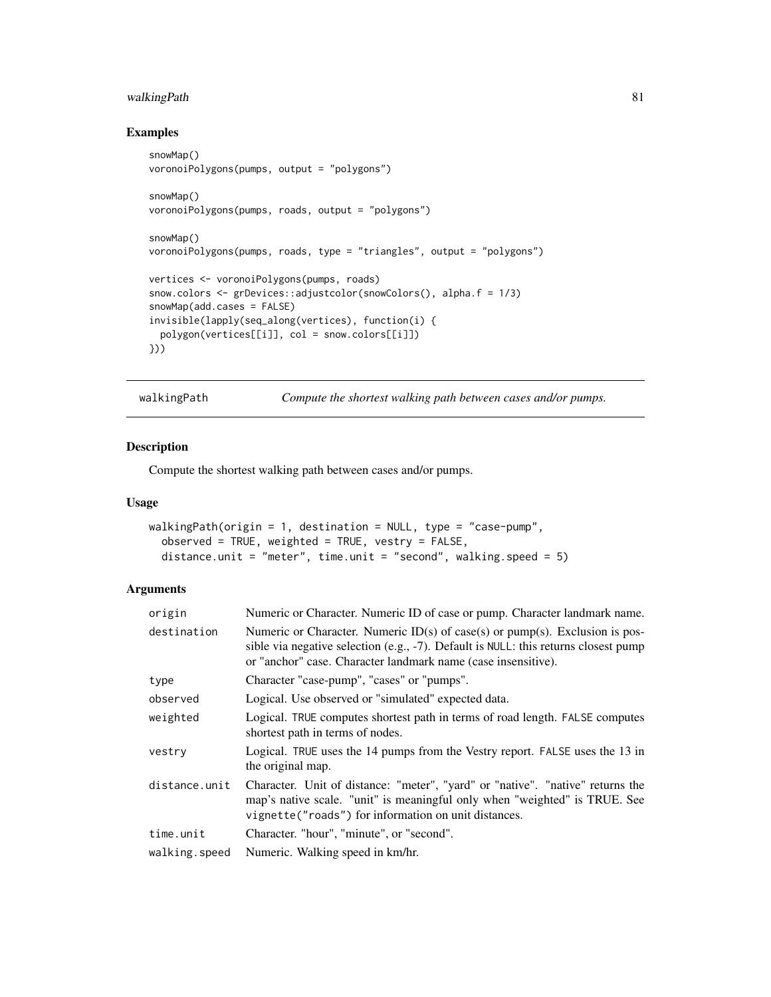## <span id="page-80-0"></span>walkingPath 81

## Examples

```
snowMap()
voronoiPolygons(pumps, output = "polygons")
snowMap()
voronoiPolygons(pumps, roads, output = "polygons")
snowMap()
voronoiPolygons(pumps, roads, type = "triangles", output = "polygons")
vertices <- voronoiPolygons(pumps, roads)
snow.colors <- grDevices::adjustcolor(snowColors(), alpha.f = 1/3)
snowMap(add.cases = FALSE)
invisible(lapply(seq_along(vertices), function(i) {
  polygon(vertices[[i]], col = snow.colors[[i]])
}))
```
walkingPath *Compute the shortest walking path between cases and/or pumps.*

#### Description

Compute the shortest walking path between cases and/or pumps.

#### Usage

```
walkingPath(origin = 1, destination = NULL, type = "case-pump",
  observed = TRUE, weighted = TRUE, vestry = FALSE,
  distance.unit = "meter", time.unit = "second", walking.speed = 5)
```
#### Arguments

| origin        | Numeric or Character. Numeric ID of case or pump. Character landmark name.                                                                                                                                                             |  |
|---------------|----------------------------------------------------------------------------------------------------------------------------------------------------------------------------------------------------------------------------------------|--|
| destination   | Numeric or Character. Numeric $ID(s)$ of case(s) or pump(s). Exclusion is pos-<br>sible via negative selection (e.g., -7). Default is NULL: this returns closest pump<br>or "anchor" case. Character landmark name (case insensitive). |  |
| type          | Character "case-pump", "cases" or "pumps".                                                                                                                                                                                             |  |
| observed      | Logical. Use observed or "simulated" expected data.                                                                                                                                                                                    |  |
| weighted      | Logical. TRUE computes shortest path in terms of road length. FALSE computes<br>shortest path in terms of nodes.                                                                                                                       |  |
| vestry        | Logical. TRUE uses the 14 pumps from the Vestry report. FALSE uses the 13 in<br>the original map.                                                                                                                                      |  |
| distance.unit | Character. Unit of distance: "meter", "yard" or "native". "native" returns the<br>map's native scale. "unit" is meaningful only when "weighted" is TRUE. See<br>vignette("roads") for information on unit distances.                   |  |
| time.unit     | Character. "hour", "minute", or "second".                                                                                                                                                                                              |  |
| walking.speed | Numeric. Walking speed in km/hr.                                                                                                                                                                                                       |  |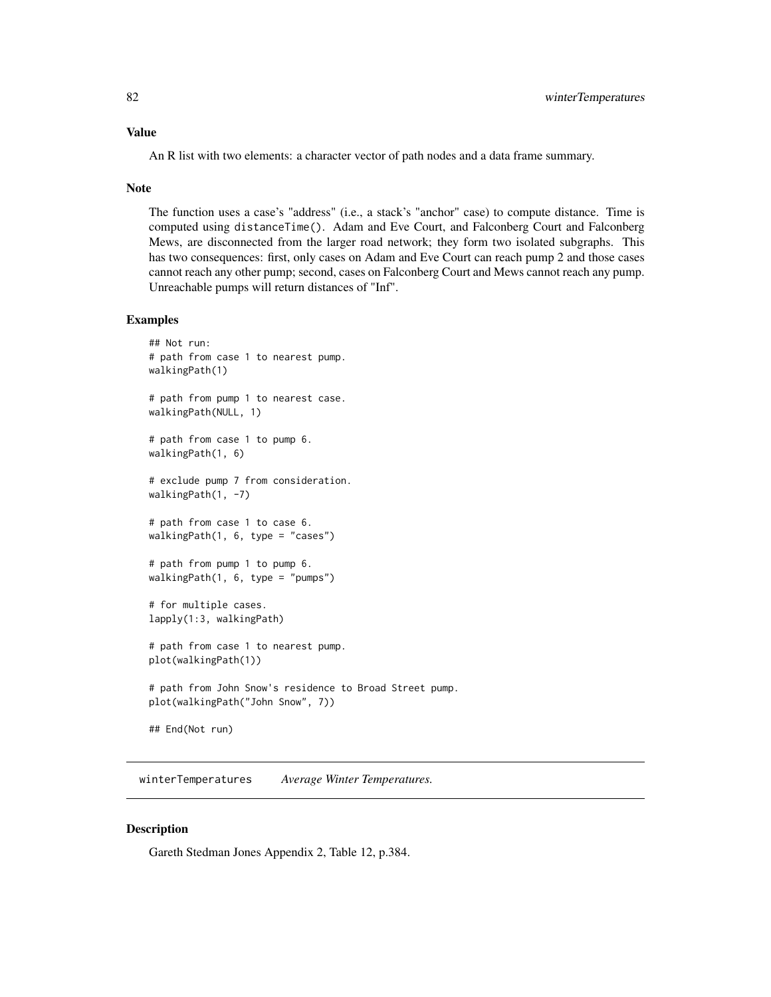#### <span id="page-81-0"></span>Value

An R list with two elements: a character vector of path nodes and a data frame summary.

#### Note

The function uses a case's "address" (i.e., a stack's "anchor" case) to compute distance. Time is computed using distanceTime(). Adam and Eve Court, and Falconberg Court and Falconberg Mews, are disconnected from the larger road network; they form two isolated subgraphs. This has two consequences: first, only cases on Adam and Eve Court can reach pump 2 and those cases cannot reach any other pump; second, cases on Falconberg Court and Mews cannot reach any pump. Unreachable pumps will return distances of "Inf".

#### Examples

```
## Not run:
# path from case 1 to nearest pump.
walkingPath(1)
# path from pump 1 to nearest case.
walkingPath(NULL, 1)
# path from case 1 to pump 6.
walkingPath(1, 6)
# exclude pump 7 from consideration.
walkingPath(1, -7)# path from case 1 to case 6.
walkingPath(1, 6, type = "cases")
# path from pump 1 to pump 6.
walkingPath(1, 6, type = "pumps")
# for multiple cases.
lapply(1:3, walkingPath)
# path from case 1 to nearest pump.
plot(walkingPath(1))
# path from John Snow's residence to Broad Street pump.
plot(walkingPath("John Snow", 7))
## End(Not run)
```
winterTemperatures *Average Winter Temperatures.*

#### Description

Gareth Stedman Jones Appendix 2, Table 12, p.384.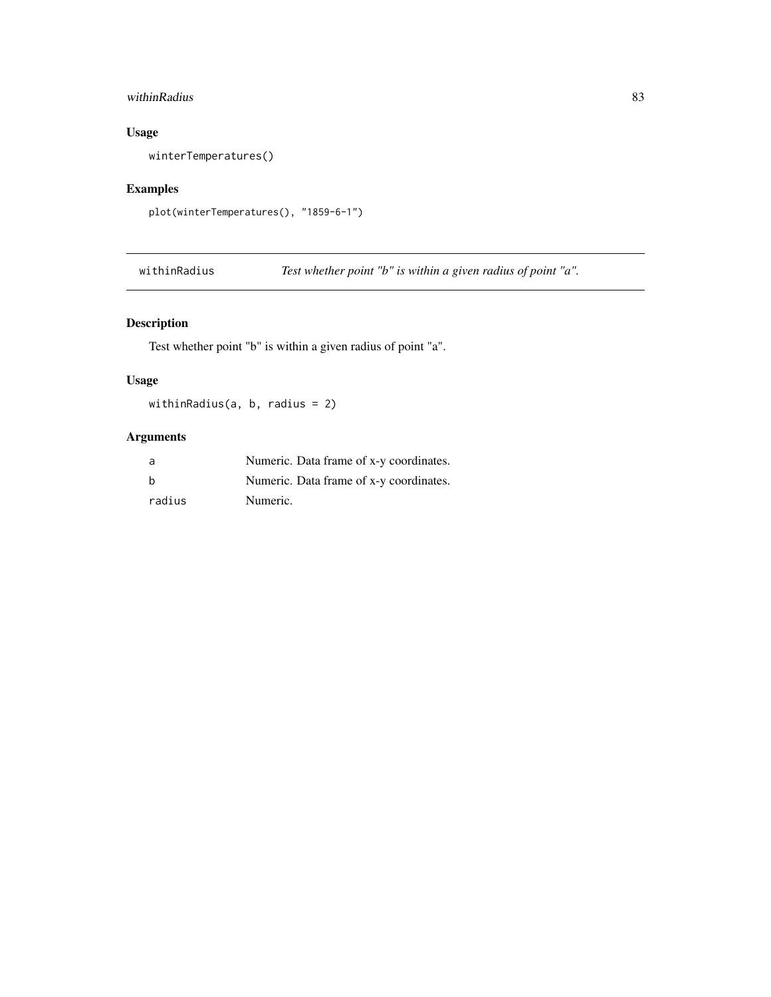# <span id="page-82-0"></span>withinRadius 83

# Usage

winterTemperatures()

## Examples

```
plot(winterTemperatures(), "1859-6-1")
```
withinRadius *Test whether point "b" is within a given radius of point "a".*

## Description

Test whether point "b" is within a given radius of point "a".

## Usage

withinRadius(a, b, radius = 2)

# Arguments

| a      | Numeric. Data frame of x-y coordinates. |
|--------|-----------------------------------------|
| b      | Numeric. Data frame of x-y coordinates. |
| radius | Numeric.                                |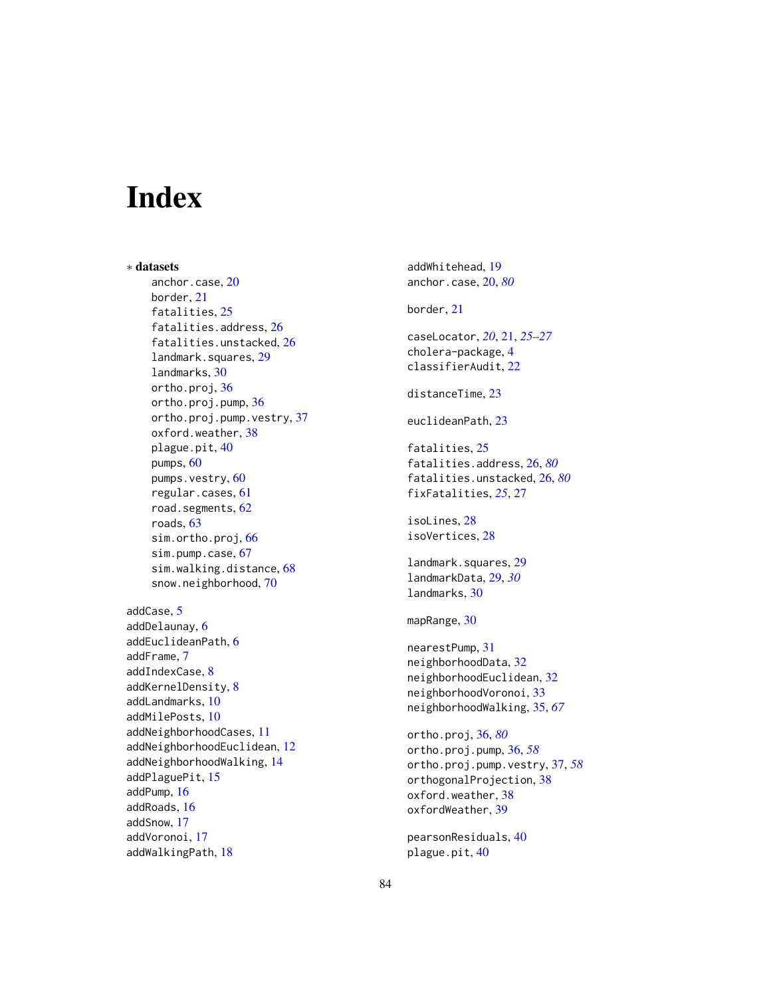# **Index**

∗ datasets anchor.case, [20](#page-19-1) border, [21](#page-20-0) fatalities, [25](#page-24-0) fatalities.address, [26](#page-25-2) fatalities.unstacked, [26](#page-25-2) landmark.squares, [29](#page-28-0) landmarks, [30](#page-29-0) ortho.proj, [36](#page-35-1) ortho.proj.pump, [36](#page-35-1) ortho.proj.pump.vestry, [37](#page-36-0) oxford.weather, [38](#page-37-0) plague.pit, [40](#page-39-0) pumps, [60](#page-59-0) pumps.vestry, [60](#page-59-0) regular.cases, [61](#page-60-0) road.segments, [62](#page-61-0) roads, [63](#page-62-0) sim.ortho.proj, [66](#page-65-0) sim.pump.case, [67](#page-66-0) sim.walking.distance, [68](#page-67-0) snow.neighborhood, [70](#page-69-0) addCase, [5](#page-4-0) addDelaunay, [6](#page-5-0) addEuclideanPath, [6](#page-5-0)

```
addFrame, 7
addIndexCase, 8
addKernelDensity, 8
addLandmarks, 10
addMilePosts, 10
addNeighborhoodCases, 11
addNeighborhoodEuclidean, 12
addNeighborhoodWalking, 14
addPlaguePit, 15
addPump, 16
addRoads, 16
addSnow, 17
addVoronoi, 17
addWalkingPath, 18
```
addWhitehead, [19](#page-18-0) anchor.case, [20,](#page-19-1) *[80](#page-79-0)* border, [21](#page-20-0) caseLocator, *[20](#page-19-1)*, [21,](#page-20-0) *[25](#page-24-0)[–27](#page-26-0)* cholera-package, [4](#page-3-0) classifierAudit, [22](#page-21-0) distanceTime, [23](#page-22-0) euclideanPath, [23](#page-22-0) fatalities, [25](#page-24-0) fatalities.address, [26,](#page-25-2) *[80](#page-79-0)* fatalities.unstacked, [26,](#page-25-2) *[80](#page-79-0)* fixFatalities, *[25](#page-24-0)*, [27](#page-26-0) isoLines, [28](#page-27-0) isoVertices, [28](#page-27-0) landmark.squares, [29](#page-28-0) landmarkData, [29,](#page-28-0) *[30](#page-29-0)* landmarks, [30](#page-29-0) mapRange, [30](#page-29-0) nearestPump, [31](#page-30-0) neighborhoodData, [32](#page-31-0) neighborhoodEuclidean, [32](#page-31-0) neighborhoodVoronoi, [33](#page-32-0) neighborhoodWalking, [35,](#page-34-0) *[67](#page-66-0)* ortho.proj, [36,](#page-35-1) *[80](#page-79-0)* ortho.proj.pump, [36,](#page-35-1) *[58](#page-57-0)* ortho.proj.pump.vestry, [37,](#page-36-0) *[58](#page-57-0)* orthogonalProjection, [38](#page-37-0) oxford.weather, [38](#page-37-0) oxfordWeather, [39](#page-38-0) pearsonResiduals, [40](#page-39-0)

plague.pit, [40](#page-39-0)